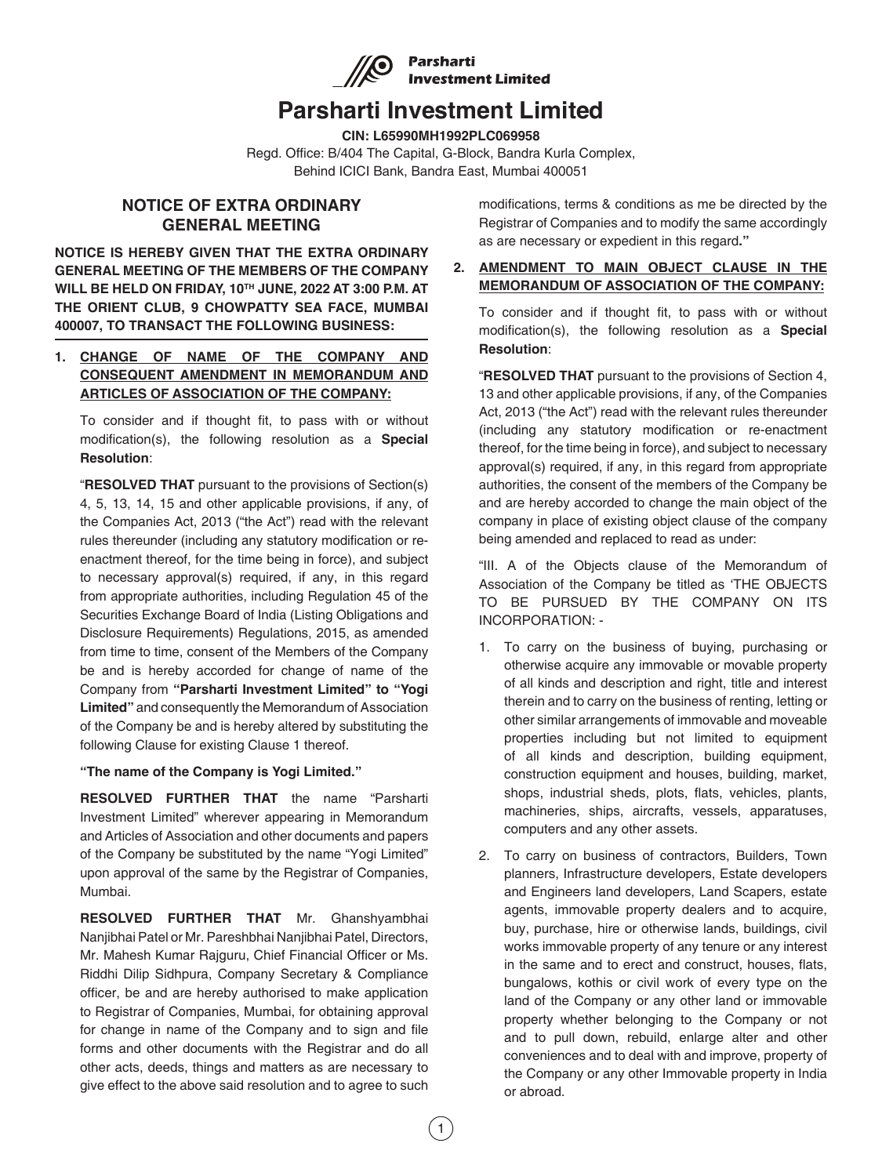

Parsharti **Investment Limited** 

# **Parsharti Investment Limited**

**CIN: L65990MH1992PLC069958** Regd. Office: B/404 The Capital, G-Block, Bandra Kurla Complex, Behind ICICI Bank, Bandra East, Mumbai 400051

# **NOTICE OF EXTRA ORDINARY GENERAL MEETING**

**NOTICE IS HEREBY GIVEN THAT THE EXTRA ORDINARY GENERAL MEETING OF THE MEMBERS OF THE COMPANY WILL BE HELD ON FRIDAY, 10TH JUNE, 2022 AT 3:00 P.M. AT THE ORIENT CLUB, 9 CHOWPATTY SEA FACE, MUMBAI 400007, TO TRANSACT THE FOLLOWING BUSINESS:**

# **1. CHANGE OF NAME OF THE COMPANY AND CONSEQUENT AMENDMENT IN MEMORANDUM AND ARTICLES OF ASSOCIATION OF THE COMPANY:**

 To consider and if thought fit, to pass with or without modification(s), the following resolution as a **Special Resolution**:

 "**RESOLVED THAT** pursuant to the provisions of Section(s) 4, 5, 13, 14, 15 and other applicable provisions, if any, of the Companies Act, 2013 ("the Act") read with the relevant rules thereunder (including any statutory modification or reenactment thereof, for the time being in force), and subject to necessary approval(s) required, if any, in this regard from appropriate authorities, including Regulation 45 of the Securities Exchange Board of India (Listing Obligations and Disclosure Requirements) Regulations, 2015, as amended from time to time, consent of the Members of the Company be and is hereby accorded for change of name of the Company from **"Parsharti Investment Limited" to "Yogi Limited"** and consequently the Memorandum of Association of the Company be and is hereby altered by substituting the following Clause for existing Clause 1 thereof.

 **"The name of the Company is Yogi Limited."**

 **RESOLVED FURTHER THAT** the name "Parsharti Investment Limited" wherever appearing in Memorandum and Articles of Association and other documents and papers of the Company be substituted by the name "Yogi Limited" upon approval of the same by the Registrar of Companies, Mumbai.

**RESOLVED FURTHER THAT** Mr. Ghanshyambhai Nanjibhai Patel or Mr. Pareshbhai Nanjibhai Patel, Directors, Mr. Mahesh Kumar Rajguru, Chief Financial Officer or Ms. Riddhi Dilip Sidhpura, Company Secretary & Compliance officer, be and are hereby authorised to make application to Registrar of Companies, Mumbai, for obtaining approval for change in name of the Company and to sign and file forms and other documents with the Registrar and do all other acts, deeds, things and matters as are necessary to give effect to the above said resolution and to agree to such

modifications, terms & conditions as me be directed by the Registrar of Companies and to modify the same accordingly as are necessary or expedient in this regard**."**

# **2. AMENDMENT TO MAIN OBJECT CLAUSE IN THE MEMORANDUM OF ASSOCIATION OF THE COMPANY:**

 To consider and if thought fit, to pass with or without modification(s), the following resolution as a **Special Resolution**:

"**RESOLVED THAT** pursuant to the provisions of Section 4, 13 and other applicable provisions, if any, of the Companies Act, 2013 ("the Act") read with the relevant rules thereunder (including any statutory modification or re-enactment thereof, for the time being in force), and subject to necessary approval(s) required, if any, in this regard from appropriate authorities, the consent of the members of the Company be and are hereby accorded to change the main object of the company in place of existing object clause of the company being amended and replaced to read as under:

 "III. A of the Objects clause of the Memorandum of Association of the Company be titled as 'THE OBJECTS TO BE PURSUED BY THE COMPANY ON ITS INCORPORATION: -

- 1. To carry on the business of buying, purchasing or otherwise acquire any immovable or movable property of all kinds and description and right, title and interest therein and to carry on the business of renting, letting or other similar arrangements of immovable and moveable properties including but not limited to equipment of all kinds and description, building equipment, construction equipment and houses, building, market, shops, industrial sheds, plots, flats, vehicles, plants, machineries, ships, aircrafts, vessels, apparatuses, computers and any other assets.
- 2. To carry on business of contractors, Builders, Town planners, Infrastructure developers, Estate developers and Engineers land developers, Land Scapers, estate agents, immovable property dealers and to acquire, buy, purchase, hire or otherwise lands, buildings, civil works immovable property of any tenure or any interest in the same and to erect and construct, houses, flats, bungalows, kothis or civil work of every type on the land of the Company or any other land or immovable property whether belonging to the Company or not and to pull down, rebuild, enlarge alter and other conveniences and to deal with and improve, property of the Company or any other Immovable property in India or abroad.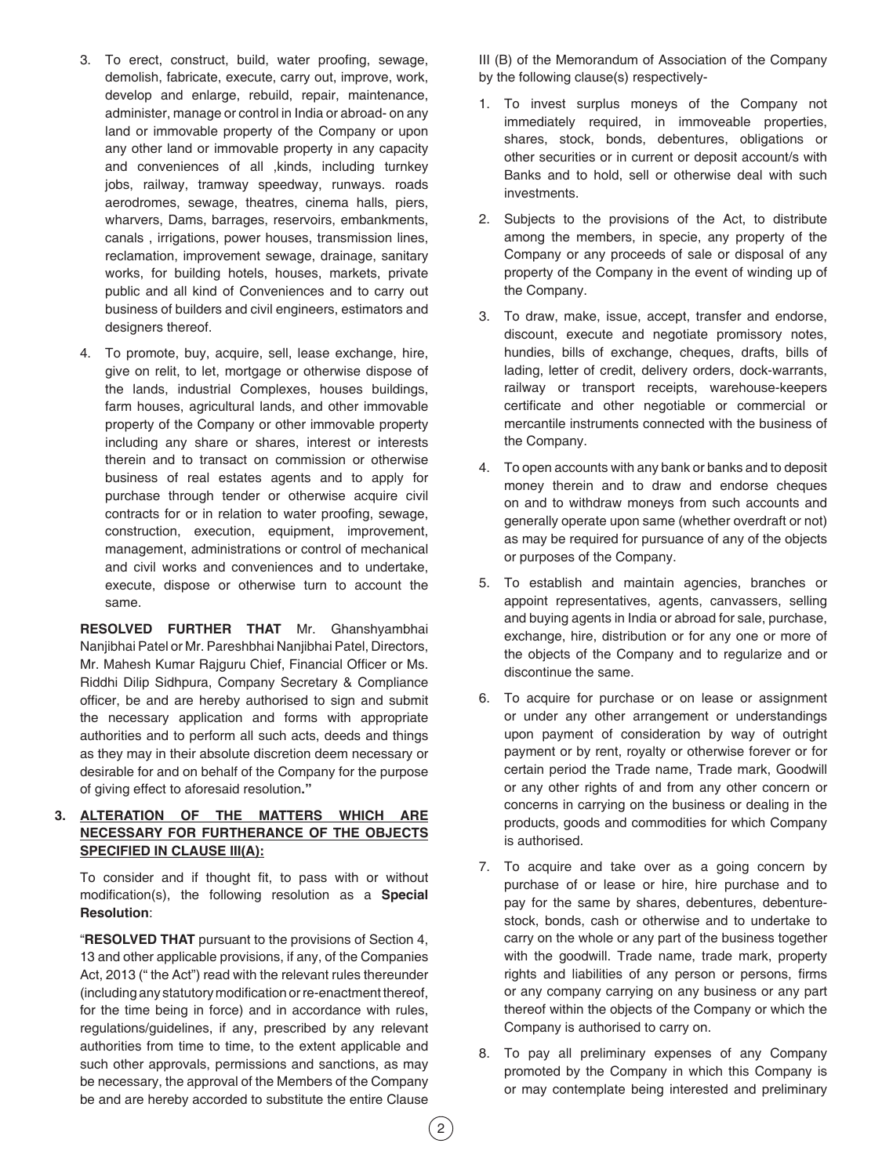- 3. To erect, construct, build, water proofing, sewage, demolish, fabricate, execute, carry out, improve, work, develop and enlarge, rebuild, repair, maintenance, administer, manage or control in India or abroad- on any land or immovable property of the Company or upon any other land or immovable property in any capacity and conveniences of all ,kinds, including turnkey jobs, railway, tramway speedway, runways. roads aerodromes, sewage, theatres, cinema halls, piers, wharvers, Dams, barrages, reservoirs, embankments, canals , irrigations, power houses, transmission lines, reclamation, improvement sewage, drainage, sanitary works, for building hotels, houses, markets, private public and all kind of Conveniences and to carry out business of builders and civil engineers, estimators and designers thereof.
- 4. To promote, buy, acquire, sell, lease exchange, hire, give on relit, to let, mortgage or otherwise dispose of the lands, industrial Complexes, houses buildings, farm houses, agricultural lands, and other immovable property of the Company or other immovable property including any share or shares, interest or interests therein and to transact on commission or otherwise business of real estates agents and to apply for purchase through tender or otherwise acquire civil contracts for or in relation to water proofing, sewage, construction, execution, equipment, improvement, management, administrations or control of mechanical and civil works and conveniences and to undertake, execute, dispose or otherwise turn to account the same.

 **RESOLVED FURTHER THAT** Mr. Ghanshyambhai Nanjibhai Patel or Mr. Pareshbhai Nanjibhai Patel, Directors, Mr. Mahesh Kumar Rajguru Chief, Financial Officer or Ms. Riddhi Dilip Sidhpura, Company Secretary & Compliance officer, be and are hereby authorised to sign and submit the necessary application and forms with appropriate authorities and to perform all such acts, deeds and things as they may in their absolute discretion deem necessary or desirable for and on behalf of the Company for the purpose of giving effect to aforesaid resolution**."**

# **3. ALTERATION OF THE MATTERS WHICH ARE NECESSARY FOR FURTHERANCE OF THE OBJECTS SPECIFIED IN CLAUSE III(A):**

 To consider and if thought fit, to pass with or without modification(s), the following resolution as a **Special Resolution**:

"**RESOLVED THAT** pursuant to the provisions of Section 4, 13 and other applicable provisions, if any, of the Companies Act, 2013 (" the Act") read with the relevant rules thereunder (including any statutory modification orre-enactment thereof, for the time being in force) and in accordance with rules, regulations/guidelines, if any, prescribed by any relevant authorities from time to time, to the extent applicable and such other approvals, permissions and sanctions, as may be necessary, the approval of the Members of the Company be and are hereby accorded to substitute the entire Clause

III (B) of the Memorandum of Association of the Company by the following clause(s) respectively-

- 1. To invest surplus moneys of the Company not immediately required, in immoveable properties, shares, stock, bonds, debentures, obligations or other securities or in current or deposit account/s with Banks and to hold, sell or otherwise deal with such investments.
- 2. Subjects to the provisions of the Act, to distribute among the members, in specie, any property of the Company or any proceeds of sale or disposal of any property of the Company in the event of winding up of the Company.
- 3. To draw, make, issue, accept, transfer and endorse, discount, execute and negotiate promissory notes, hundies, bills of exchange, cheques, drafts, bills of lading, letter of credit, delivery orders, dock-warrants, railway or transport receipts, warehouse-keepers certificate and other negotiable or commercial or mercantile instruments connected with the business of the Company.
- 4. To open accounts with any bank or banks and to deposit money therein and to draw and endorse cheques on and to withdraw moneys from such accounts and generally operate upon same (whether overdraft or not) as may be required for pursuance of any of the objects or purposes of the Company.
- 5. To establish and maintain agencies, branches or appoint representatives, agents, canvassers, selling and buying agents in India or abroad for sale, purchase, exchange, hire, distribution or for any one or more of the objects of the Company and to regularize and or discontinue the same.
- 6. To acquire for purchase or on lease or assignment or under any other arrangement or understandings upon payment of consideration by way of outright payment or by rent, royalty or otherwise forever or for certain period the Trade name, Trade mark, Goodwill or any other rights of and from any other concern or concerns in carrying on the business or dealing in the products, goods and commodities for which Company is authorised.
- 7. To acquire and take over as a going concern by purchase of or lease or hire, hire purchase and to pay for the same by shares, debentures, debenturestock, bonds, cash or otherwise and to undertake to carry on the whole or any part of the business together with the goodwill. Trade name, trade mark, property rights and liabilities of any person or persons, firms or any company carrying on any business or any part thereof within the objects of the Company or which the Company is authorised to carry on.
- 8. To pay all preliminary expenses of any Company promoted by the Company in which this Company is or may contemplate being interested and preliminary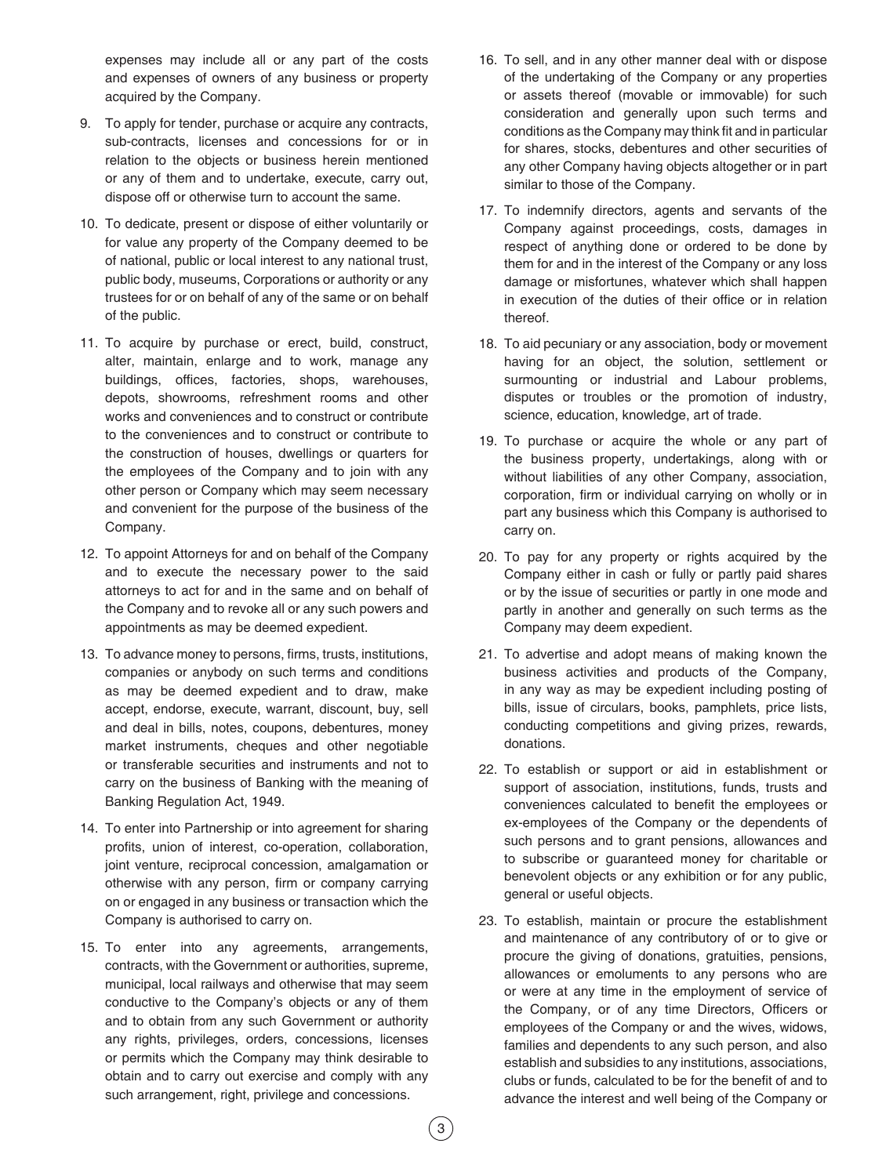expenses may include all or any part of the costs and expenses of owners of any business or property acquired by the Company.

- 9. To apply for tender, purchase or acquire any contracts, sub-contracts, licenses and concessions for or in relation to the objects or business herein mentioned or any of them and to undertake, execute, carry out, dispose off or otherwise turn to account the same.
- 10. To dedicate, present or dispose of either voluntarily or for value any property of the Company deemed to be of national, public or local interest to any national trust, public body, museums, Corporations or authority or any trustees for or on behalf of any of the same or on behalf of the public.
- 11. To acquire by purchase or erect, build, construct, alter, maintain, enlarge and to work, manage any buildings, offices, factories, shops, warehouses, depots, showrooms, refreshment rooms and other works and conveniences and to construct or contribute to the conveniences and to construct or contribute to the construction of houses, dwellings or quarters for the employees of the Company and to join with any other person or Company which may seem necessary and convenient for the purpose of the business of the Company.
- 12. To appoint Attorneys for and on behalf of the Company and to execute the necessary power to the said attorneys to act for and in the same and on behalf of the Company and to revoke all or any such powers and appointments as may be deemed expedient.
- 13. To advance money to persons, firms, trusts, institutions, companies or anybody on such terms and conditions as may be deemed expedient and to draw, make accept, endorse, execute, warrant, discount, buy, sell and deal in bills, notes, coupons, debentures, money market instruments, cheques and other negotiable or transferable securities and instruments and not to carry on the business of Banking with the meaning of Banking Regulation Act, 1949.
- 14. To enter into Partnership or into agreement for sharing profits, union of interest, co-operation, collaboration, joint venture, reciprocal concession, amalgamation or otherwise with any person, firm or company carrying on or engaged in any business or transaction which the Company is authorised to carry on.
- 15. To enter into any agreements, arrangements, contracts, with the Government or authorities, supreme, municipal, local railways and otherwise that may seem conductive to the Company's objects or any of them and to obtain from any such Government or authority any rights, privileges, orders, concessions, licenses or permits which the Company may think desirable to obtain and to carry out exercise and comply with any such arrangement, right, privilege and concessions.
- 16. To sell, and in any other manner deal with or dispose of the undertaking of the Company or any properties or assets thereof (movable or immovable) for such consideration and generally upon such terms and conditions as the Company may think fit and in particular for shares, stocks, debentures and other securities of any other Company having objects altogether or in part similar to those of the Company.
- 17. To indemnify directors, agents and servants of the Company against proceedings, costs, damages in respect of anything done or ordered to be done by them for and in the interest of the Company or any loss damage or misfortunes, whatever which shall happen in execution of the duties of their office or in relation thereof.
- 18. To aid pecuniary or any association, body or movement having for an object, the solution, settlement or surmounting or industrial and Labour problems, disputes or troubles or the promotion of industry, science, education, knowledge, art of trade.
- 19. To purchase or acquire the whole or any part of the business property, undertakings, along with or without liabilities of any other Company, association, corporation, firm or individual carrying on wholly or in part any business which this Company is authorised to carry on.
- 20. To pay for any property or rights acquired by the Company either in cash or fully or partly paid shares or by the issue of securities or partly in one mode and partly in another and generally on such terms as the Company may deem expedient.
- 21. To advertise and adopt means of making known the business activities and products of the Company, in any way as may be expedient including posting of bills, issue of circulars, books, pamphlets, price lists, conducting competitions and giving prizes, rewards, donations.
- 22. To establish or support or aid in establishment or support of association, institutions, funds, trusts and conveniences calculated to benefit the employees or ex-employees of the Company or the dependents of such persons and to grant pensions, allowances and to subscribe or guaranteed money for charitable or benevolent objects or any exhibition or for any public, general or useful objects.
- 23. To establish, maintain or procure the establishment and maintenance of any contributory of or to give or procure the giving of donations, gratuities, pensions, allowances or emoluments to any persons who are or were at any time in the employment of service of the Company, or of any time Directors, Officers or employees of the Company or and the wives, widows, families and dependents to any such person, and also establish and subsidies to any institutions, associations, clubs or funds, calculated to be for the benefit of and to advance the interest and well being of the Company or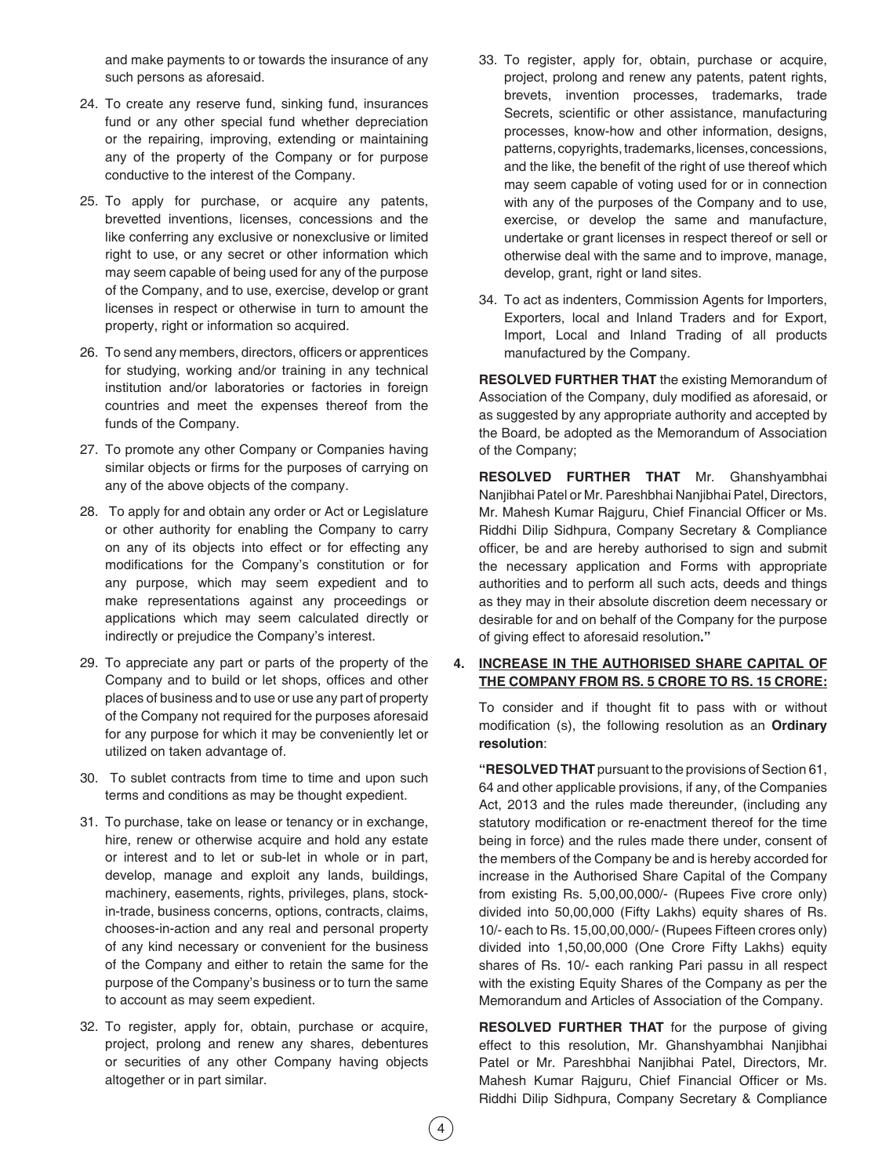and make payments to or towards the insurance of any such persons as aforesaid.

- 24. To create any reserve fund, sinking fund, insurances fund or any other special fund whether depreciation or the repairing, improving, extending or maintaining any of the property of the Company or for purpose conductive to the interest of the Company.
- 25. To apply for purchase, or acquire any patents, brevetted inventions, licenses, concessions and the like conferring any exclusive or nonexclusive or limited right to use, or any secret or other information which may seem capable of being used for any of the purpose of the Company, and to use, exercise, develop or grant licenses in respect or otherwise in turn to amount the property, right or information so acquired.
- 26. To send any members, directors, officers or apprentices for studying, working and/or training in any technical institution and/or laboratories or factories in foreign countries and meet the expenses thereof from the funds of the Company.
- 27. To promote any other Company or Companies having similar objects or firms for the purposes of carrying on any of the above objects of the company.
- 28. To apply for and obtain any order or Act or Legislature or other authority for enabling the Company to carry on any of its objects into effect or for effecting any modifications for the Company's constitution or for any purpose, which may seem expedient and to make representations against any proceedings or applications which may seem calculated directly or indirectly or prejudice the Company's interest.
- 29. To appreciate any part or parts of the property of the Company and to build or let shops, offices and other places of business and to use or use any part of property of the Company not required for the purposes aforesaid for any purpose for which it may be conveniently let or utilized on taken advantage of.
- 30. To sublet contracts from time to time and upon such terms and conditions as may be thought expedient.
- 31. To purchase, take on lease or tenancy or in exchange, hire, renew or otherwise acquire and hold any estate or interest and to let or sub-let in whole or in part, develop, manage and exploit any lands, buildings, machinery, easements, rights, privileges, plans, stockin-trade, business concerns, options, contracts, claims, chooses-in-action and any real and personal property of any kind necessary or convenient for the business of the Company and either to retain the same for the purpose of the Company's business or to turn the same to account as may seem expedient.
- 32. To register, apply for, obtain, purchase or acquire, project, prolong and renew any shares, debentures or securities of any other Company having objects altogether or in part similar.
- 33. To register, apply for, obtain, purchase or acquire, project, prolong and renew any patents, patent rights, brevets, invention processes, trademarks, trade Secrets, scientific or other assistance, manufacturing processes, know-how and other information, designs, patterns, copyrights, trademarks, licenses, concessions, and the like, the benefit of the right of use thereof which may seem capable of voting used for or in connection with any of the purposes of the Company and to use, exercise, or develop the same and manufacture, undertake or grant licenses in respect thereof or sell or otherwise deal with the same and to improve, manage, develop, grant, right or land sites.
- 34. To act as indenters, Commission Agents for Importers, Exporters, local and Inland Traders and for Export, Import, Local and Inland Trading of all products manufactured by the Company.

**RESOLVED FURTHER THAT** the existing Memorandum of Association of the Company, duly modified as aforesaid, or as suggested by any appropriate authority and accepted by the Board, be adopted as the Memorandum of Association of the Company;

**RESOLVED FURTHER THAT** Mr. Ghanshyambhai Nanjibhai Patel or Mr. Pareshbhai Nanjibhai Patel, Directors, Mr. Mahesh Kumar Rajguru, Chief Financial Officer or Ms. Riddhi Dilip Sidhpura, Company Secretary & Compliance officer, be and are hereby authorised to sign and submit the necessary application and Forms with appropriate authorities and to perform all such acts, deeds and things as they may in their absolute discretion deem necessary or desirable for and on behalf of the Company for the purpose of giving effect to aforesaid resolution**."**

#### **4. INCREASE IN THE AUTHORISED SHARE CAPITAL OF THE COMPANY FROM RS. 5 CRORE TO RS. 15 CRORE:**

 To consider and if thought fit to pass with or without modification (s), the following resolution as an **Ordinary resolution**:

**"RESOLVED THAT** pursuant to the provisions of Section 61, 64 and other applicable provisions, if any, of the Companies Act, 2013 and the rules made thereunder, (including any statutory modification or re-enactment thereof for the time being in force) and the rules made there under, consent of the members of the Company be and is hereby accorded for increase in the Authorised Share Capital of the Company from existing Rs. 5,00,00,000/- (Rupees Five crore only) divided into 50,00,000 (Fifty Lakhs) equity shares of Rs. 10/- each to Rs. 15,00,00,000/- (Rupees Fifteen crores only) divided into 1,50,00,000 (One Crore Fifty Lakhs) equity shares of Rs. 10/- each ranking Pari passu in all respect with the existing Equity Shares of the Company as per the Memorandum and Articles of Association of the Company.

**RESOLVED FURTHER THAT** for the purpose of giving effect to this resolution, Mr. Ghanshyambhai Nanjibhai Patel or Mr. Pareshbhai Nanjibhai Patel, Directors, Mr. Mahesh Kumar Rajguru, Chief Financial Officer or Ms. Riddhi Dilip Sidhpura, Company Secretary & Compliance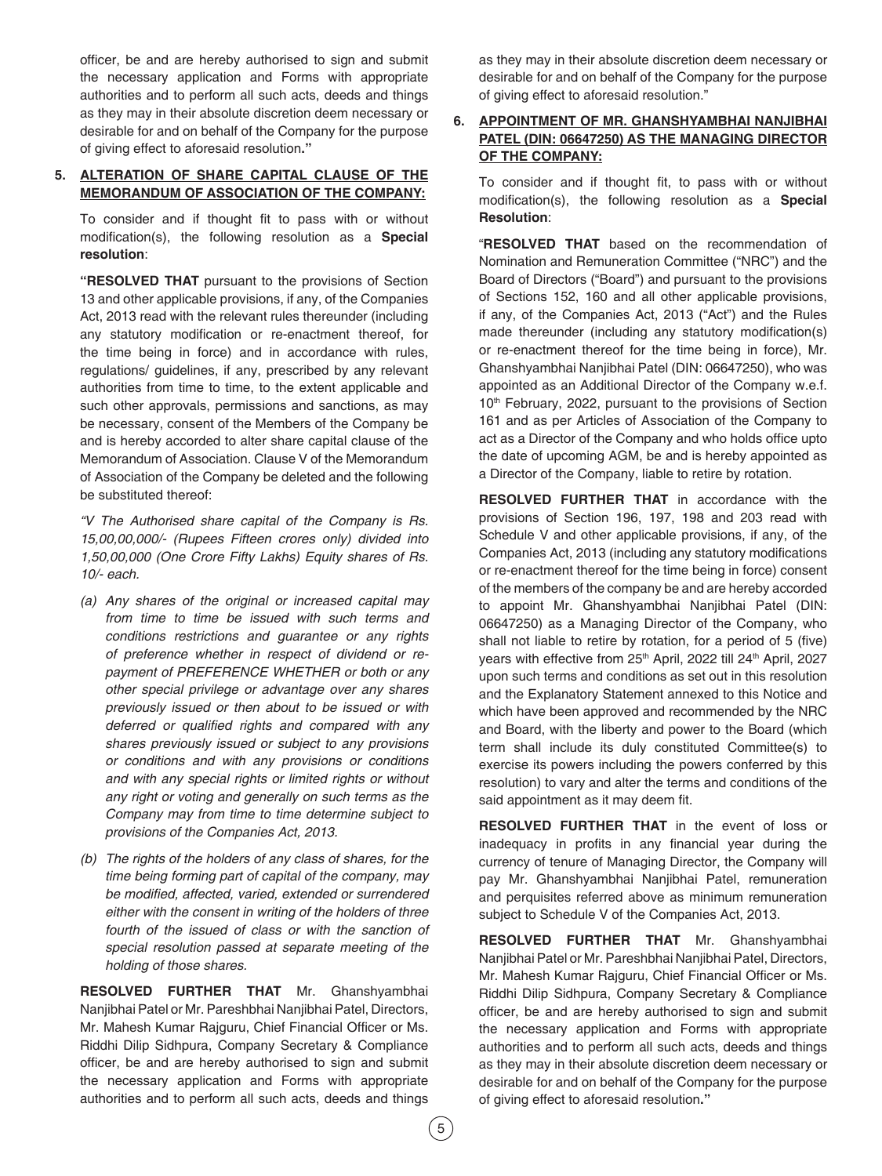officer, be and are hereby authorised to sign and submit the necessary application and Forms with appropriate authorities and to perform all such acts, deeds and things as they may in their absolute discretion deem necessary or desirable for and on behalf of the Company for the purpose of giving effect to aforesaid resolution**."**

### **5. ALTERATION OF SHARE CAPITAL CLAUSE OF THE MEMORANDUM OF ASSOCIATION OF THE COMPANY:**

 To consider and if thought fit to pass with or without modification(s), the following resolution as a **Special resolution**:

**"RESOLVED THAT** pursuant to the provisions of Section 13 and other applicable provisions, if any, of the Companies Act, 2013 read with the relevant rules thereunder (including any statutory modification or re-enactment thereof, for the time being in force) and in accordance with rules, regulations/ guidelines, if any, prescribed by any relevant authorities from time to time, to the extent applicable and such other approvals, permissions and sanctions, as may be necessary, consent of the Members of the Company be and is hereby accorded to alter share capital clause of the Memorandum of Association. Clause V of the Memorandum of Association of the Company be deleted and the following be substituted thereof:

*"V The Authorised share capital of the Company is Rs. 15,00,00,000/- (Rupees Fifteen crores only) divided into 1,50,00,000 (One Crore Fifty Lakhs) Equity shares of Rs. 10/- each.*

- *(a) Any shares of the original or increased capital may from time to time be issued with such terms and conditions restrictions and guarantee or any rights of preference whether in respect of dividend or repayment of PREFERENCE WHETHER or both or any other special privilege or advantage over any shares previously issued or then about to be issued or with*  deferred or qualified rights and compared with any *shares previously issued or subject to any provisions or conditions and with any provisions or conditions and with any special rights or limited rights or without any right or voting and generally on such terms as the Company may from time to time determine subject to provisions of the Companies Act, 2013.*
- *(b) The rights of the holders of any class of shares, for the time being forming part of capital of the company, may*  be modified, affected, varied, extended or surrendered *either with the consent in writing of the holders of three fourth of the issued of class or with the sanction of special resolution passed at separate meeting of the holding of those shares.*

**RESOLVED FURTHER THAT** Mr. Ghanshyambhai Nanjibhai Patel or Mr. Pareshbhai Nanjibhai Patel, Directors, Mr. Mahesh Kumar Rajguru, Chief Financial Officer or Ms. Riddhi Dilip Sidhpura, Company Secretary & Compliance officer, be and are hereby authorised to sign and submit the necessary application and Forms with appropriate authorities and to perform all such acts, deeds and things

as they may in their absolute discretion deem necessary or desirable for and on behalf of the Company for the purpose of giving effect to aforesaid resolution."

# **6. APPOINTMENT OF MR. GHANSHYAMBHAI NANJIBHAI PATEL (DIN: 06647250) AS THE MANAGING DIRECTOR OF THE COMPANY:**

 To consider and if thought fit, to pass with or without modification(s), the following resolution as a **Special Resolution**:

"**RESOLVED THAT** based on the recommendation of Nomination and Remuneration Committee ("NRC") and the Board of Directors ("Board") and pursuant to the provisions of Sections 152, 160 and all other applicable provisions, if any, of the Companies Act, 2013 ("Act") and the Rules made thereunder (including any statutory modification(s) or re-enactment thereof for the time being in force), Mr. Ghanshyambhai Nanjibhai Patel (DIN: 06647250), who was appointed as an Additional Director of the Company w.e.f. 10<sup>th</sup> February, 2022, pursuant to the provisions of Section 161 and as per Articles of Association of the Company to act as a Director of the Company and who holds office upto the date of upcoming AGM, be and is hereby appointed as a Director of the Company, liable to retire by rotation.

**RESOLVED FURTHER THAT** in accordance with the provisions of Section 196, 197, 198 and 203 read with Schedule V and other applicable provisions, if any, of the Companies Act, 2013 (including any statutory modifications or re-enactment thereof for the time being in force) consent of the members of the company be and are hereby accorded to appoint Mr. Ghanshyambhai Nanjibhai Patel (DIN: 06647250) as a Managing Director of the Company, who shall not liable to retire by rotation, for a period of 5 (five) years with effective from 25<sup>th</sup> April, 2022 till 24<sup>th</sup> April, 2027 upon such terms and conditions as set out in this resolution and the Explanatory Statement annexed to this Notice and which have been approved and recommended by the NRC and Board, with the liberty and power to the Board (which term shall include its duly constituted Committee(s) to exercise its powers including the powers conferred by this resolution) to vary and alter the terms and conditions of the said appointment as it may deem fit.

**RESOLVED FURTHER THAT** in the event of loss or inadequacy in profits in any financial year during the currency of tenure of Managing Director, the Company will pay Mr. Ghanshyambhai Nanjibhai Patel, remuneration and perquisites referred above as minimum remuneration subject to Schedule V of the Companies Act, 2013.

**RESOLVED FURTHER THAT** Mr. Ghanshyambhai Nanjibhai Patel or Mr. Pareshbhai Nanjibhai Patel, Directors, Mr. Mahesh Kumar Rajguru, Chief Financial Officer or Ms. Riddhi Dilip Sidhpura, Company Secretary & Compliance officer, be and are hereby authorised to sign and submit the necessary application and Forms with appropriate authorities and to perform all such acts, deeds and things as they may in their absolute discretion deem necessary or desirable for and on behalf of the Company for the purpose of giving effect to aforesaid resolution**."**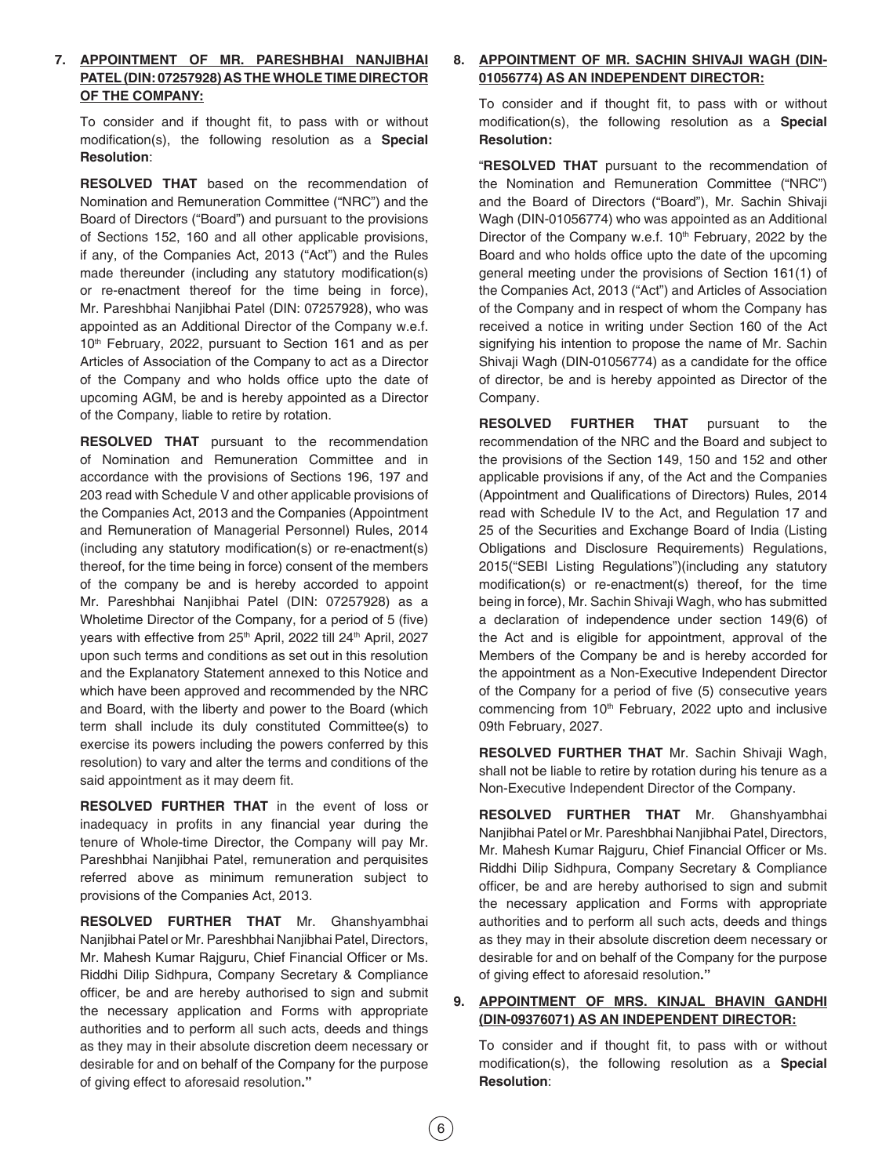# **7. APPOINTMENT OF MR. PARESHBHAI NANJIBHAI PATEL (DIN: 07257928) AS THE WHOLE TIME DIRECTOR OF THE COMPANY:**

 To consider and if thought fit, to pass with or without modification(s), the following resolution as a **Special Resolution**:

**RESOLVED THAT** based on the recommendation of Nomination and Remuneration Committee ("NRC") and the Board of Directors ("Board") and pursuant to the provisions of Sections 152, 160 and all other applicable provisions, if any, of the Companies Act, 2013 ("Act") and the Rules made thereunder (including any statutory modification(s) or re-enactment thereof for the time being in force), Mr. Pareshbhai Nanjibhai Patel (DIN: 07257928), who was appointed as an Additional Director of the Company w.e.f. 10<sup>th</sup> February, 2022, pursuant to Section 161 and as per Articles of Association of the Company to act as a Director of the Company and who holds office upto the date of upcoming AGM, be and is hereby appointed as a Director of the Company, liable to retire by rotation.

**RESOLVED THAT** pursuant to the recommendation of Nomination and Remuneration Committee and in accordance with the provisions of Sections 196, 197 and 203 read with Schedule V and other applicable provisions of the Companies Act, 2013 and the Companies (Appointment and Remuneration of Managerial Personnel) Rules, 2014 (including any statutory modification(s) or re-enactment(s) thereof, for the time being in force) consent of the members of the company be and is hereby accorded to appoint Mr. Pareshbhai Nanjibhai Patel (DIN: 07257928) as a Wholetime Director of the Company, for a period of 5 (five) years with effective from 25<sup>th</sup> April, 2022 till 24<sup>th</sup> April, 2027 upon such terms and conditions as set out in this resolution and the Explanatory Statement annexed to this Notice and which have been approved and recommended by the NRC and Board, with the liberty and power to the Board (which term shall include its duly constituted Committee(s) to exercise its powers including the powers conferred by this resolution) to vary and alter the terms and conditions of the said appointment as it may deem fit.

**RESOLVED FURTHER THAT** in the event of loss or inadequacy in profits in any financial year during the tenure of Whole-time Director, the Company will pay Mr. Pareshbhai Nanjibhai Patel, remuneration and perquisites referred above as minimum remuneration subject to provisions of the Companies Act, 2013.

**RESOLVED FURTHER THAT** Mr. Ghanshyambhai Nanjibhai Patel or Mr. Pareshbhai Nanjibhai Patel, Directors, Mr. Mahesh Kumar Rajguru, Chief Financial Officer or Ms. Riddhi Dilip Sidhpura, Company Secretary & Compliance officer, be and are hereby authorised to sign and submit the necessary application and Forms with appropriate authorities and to perform all such acts, deeds and things as they may in their absolute discretion deem necessary or desirable for and on behalf of the Company for the purpose of giving effect to aforesaid resolution**."**

# **8. APPOINTMENT OF MR. SACHIN SHIVAJI WAGH (DIN-01056774) AS AN INDEPENDENT DIRECTOR:**

 To consider and if thought fit, to pass with or without modification(s), the following resolution as a **Special Resolution:**

"**RESOLVED THAT** pursuant to the recommendation of the Nomination and Remuneration Committee ("NRC") and the Board of Directors ("Board"), Mr. Sachin Shivaji Wagh (DIN-01056774) who was appointed as an Additional Director of the Company w.e.f. 10<sup>th</sup> February, 2022 by the Board and who holds office upto the date of the upcoming general meeting under the provisions of Section 161(1) of the Companies Act, 2013 ("Act") and Articles of Association of the Company and in respect of whom the Company has received a notice in writing under Section 160 of the Act signifying his intention to propose the name of Mr. Sachin Shivaji Wagh (DIN-01056774) as a candidate for the office of director, be and is hereby appointed as Director of the Company.

**RESOLVED FURTHER THAT** pursuant to the recommendation of the NRC and the Board and subject to the provisions of the Section 149, 150 and 152 and other applicable provisions if any, of the Act and the Companies (Appointment and Qualifications of Directors) Rules, 2014 read with Schedule IV to the Act, and Regulation 17 and 25 of the Securities and Exchange Board of India (Listing Obligations and Disclosure Requirements) Regulations, 2015("SEBI Listing Regulations")(including any statutory modification(s) or re-enactment(s) thereof, for the time being in force), Mr. Sachin Shivaji Wagh, who has submitted a declaration of independence under section 149(6) of the Act and is eligible for appointment, approval of the Members of the Company be and is hereby accorded for the appointment as a Non-Executive Independent Director of the Company for a period of five (5) consecutive years commencing from 10<sup>th</sup> February, 2022 upto and inclusive 09th February, 2027.

**RESOLVED FURTHER THAT** Mr. Sachin Shivaji Wagh, shall not be liable to retire by rotation during his tenure as a Non-Executive Independent Director of the Company.

**RESOLVED FURTHER THAT** Mr. Ghanshyambhai Nanjibhai Patel or Mr. Pareshbhai Nanjibhai Patel, Directors, Mr. Mahesh Kumar Rajguru, Chief Financial Officer or Ms. Riddhi Dilip Sidhpura, Company Secretary & Compliance officer, be and are hereby authorised to sign and submit the necessary application and Forms with appropriate authorities and to perform all such acts, deeds and things as they may in their absolute discretion deem necessary or desirable for and on behalf of the Company for the purpose of giving effect to aforesaid resolution**."**

# **9. APPOINTMENT OF MRS. KINJAL BHAVIN GANDHI (DIN-09376071) AS AN INDEPENDENT DIRECTOR:**

 To consider and if thought fit, to pass with or without modification(s), the following resolution as a **Special Resolution**: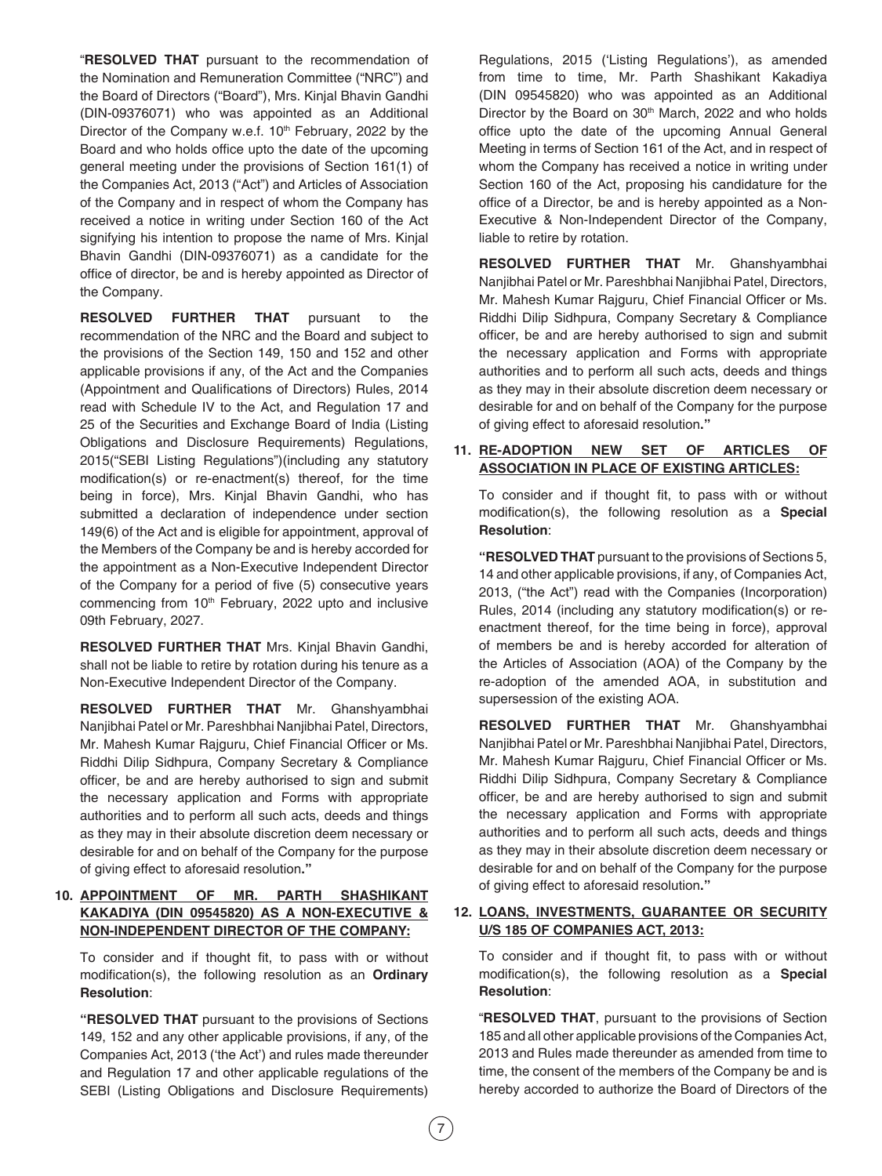"**RESOLVED THAT** pursuant to the recommendation of the Nomination and Remuneration Committee ("NRC") and the Board of Directors ("Board"), Mrs. Kinjal Bhavin Gandhi (DIN-09376071) who was appointed as an Additional Director of the Company w.e.f. 10<sup>th</sup> February, 2022 by the Board and who holds office upto the date of the upcoming general meeting under the provisions of Section 161(1) of the Companies Act, 2013 ("Act") and Articles of Association of the Company and in respect of whom the Company has received a notice in writing under Section 160 of the Act signifying his intention to propose the name of Mrs. Kinjal Bhavin Gandhi (DIN-09376071) as a candidate for the office of director, be and is hereby appointed as Director of the Company.

**RESOLVED FURTHER THAT** pursuant to the recommendation of the NRC and the Board and subject to the provisions of the Section 149, 150 and 152 and other applicable provisions if any, of the Act and the Companies (Appointment and Qualifications of Directors) Rules, 2014 read with Schedule IV to the Act, and Regulation 17 and 25 of the Securities and Exchange Board of India (Listing Obligations and Disclosure Requirements) Regulations, 2015("SEBI Listing Regulations")(including any statutory modification(s) or re-enactment(s) thereof, for the time being in force), Mrs. Kinjal Bhavin Gandhi, who has submitted a declaration of independence under section 149(6) of the Act and is eligible for appointment, approval of the Members of the Company be and is hereby accorded for the appointment as a Non-Executive Independent Director of the Company for a period of five (5) consecutive years commencing from 10<sup>th</sup> February, 2022 upto and inclusive 09th February, 2027.

**RESOLVED FURTHER THAT** Mrs. Kinjal Bhavin Gandhi, shall not be liable to retire by rotation during his tenure as a Non-Executive Independent Director of the Company.

**RESOLVED FURTHER THAT** Mr. Ghanshyambhai Nanjibhai Patel or Mr. Pareshbhai Nanjibhai Patel, Directors, Mr. Mahesh Kumar Rajguru, Chief Financial Officer or Ms. Riddhi Dilip Sidhpura, Company Secretary & Compliance officer, be and are hereby authorised to sign and submit the necessary application and Forms with appropriate authorities and to perform all such acts, deeds and things as they may in their absolute discretion deem necessary or desirable for and on behalf of the Company for the purpose of giving effect to aforesaid resolution**."**

# **10. APPOINTMENT OF MR. PARTH SHASHIKANT KAKADIYA (DIN 09545820) AS A NON-EXECUTIVE & NON-INDEPENDENT DIRECTOR OF THE COMPANY:**

 To consider and if thought fit, to pass with or without modification(s), the following resolution as an **Ordinary Resolution**:

**"RESOLVED THAT** pursuant to the provisions of Sections 149, 152 and any other applicable provisions, if any, of the Companies Act, 2013 ('the Act') and rules made thereunder and Regulation 17 and other applicable regulations of the SEBI (Listing Obligations and Disclosure Requirements)

Regulations, 2015 ('Listing Regulations'), as amended from time to time, Mr. Parth Shashikant Kakadiya (DIN 09545820) who was appointed as an Additional Director by the Board on 30<sup>th</sup> March, 2022 and who holds office upto the date of the upcoming Annual General Meeting in terms of Section 161 of the Act, and in respect of whom the Company has received a notice in writing under Section 160 of the Act, proposing his candidature for the office of a Director, be and is hereby appointed as a Non-Executive & Non-Independent Director of the Company, liable to retire by rotation.

**RESOLVED FURTHER THAT** Mr. Ghanshyambhai Nanjibhai Patel or Mr. Pareshbhai Nanjibhai Patel, Directors, Mr. Mahesh Kumar Rajguru, Chief Financial Officer or Ms. Riddhi Dilip Sidhpura, Company Secretary & Compliance officer, be and are hereby authorised to sign and submit the necessary application and Forms with appropriate authorities and to perform all such acts, deeds and things as they may in their absolute discretion deem necessary or desirable for and on behalf of the Company for the purpose of giving effect to aforesaid resolution**."**

# **11. RE-ADOPTION NEW SET OF ARTICLES OF ASSOCIATION IN PLACE OF EXISTING ARTICLES:**

 To consider and if thought fit, to pass with or without modification(s), the following resolution as a **Special Resolution**:

**"RESOLVED THAT** pursuant to the provisions of Sections 5, 14 and other applicable provisions, if any, of Companies Act, 2013, ("the Act") read with the Companies (Incorporation) Rules, 2014 (including any statutory modification(s) or reenactment thereof, for the time being in force), approval of members be and is hereby accorded for alteration of the Articles of Association (AOA) of the Company by the re-adoption of the amended AOA, in substitution and supersession of the existing AOA.

**RESOLVED FURTHER THAT** Mr. Ghanshyambhai Nanjibhai Patel or Mr. Pareshbhai Nanjibhai Patel, Directors, Mr. Mahesh Kumar Rajguru, Chief Financial Officer or Ms. Riddhi Dilip Sidhpura, Company Secretary & Compliance officer, be and are hereby authorised to sign and submit the necessary application and Forms with appropriate authorities and to perform all such acts, deeds and things as they may in their absolute discretion deem necessary or desirable for and on behalf of the Company for the purpose of giving effect to aforesaid resolution**."**

# **12. LOANS, INVESTMENTS, GUARANTEE OR SECURITY U/S 185 OF COMPANIES ACT, 2013:**

 To consider and if thought fit, to pass with or without modification(s), the following resolution as a **Special Resolution**:

"**RESOLVED THAT**, pursuant to the provisions of Section 185 and all other applicable provisions of the Companies Act, 2013 and Rules made thereunder as amended from time to time, the consent of the members of the Company be and is hereby accorded to authorize the Board of Directors of the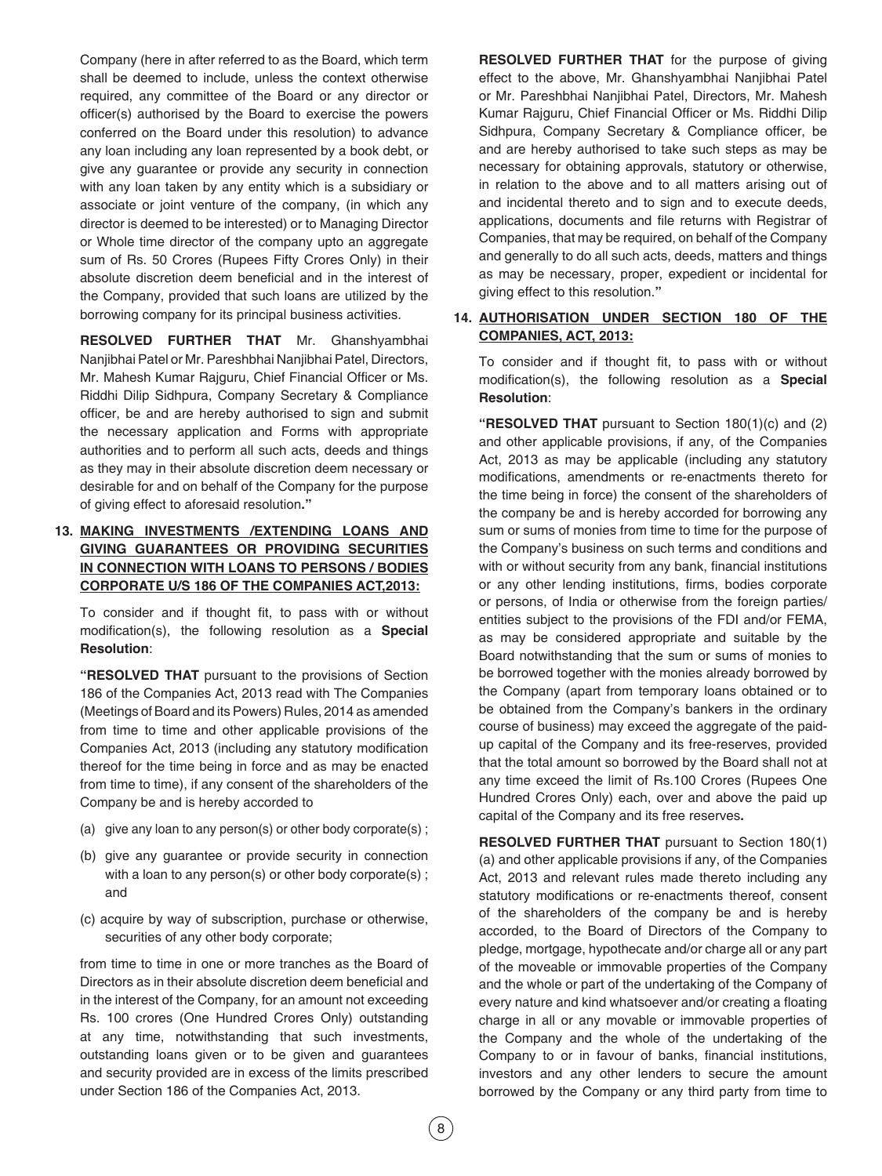Company (here in after referred to as the Board, which term shall be deemed to include, unless the context otherwise required, any committee of the Board or any director or officer(s) authorised by the Board to exercise the powers conferred on the Board under this resolution) to advance any loan including any loan represented by a book debt, or give any guarantee or provide any security in connection with any loan taken by any entity which is a subsidiary or associate or joint venture of the company, (in which any director is deemed to be interested) or to Managing Director or Whole time director of the company upto an aggregate sum of Rs. 50 Crores (Rupees Fifty Crores Only) in their absolute discretion deem beneficial and in the interest of the Company, provided that such loans are utilized by the borrowing company for its principal business activities.

**RESOLVED FURTHER THAT** Mr. Ghanshyambhai Nanjibhai Patel or Mr. Pareshbhai Nanjibhai Patel, Directors, Mr. Mahesh Kumar Rajguru, Chief Financial Officer or Ms. Riddhi Dilip Sidhpura, Company Secretary & Compliance officer, be and are hereby authorised to sign and submit the necessary application and Forms with appropriate authorities and to perform all such acts, deeds and things as they may in their absolute discretion deem necessary or desirable for and on behalf of the Company for the purpose of giving effect to aforesaid resolution**."**

# **13. MAKING INVESTMENTS /EXTENDING LOANS AND GIVING GUARANTEES OR PROVIDING SECURITIES IN CONNECTION WITH LOANS TO PERSONS / BODIES CORPORATE U/S 186 OF THE COMPANIES ACT,2013:**

 To consider and if thought fit, to pass with or without modification(s), the following resolution as a **Special Resolution**:

**"RESOLVED THAT** pursuant to the provisions of Section 186 of the Companies Act, 2013 read with The Companies (Meetings of Board and its Powers) Rules, 2014 as amended from time to time and other applicable provisions of the Companies Act, 2013 (including any statutory modification thereof for the time being in force and as may be enacted from time to time), if any consent of the shareholders of the Company be and is hereby accorded to

- (a) give any loan to any person(s) or other body corporate(s);
- (b) give any guarantee or provide security in connection with a loan to any person(s) or other body corporate(s); and
- (c) acquire by way of subscription, purchase or otherwise, securities of any other body corporate;

 from time to time in one or more tranches as the Board of Directors as in their absolute discretion deem beneficial and in the interest of the Company, for an amount not exceeding Rs. 100 crores (One Hundred Crores Only) outstanding at any time, notwithstanding that such investments, outstanding loans given or to be given and guarantees and security provided are in excess of the limits prescribed under Section 186 of the Companies Act, 2013.

**RESOLVED FURTHER THAT** for the purpose of giving effect to the above, Mr. Ghanshyambhai Nanjibhai Patel or Mr. Pareshbhai Nanjibhai Patel, Directors, Mr. Mahesh Kumar Rajguru, Chief Financial Officer or Ms. Riddhi Dilip Sidhpura, Company Secretary & Compliance officer, be and are hereby authorised to take such steps as may be necessary for obtaining approvals, statutory or otherwise, in relation to the above and to all matters arising out of and incidental thereto and to sign and to execute deeds, applications, documents and file returns with Registrar of Companies, that may be required, on behalf of the Company and generally to do all such acts, deeds, matters and things as may be necessary, proper, expedient or incidental for giving effect to this resolution.**"**

### **14. AUTHORISATION UNDER SECTION 180 OF THE COMPANIES, ACT, 2013:**

 To consider and if thought fit, to pass with or without modification(s), the following resolution as a **Special Resolution**:

**"RESOLVED THAT** pursuant to Section 180(1)(c) and (2) and other applicable provisions, if any, of the Companies Act, 2013 as may be applicable (including any statutory modifications, amendments or re-enactments thereto for the time being in force) the consent of the shareholders of the company be and is hereby accorded for borrowing any sum or sums of monies from time to time for the purpose of the Company's business on such terms and conditions and with or without security from any bank, financial institutions or any other lending institutions, firms, bodies corporate or persons, of India or otherwise from the foreign parties/ entities subject to the provisions of the FDI and/or FEMA, as may be considered appropriate and suitable by the Board notwithstanding that the sum or sums of monies to be borrowed together with the monies already borrowed by the Company (apart from temporary loans obtained or to be obtained from the Company's bankers in the ordinary course of business) may exceed the aggregate of the paidup capital of the Company and its free-reserves, provided that the total amount so borrowed by the Board shall not at any time exceed the limit of Rs.100 Crores (Rupees One Hundred Crores Only) each, over and above the paid up capital of the Company and its free reserves**.**

**RESOLVED FURTHER THAT** pursuant to Section 180(1) (a) and other applicable provisions if any, of the Companies Act, 2013 and relevant rules made thereto including any statutory modifications or re-enactments thereof, consent of the shareholders of the company be and is hereby accorded, to the Board of Directors of the Company to pledge, mortgage, hypothecate and/or charge all or any part of the moveable or immovable properties of the Company and the whole or part of the undertaking of the Company of every nature and kind whatsoever and/or creating a floating charge in all or any movable or immovable properties of the Company and the whole of the undertaking of the Company to or in favour of banks, financial institutions, investors and any other lenders to secure the amount borrowed by the Company or any third party from time to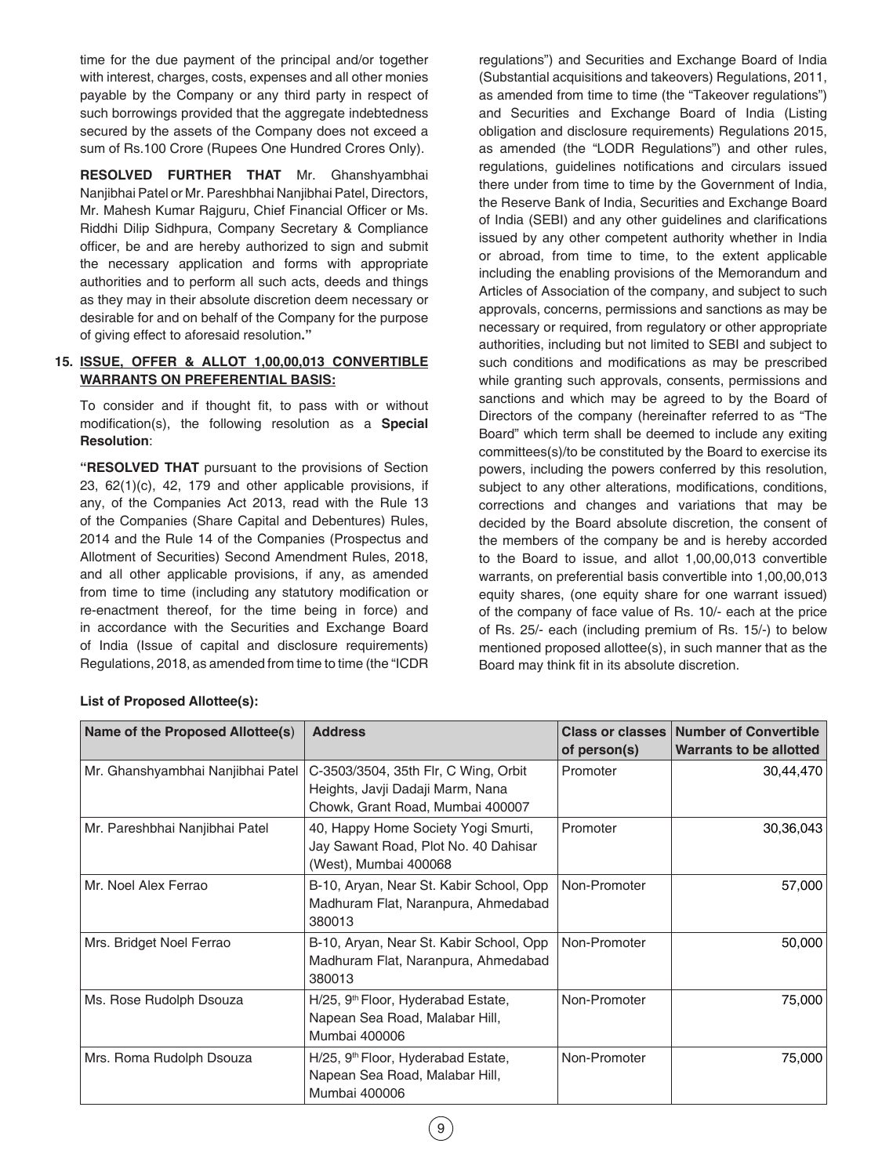time for the due payment of the principal and/or together with interest, charges, costs, expenses and all other monies payable by the Company or any third party in respect of such borrowings provided that the aggregate indebtedness secured by the assets of the Company does not exceed a sum of Rs.100 Crore (Rupees One Hundred Crores Only).

**RESOLVED FURTHER THAT** Mr. Ghanshyambhai Nanjibhai Patel or Mr. Pareshbhai Nanjibhai Patel, Directors, Mr. Mahesh Kumar Rajguru, Chief Financial Officer or Ms. Riddhi Dilip Sidhpura, Company Secretary & Compliance officer, be and are hereby authorized to sign and submit the necessary application and forms with appropriate authorities and to perform all such acts, deeds and things as they may in their absolute discretion deem necessary or desirable for and on behalf of the Company for the purpose of giving effect to aforesaid resolution**."**

### **15. ISSUE, OFFER & ALLOT 1,00,00,013 CONVERTIBLE WARRANTS ON PREFERENTIAL BASIS:**

 To consider and if thought fit, to pass with or without modification(s), the following resolution as a **Special Resolution**:

**"RESOLVED THAT** pursuant to the provisions of Section 23, 62(1)(c), 42, 179 and other applicable provisions, if any, of the Companies Act 2013, read with the Rule 13 of the Companies (Share Capital and Debentures) Rules, 2014 and the Rule 14 of the Companies (Prospectus and Allotment of Securities) Second Amendment Rules, 2018, and all other applicable provisions, if any, as amended from time to time (including any statutory modification or re-enactment thereof, for the time being in force) and in accordance with the Securities and Exchange Board of India (Issue of capital and disclosure requirements) Regulations, 2018, as amended from time to time (the "ICDR

regulations") and Securities and Exchange Board of India (Substantial acquisitions and takeovers) Regulations, 2011, as amended from time to time (the "Takeover regulations") and Securities and Exchange Board of India (Listing obligation and disclosure requirements) Regulations 2015, as amended (the "LODR Regulations") and other rules, regulations, guidelines notifications and circulars issued there under from time to time by the Government of India, the Reserve Bank of India, Securities and Exchange Board of India (SEBI) and any other guidelines and clarifications issued by any other competent authority whether in India or abroad, from time to time, to the extent applicable including the enabling provisions of the Memorandum and Articles of Association of the company, and subject to such approvals, concerns, permissions and sanctions as may be necessary or required, from regulatory or other appropriate authorities, including but not limited to SEBI and subject to such conditions and modifications as may be prescribed while granting such approvals, consents, permissions and sanctions and which may be agreed to by the Board of Directors of the company (hereinafter referred to as "The Board" which term shall be deemed to include any exiting committees(s)/to be constituted by the Board to exercise its powers, including the powers conferred by this resolution, subject to any other alterations, modifications, conditions, corrections and changes and variations that may be decided by the Board absolute discretion, the consent of the members of the company be and is hereby accorded to the Board to issue, and allot 1,00,00,013 convertible warrants, on preferential basis convertible into 1,00,00,013 equity shares, (one equity share for one warrant issued) of the company of face value of Rs. 10/- each at the price of Rs. 25/- each (including premium of Rs. 15/-) to below mentioned proposed allottee(s), in such manner that as the Board may think fit in its absolute discretion.

| Name of the Proposed Allottee(s)  | <b>Address</b>                                                                                               | <b>Class or classes</b><br>of person(s) | <b>Number of Convertible</b><br>Warrants to be allotted |
|-----------------------------------|--------------------------------------------------------------------------------------------------------------|-----------------------------------------|---------------------------------------------------------|
| Mr. Ghanshyambhai Nanjibhai Patel | C-3503/3504, 35th Flr, C Wing, Orbit<br>Heights, Javji Dadaji Marm, Nana<br>Chowk, Grant Road, Mumbai 400007 | Promoter                                | 30,44,470                                               |
| Mr. Pareshbhai Nanjibhai Patel    | 40, Happy Home Society Yogi Smurti,<br>Jay Sawant Road, Plot No. 40 Dahisar<br>(West), Mumbai 400068         | Promoter                                | 30,36,043                                               |
| Mr. Noel Alex Ferrao              | B-10, Aryan, Near St. Kabir School, Opp<br>Madhuram Flat, Naranpura, Ahmedabad<br>380013                     | Non-Promoter                            | 57,000                                                  |
| Mrs. Bridget Noel Ferrao          | B-10, Aryan, Near St. Kabir School, Opp<br>Madhuram Flat, Naranpura, Ahmedabad<br>380013                     | Non-Promoter                            | 50,000                                                  |
| Ms. Rose Rudolph Dsouza           | H/25, 9 <sup>th</sup> Floor, Hyderabad Estate,<br>Napean Sea Road, Malabar Hill,<br>Mumbai 400006            | Non-Promoter                            | 75,000                                                  |
| Mrs. Roma Rudolph Dsouza          | H/25, 9 <sup>th</sup> Floor, Hyderabad Estate,<br>Napean Sea Road, Malabar Hill,<br>Mumbai 400006            | Non-Promoter                            | 75,000                                                  |

# **List of Proposed Allottee(s):**

 $\left(9\right)$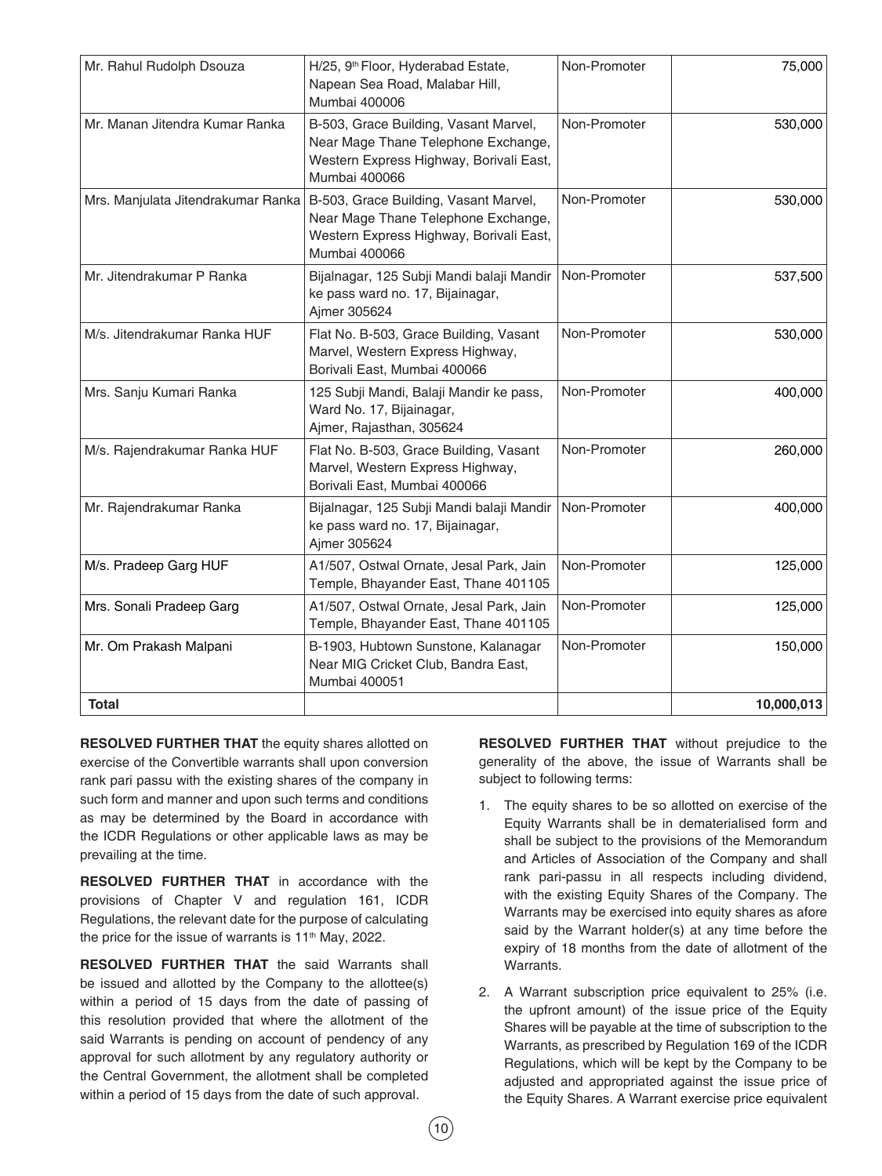| Mr. Rahul Rudolph Dsouza           | H/25, 9 <sup>th</sup> Floor, Hyderabad Estate,<br>Napean Sea Road, Malabar Hill,<br>Mumbai 400006                                        | Non-Promoter | 75,000     |
|------------------------------------|------------------------------------------------------------------------------------------------------------------------------------------|--------------|------------|
| Mr. Manan Jitendra Kumar Ranka     | B-503, Grace Building, Vasant Marvel,<br>Near Mage Thane Telephone Exchange,<br>Western Express Highway, Borivali East,<br>Mumbai 400066 | Non-Promoter | 530,000    |
| Mrs. Manjulata Jitendrakumar Ranka | B-503, Grace Building, Vasant Marvel,<br>Near Mage Thane Telephone Exchange,<br>Western Express Highway, Borivali East,<br>Mumbai 400066 | Non-Promoter | 530,000    |
| Mr. Jitendrakumar P Ranka          | Bijalnagar, 125 Subji Mandi balaji Mandir<br>ke pass ward no. 17, Bijainagar,<br>Ajmer 305624                                            | Non-Promoter | 537,500    |
| M/s. Jitendrakumar Ranka HUF       | Flat No. B-503, Grace Building, Vasant<br>Marvel, Western Express Highway,<br>Borivali East, Mumbai 400066                               | Non-Promoter | 530,000    |
| Mrs. Sanju Kumari Ranka            | 125 Subji Mandi, Balaji Mandir ke pass,<br>Ward No. 17, Bijainagar,<br>Ajmer, Rajasthan, 305624                                          | Non-Promoter | 400,000    |
| M/s. Rajendrakumar Ranka HUF       | Flat No. B-503, Grace Building, Vasant<br>Marvel, Western Express Highway,<br>Borivali East, Mumbai 400066                               | Non-Promoter | 260,000    |
| Mr. Rajendrakumar Ranka            | Bijalnagar, 125 Subji Mandi balaji Mandir<br>ke pass ward no. 17, Bijainagar,<br>Ajmer 305624                                            | Non-Promoter | 400,000    |
| M/s. Pradeep Garg HUF              | A1/507, Ostwal Ornate, Jesal Park, Jain<br>Temple, Bhayander East, Thane 401105                                                          | Non-Promoter | 125,000    |
| Mrs. Sonali Pradeep Garg           | A1/507, Ostwal Ornate, Jesal Park, Jain<br>Temple, Bhayander East, Thane 401105                                                          | Non-Promoter | 125,000    |
| Mr. Om Prakash Malpani             | B-1903, Hubtown Sunstone, Kalanagar<br>Near MIG Cricket Club, Bandra East,<br>Mumbai 400051                                              | Non-Promoter | 150,000    |
| <b>Total</b>                       |                                                                                                                                          |              | 10,000,013 |

**RESOLVED FURTHER THAT** the equity shares allotted on exercise of the Convertible warrants shall upon conversion rank pari passu with the existing shares of the company in such form and manner and upon such terms and conditions as may be determined by the Board in accordance with the ICDR Regulations or other applicable laws as may be prevailing at the time.

**RESOLVED FURTHER THAT** in accordance with the provisions of Chapter V and regulation 161, ICDR Regulations, the relevant date for the purpose of calculating the price for the issue of warrants is 11<sup>th</sup> May, 2022.

**RESOLVED FURTHER THAT** the said Warrants shall be issued and allotted by the Company to the allottee(s) within a period of 15 days from the date of passing of this resolution provided that where the allotment of the said Warrants is pending on account of pendency of any approval for such allotment by any regulatory authority or the Central Government, the allotment shall be completed within a period of 15 days from the date of such approval.

**RESOLVED FURTHER THAT** without prejudice to the generality of the above, the issue of Warrants shall be subject to following terms:

- 1. The equity shares to be so allotted on exercise of the Equity Warrants shall be in dematerialised form and shall be subject to the provisions of the Memorandum and Articles of Association of the Company and shall rank pari-passu in all respects including dividend, with the existing Equity Shares of the Company. The Warrants may be exercised into equity shares as afore said by the Warrant holder(s) at any time before the expiry of 18 months from the date of allotment of the Warrants.
- 2. A Warrant subscription price equivalent to 25% (i.e. the upfront amount) of the issue price of the Equity Shares will be payable at the time of subscription to the Warrants, as prescribed by Regulation 169 of the ICDR Regulations, which will be kept by the Company to be adjusted and appropriated against the issue price of the Equity Shares. A Warrant exercise price equivalent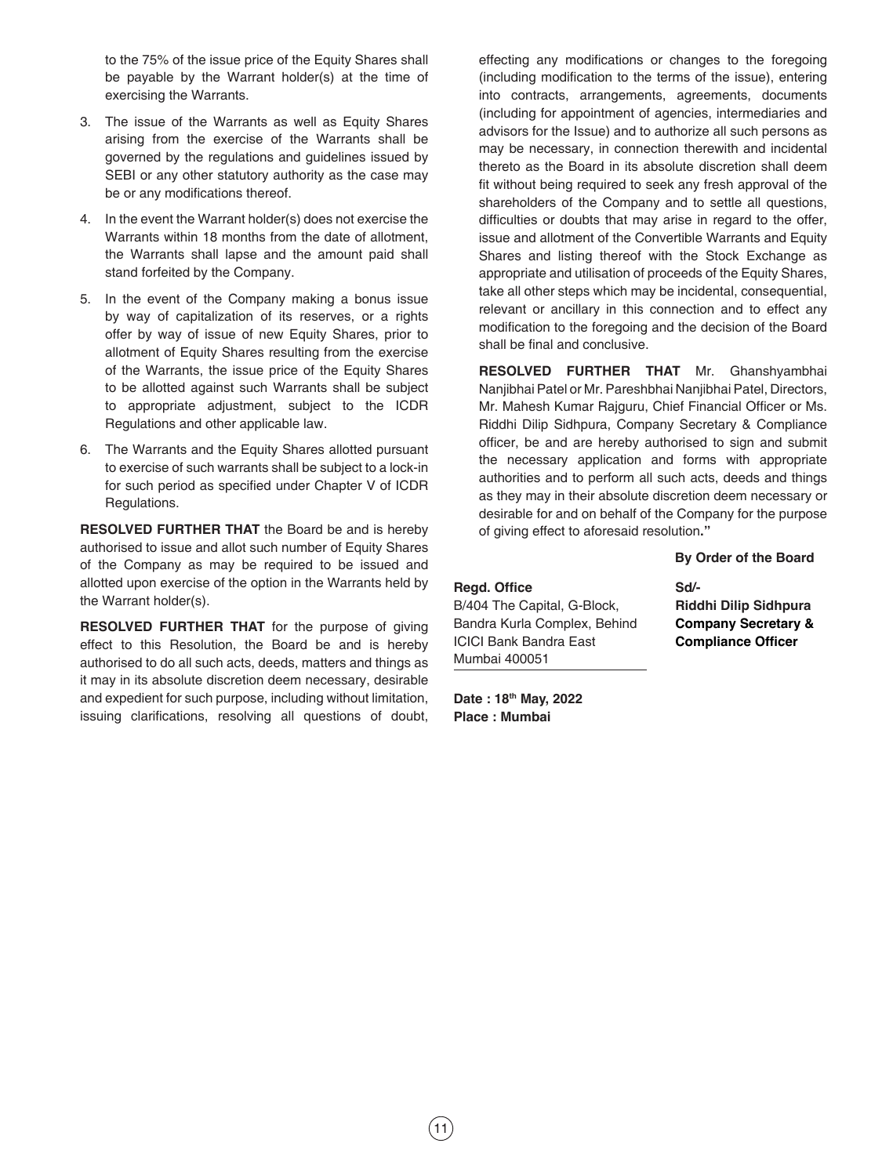to the 75% of the issue price of the Equity Shares shall be payable by the Warrant holder(s) at the time of exercising the Warrants.

- 3. The issue of the Warrants as well as Equity Shares arising from the exercise of the Warrants shall be governed by the regulations and guidelines issued by SEBI or any other statutory authority as the case may be or any modifications thereof.
- 4. In the event the Warrant holder(s) does not exercise the Warrants within 18 months from the date of allotment, the Warrants shall lapse and the amount paid shall stand forfeited by the Company.
- 5. In the event of the Company making a bonus issue by way of capitalization of its reserves, or a rights offer by way of issue of new Equity Shares, prior to allotment of Equity Shares resulting from the exercise of the Warrants, the issue price of the Equity Shares to be allotted against such Warrants shall be subject to appropriate adjustment, subject to the ICDR Regulations and other applicable law.
- 6. The Warrants and the Equity Shares allotted pursuant to exercise of such warrants shall be subject to a lock-in for such period as specified under Chapter V of ICDR Regulations.

**RESOLVED FURTHER THAT** the Board be and is hereby authorised to issue and allot such number of Equity Shares of the Company as may be required to be issued and allotted upon exercise of the option in the Warrants held by the Warrant holder(s).

**RESOLVED FURTHER THAT** for the purpose of giving effect to this Resolution, the Board be and is hereby authorised to do all such acts, deeds, matters and things as it may in its absolute discretion deem necessary, desirable and expedient for such purpose, including without limitation, issuing clarifications, resolving all questions of doubt,

effecting any modifications or changes to the foregoing (including modification to the terms of the issue), entering into contracts, arrangements, agreements, documents (including for appointment of agencies, intermediaries and advisors for the Issue) and to authorize all such persons as may be necessary, in connection therewith and incidental thereto as the Board in its absolute discretion shall deem fit without being required to seek any fresh approval of the shareholders of the Company and to settle all questions, difficulties or doubts that may arise in regard to the offer, issue and allotment of the Convertible Warrants and Equity Shares and listing thereof with the Stock Exchange as appropriate and utilisation of proceeds of the Equity Shares, take all other steps which may be incidental, consequential, relevant or ancillary in this connection and to effect any modification to the foregoing and the decision of the Board shall be final and conclusive.

**RESOLVED FURTHER THAT** Mr. Ghanshyambhai Nanjibhai Patel or Mr. Pareshbhai Nanjibhai Patel, Directors, Mr. Mahesh Kumar Rajguru, Chief Financial Officer or Ms. Riddhi Dilip Sidhpura, Company Secretary & Compliance officer, be and are hereby authorised to sign and submit the necessary application and forms with appropriate authorities and to perform all such acts, deeds and things as they may in their absolute discretion deem necessary or desirable for and on behalf of the Company for the purpose of giving effect to aforesaid resolution**."**

#### **By Order of the Board**

# **Regd. Office**

B/404 The Capital, G-Block, Bandra Kurla Complex, Behind ICICI Bank Bandra East Mumbai 400051

**Date : 18th May, 2022 Place : Mumbai**

**Sd/- Riddhi Dilip Sidhpura Company Secretary & Compliance Officer**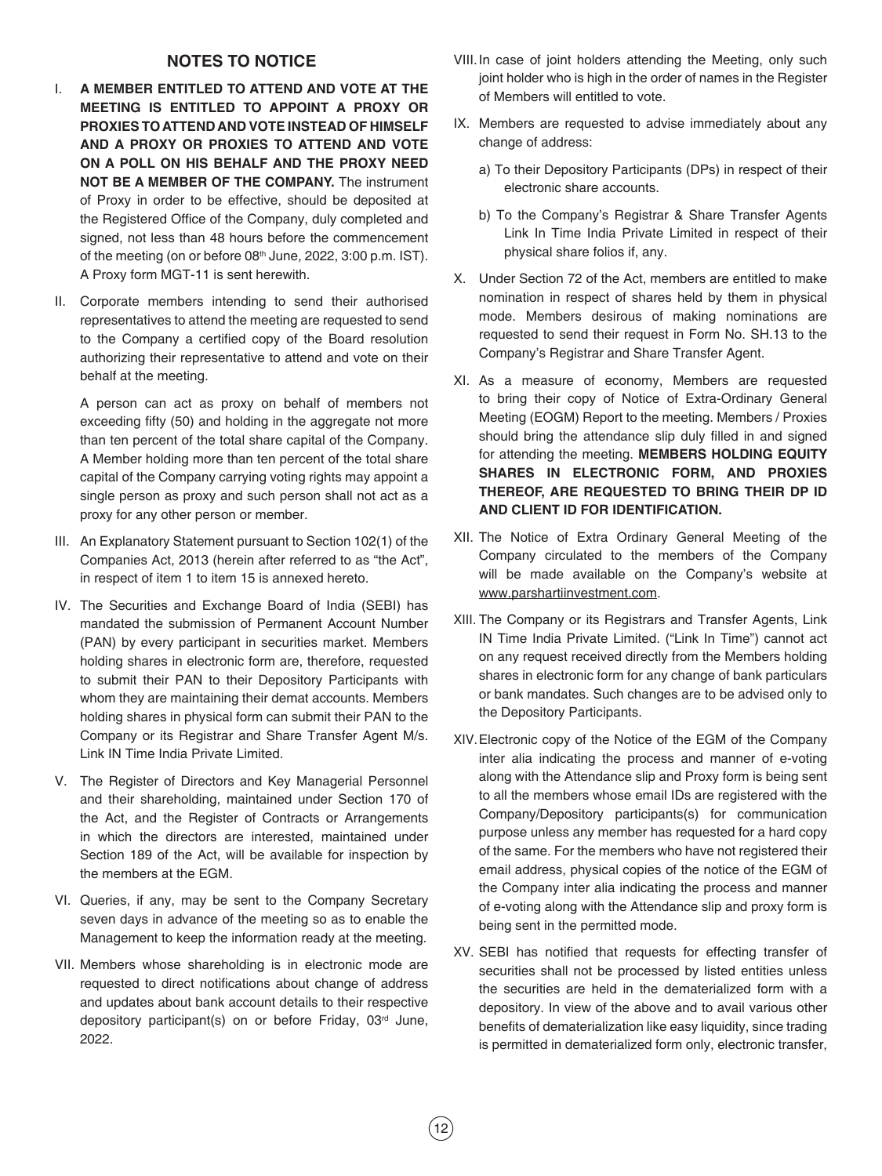# **NOTES TO NOTICE**

- I. **A MEMBER ENTITLED TO ATTEND AND VOTE AT THE MEETING IS ENTITLED TO APPOINT A PROXY OR PROXIES TO ATTEND AND VOTE INSTEAD OF HIMSELF AND A PROXY OR PROXIES TO ATTEND AND VOTE ON A POLL ON HIS BEHALF AND THE PROXY NEED NOT BE A MEMBER OF THE COMPANY.** The instrument of Proxy in order to be effective, should be deposited at the Registered Office of the Company, duly completed and signed, not less than 48 hours before the commencement of the meeting (on or before 08<sup>th</sup> June, 2022, 3:00 p.m. IST). A Proxy form MGT-11 is sent herewith.
- II. Corporate members intending to send their authorised representatives to attend the meeting are requested to send to the Company a certified copy of the Board resolution authorizing their representative to attend and vote on their behalf at the meeting.

 A person can act as proxy on behalf of members not exceeding fifty (50) and holding in the aggregate not more than ten percent of the total share capital of the Company. A Member holding more than ten percent of the total share capital of the Company carrying voting rights may appoint a single person as proxy and such person shall not act as a proxy for any other person or member.

- III. An Explanatory Statement pursuant to Section 102(1) of the Companies Act, 2013 (herein after referred to as "the Act", in respect of item 1 to item 15 is annexed hereto.
- IV. The Securities and Exchange Board of India (SEBI) has mandated the submission of Permanent Account Number (PAN) by every participant in securities market. Members holding shares in electronic form are, therefore, requested to submit their PAN to their Depository Participants with whom they are maintaining their demat accounts. Members holding shares in physical form can submit their PAN to the Company or its Registrar and Share Transfer Agent M/s. Link IN Time India Private Limited.
- V. The Register of Directors and Key Managerial Personnel and their shareholding, maintained under Section 170 of the Act, and the Register of Contracts or Arrangements in which the directors are interested, maintained under Section 189 of the Act, will be available for inspection by the members at the EGM.
- VI. Queries, if any, may be sent to the Company Secretary seven days in advance of the meeting so as to enable the Management to keep the information ready at the meeting.
- VII. Members whose shareholding is in electronic mode are requested to direct notifications about change of address and updates about bank account details to their respective depository participant(s) on or before Friday, 03rd June, 2022.

12

- VIII. In case of joint holders attending the Meeting, only such joint holder who is high in the order of names in the Register of Members will entitled to vote.
- IX. Members are requested to advise immediately about any change of address:
	- a) To their Depository Participants (DPs) in respect of their electronic share accounts.
	- b) To the Company's Registrar & Share Transfer Agents Link In Time India Private Limited in respect of their physical share folios if, any.
- X. Under Section 72 of the Act, members are entitled to make nomination in respect of shares held by them in physical mode. Members desirous of making nominations are requested to send their request in Form No. SH.13 to the Company's Registrar and Share Transfer Agent.
- XI. As a measure of economy, Members are requested to bring their copy of Notice of Extra-Ordinary General Meeting (EOGM) Report to the meeting. Members / Proxies should bring the attendance slip duly filled in and signed for attending the meeting. **MEMBERS HOLDING EQUITY SHARES IN ELECTRONIC FORM, AND PROXIES THEREOF, ARE REQUESTED TO BRING THEIR DP ID AND CLIENT ID FOR IDENTIFICATION.**
- XII. The Notice of Extra Ordinary General Meeting of the Company circulated to the members of the Company will be made available on the Company's website at www.parshartiinvestment.com.
- XIII. The Company or its Registrars and Transfer Agents, Link IN Time India Private Limited. ("Link In Time") cannot act on any request received directly from the Members holding shares in electronic form for any change of bank particulars or bank mandates. Such changes are to be advised only to the Depository Participants.
- XIV. Electronic copy of the Notice of the EGM of the Company inter alia indicating the process and manner of e-voting along with the Attendance slip and Proxy form is being sent to all the members whose email IDs are registered with the Company/Depository participants(s) for communication purpose unless any member has requested for a hard copy of the same. For the members who have not registered their email address, physical copies of the notice of the EGM of the Company inter alia indicating the process and manner of e-voting along with the Attendance slip and proxy form is being sent in the permitted mode.
- XV. SEBI has notified that requests for effecting transfer of securities shall not be processed by listed entities unless the securities are held in the dematerialized form with a depository. In view of the above and to avail various other benefits of dematerialization like easy liquidity, since trading is permitted in dematerialized form only, electronic transfer,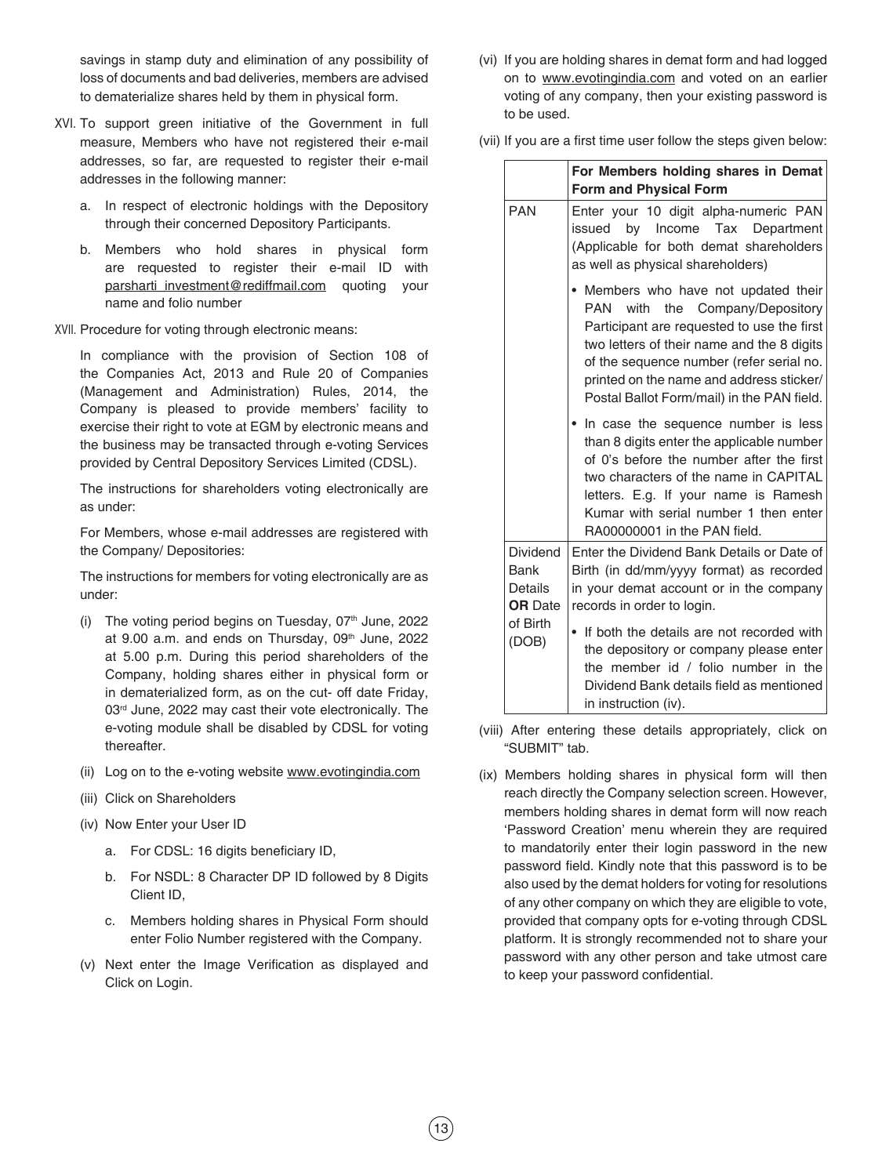savings in stamp duty and elimination of any possibility of loss of documents and bad deliveries, members are advised to dematerialize shares held by them in physical form.

- XVI. To support green initiative of the Government in full measure, Members who have not registered their e-mail addresses, so far, are requested to register their e-mail addresses in the following manner:
	- a. In respect of electronic holdings with the Depository through their concerned Depository Participants.
	- b. Members who hold shares in physical form are requested to register their e-mail ID with parsharti\_investment@rediffmail.com quoting your name and folio number
- XVII. Procedure for voting through electronic means:

 In compliance with the provision of Section 108 of the Companies Act, 2013 and Rule 20 of Companies (Management and Administration) Rules, 2014, the Company is pleased to provide members' facility to exercise their right to vote at EGM by electronic means and the business may be transacted through e-voting Services provided by Central Depository Services Limited (CDSL).

 The instructions for shareholders voting electronically are as under:

 For Members, whose e-mail addresses are registered with the Company/ Depositories:

 The instructions for members for voting electronically are as under:

- (i) The voting period begins on Tuesday,  $07<sup>th</sup>$  June, 2022 at  $9.00$  a.m. and ends on Thursday,  $09<sup>th</sup>$  June, 2022 at 5.00 p.m. During this period shareholders of the Company, holding shares either in physical form or in dematerialized form, as on the cut- off date Friday, 03<sup>rd</sup> June, 2022 may cast their vote electronically. The e-voting module shall be disabled by CDSL for voting thereafter.
- (ii) Log on to the e-voting website www.evotingindia.com
- (iii) Click on Shareholders
- (iv) Now Enter your User ID
	- a. For CDSL: 16 digits beneficiary ID,
	- b. For NSDL: 8 Character DP ID followed by 8 Digits Client ID,
	- c. Members holding shares in Physical Form should enter Folio Number registered with the Company.
- (v) Next enter the Image Verification as displayed and Click on Login.
- (vi) If you are holding shares in demat form and had logged on to www.evotingindia.com and voted on an earlier voting of any company, then your existing password is to be used.
- (vii) If you are a first time user follow the steps given below:

|                                                      | For Members holding shares in Demat<br><b>Form and Physical Form</b>                                                                                                                                                                                                                                         |
|------------------------------------------------------|--------------------------------------------------------------------------------------------------------------------------------------------------------------------------------------------------------------------------------------------------------------------------------------------------------------|
| <b>PAN</b>                                           | Enter your 10 digit alpha-numeric PAN<br>issued by Income Tax Department<br>(Applicable for both demat shareholders<br>as well as physical shareholders)                                                                                                                                                     |
|                                                      | • Members who have not updated their<br>PAN<br>with the Company/Depository<br>Participant are requested to use the first<br>two letters of their name and the 8 digits<br>of the sequence number (refer serial no.<br>printed on the name and address sticker/<br>Postal Ballot Form/mail) in the PAN field. |
|                                                      | • In case the sequence number is less<br>than 8 digits enter the applicable number<br>of 0's before the number after the first<br>two characters of the name in CAPITAL<br>letters. E.g. If your name is Ramesh<br>Kumar with serial number 1 then enter<br>RA00000001 in the PAN field.                     |
| <b>Dividend</b><br>Bank<br>Details<br><b>OR</b> Date | Enter the Dividend Bank Details or Date of<br>Birth (in dd/mm/yyyy format) as recorded<br>in your demat account or in the company<br>records in order to login.                                                                                                                                              |
| of Birth<br>(DOB)                                    | • If both the details are not recorded with<br>the depository or company please enter<br>the member id / folio number in the<br>Dividend Bank details field as mentioned<br>in instruction (iv).                                                                                                             |

- (viii) After entering these details appropriately, click on "SUBMIT" tab.
- (ix) Members holding shares in physical form will then reach directly the Company selection screen. However, members holding shares in demat form will now reach 'Password Creation' menu wherein they are required to mandatorily enter their login password in the new password field. Kindly note that this password is to be also used by the demat holders for voting for resolutions of any other company on which they are eligible to vote, provided that company opts for e-voting through CDSL platform. It is strongly recommended not to share your password with any other person and take utmost care to keep your password confidential.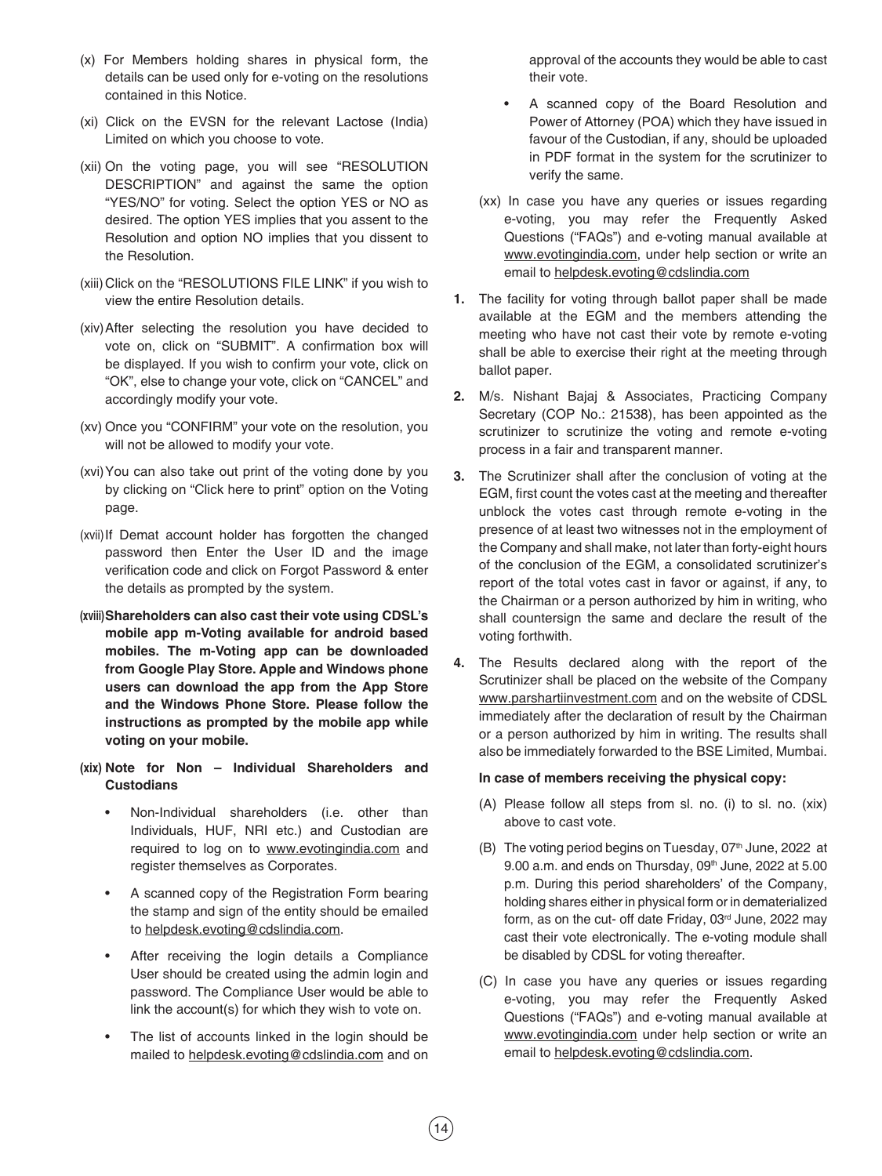- (x) For Members holding shares in physical form, the details can be used only for e-voting on the resolutions contained in this Notice.
- (xi) Click on the EVSN for the relevant Lactose (India) Limited on which you choose to vote.
- (xii) On the voting page, you will see "RESOLUTION DESCRIPTION" and against the same the option "YES/NO" for voting. Select the option YES or NO as desired. The option YES implies that you assent to the Resolution and option NO implies that you dissent to the Resolution.
- (xiii) Click on the "RESOLUTIONS FILE LINK" if you wish to view the entire Resolution details.
- (xiv) After selecting the resolution you have decided to vote on, click on "SUBMIT". A confirmation box will be displayed. If you wish to confirm your vote, click on "OK", else to change your vote, click on "CANCEL" and accordingly modify your vote.
- (xv) Once you "CONFIRM" your vote on the resolution, you will not be allowed to modify your vote.
- (xvi) You can also take out print of the voting done by you by clicking on "Click here to print" option on the Voting page.
- (xvii) If Demat account holder has forgotten the changed password then Enter the User ID and the image verification code and click on Forgot Password & enter the details as prompted by the system.
- **(xviii)Shareholders can also cast their vote using CDSL's mobile app m-Voting available for android based mobiles. The m-Voting app can be downloaded from Google Play Store. Apple and Windows phone users can download the app from the App Store and the Windows Phone Store. Please follow the instructions as prompted by the mobile app while voting on your mobile.**
- **(xix) Note for Non Individual Shareholders and Custodians**
	- Non-Individual shareholders (i.e. other than Individuals, HUF, NRI etc.) and Custodian are required to log on to www.evotingindia.com and register themselves as Corporates.
	- A scanned copy of the Registration Form bearing the stamp and sign of the entity should be emailed to helpdesk.evoting@cdslindia.com.
	- After receiving the login details a Compliance User should be created using the admin login and password. The Compliance User would be able to link the account(s) for which they wish to vote on.
	- The list of accounts linked in the login should be mailed to helpdesk.evoting@cdslindia.com and on

approval of the accounts they would be able to cast their vote.

- • A scanned copy of the Board Resolution and Power of Attorney (POA) which they have issued in favour of the Custodian, if any, should be uploaded in PDF format in the system for the scrutinizer to verify the same.
- (xx) In case you have any queries or issues regarding e-voting, you may refer the Frequently Asked Questions ("FAQs") and e-voting manual available at www.evotingindia.com, under help section or write an email to helpdesk.evoting@cdslindia.com
- **1.** The facility for voting through ballot paper shall be made available at the EGM and the members attending the meeting who have not cast their vote by remote e-voting shall be able to exercise their right at the meeting through ballot paper.
- **2.** M/s. Nishant Bajaj & Associates, Practicing Company Secretary (COP No.: 21538), has been appointed as the scrutinizer to scrutinize the voting and remote e-voting process in a fair and transparent manner.
- **3.** The Scrutinizer shall after the conclusion of voting at the EGM, first count the votes cast at the meeting and thereafter unblock the votes cast through remote e-voting in the presence of at least two witnesses not in the employment of the Company and shall make, not later than forty-eight hours of the conclusion of the EGM, a consolidated scrutinizer's report of the total votes cast in favor or against, if any, to the Chairman or a person authorized by him in writing, who shall countersign the same and declare the result of the voting forthwith.
- **4.** The Results declared along with the report of the Scrutinizer shall be placed on the website of the Company www.parshartiinvestment.com and on the website of CDSL immediately after the declaration of result by the Chairman or a person authorized by him in writing. The results shall also be immediately forwarded to the BSE Limited, Mumbai.

#### **In case of members receiving the physical copy:**

- (A) Please follow all steps from sl. no. (i) to sl. no.  $(xix)$ above to cast vote.
- (B) The voting period begins on Tuesday,  $07<sup>th</sup>$  June, 2022 at 9.00 a.m. and ends on Thursday, 09<sup>th</sup> June, 2022 at 5.00 p.m. During this period shareholders' of the Company, holding shares either in physical form or in dematerialized form, as on the cut- off date Friday, 03rd June, 2022 may cast their vote electronically. The e-voting module shall be disabled by CDSL for voting thereafter.
- (C) In case you have any queries or issues regarding e-voting, you may refer the Frequently Asked Questions ("FAQs") and e-voting manual available at www.evotingindia.com under help section or write an email to helpdesk.evoting@cdslindia.com.

14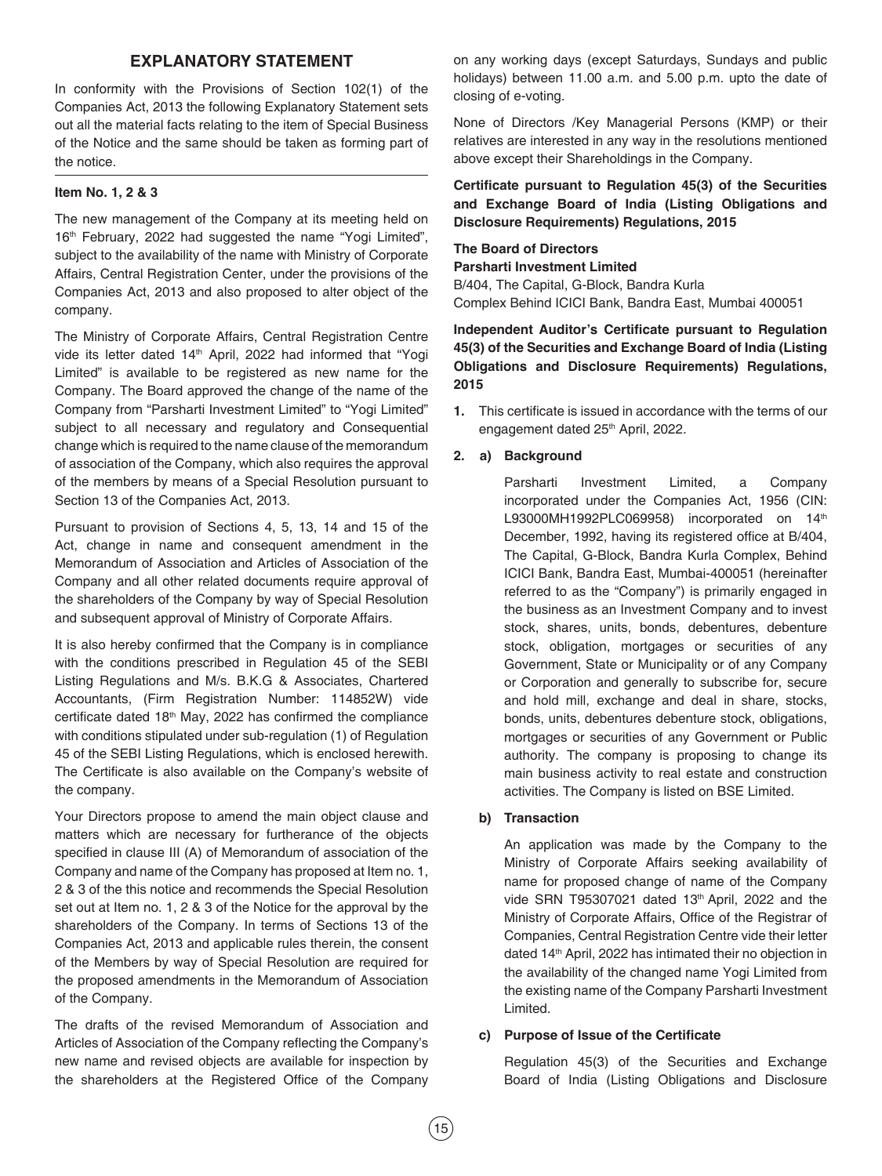# **EXPLANATORY STATEMENT**

In conformity with the Provisions of Section 102(1) of the Companies Act, 2013 the following Explanatory Statement sets out all the material facts relating to the item of Special Business of the Notice and the same should be taken as forming part of the notice.

#### **Item No. 1, 2 & 3**

The new management of the Company at its meeting held on 16<sup>th</sup> February, 2022 had suggested the name "Yogi Limited", subject to the availability of the name with Ministry of Corporate Affairs, Central Registration Center, under the provisions of the Companies Act, 2013 and also proposed to alter object of the company.

The Ministry of Corporate Affairs, Central Registration Centre vide its letter dated 14<sup>th</sup> April, 2022 had informed that "Yogi Limited" is available to be registered as new name for the Company. The Board approved the change of the name of the Company from "Parsharti Investment Limited" to "Yogi Limited" subject to all necessary and regulatory and Consequential change which is required to the name clause of the memorandum of association of the Company, which also requires the approval of the members by means of a Special Resolution pursuant to Section 13 of the Companies Act, 2013.

Pursuant to provision of Sections 4, 5, 13, 14 and 15 of the Act, change in name and consequent amendment in the Memorandum of Association and Articles of Association of the Company and all other related documents require approval of the shareholders of the Company by way of Special Resolution and subsequent approval of Ministry of Corporate Affairs.

It is also hereby confirmed that the Company is in compliance with the conditions prescribed in Regulation 45 of the SEBI Listing Regulations and M/s. B.K.G & Associates, Chartered Accountants, (Firm Registration Number: 114852W) vide certificate dated 18th May, 2022 has confirmed the compliance with conditions stipulated under sub-regulation (1) of Regulation 45 of the SEBI Listing Regulations, which is enclosed herewith. The Certificate is also available on the Company's website of the company.

Your Directors propose to amend the main object clause and matters which are necessary for furtherance of the objects specified in clause III (A) of Memorandum of association of the Company and name of the Company has proposed at Item no. 1, 2 & 3 of the this notice and recommends the Special Resolution set out at Item no. 1, 2 & 3 of the Notice for the approval by the shareholders of the Company. In terms of Sections 13 of the Companies Act, 2013 and applicable rules therein, the consent of the Members by way of Special Resolution are required for the proposed amendments in the Memorandum of Association of the Company.

The drafts of the revised Memorandum of Association and Articles of Association of the Company reflecting the Company's new name and revised objects are available for inspection by the shareholders at the Registered Office of the Company

on any working days (except Saturdays, Sundays and public holidays) between 11.00 a.m. and 5.00 p.m. upto the date of closing of e-voting.

None of Directors /Key Managerial Persons (KMP) or their relatives are interested in any way in the resolutions mentioned above except their Shareholdings in the Company.

**Certificate pursuant to Regulation 45(3) of the Securities and Exchange Board of India (Listing Obligations and Disclosure Requirements) Regulations, 2015**

# **The Board of Directors Parsharti Investment Limited** B/404, The Capital, G-Block, Bandra Kurla Complex Behind ICICI Bank, Bandra East, Mumbai 400051

**Independent Auditor's Certificate pursuant to Regulation 45(3) of the Securities and Exchange Board of India (Listing Obligations and Disclosure Requirements) Regulations, 2015**

**1.** This certificate is issued in accordance with the terms of our engagement dated 25<sup>th</sup> April, 2022.

# **2. a) Background**

 Parsharti Investment Limited, a Company incorporated under the Companies Act, 1956 (CIN: L93000MH1992PLC069958) incorporated on 14th December, 1992, having its registered office at B/404, The Capital, G-Block, Bandra Kurla Complex, Behind ICICI Bank, Bandra East, Mumbai-400051 (hereinafter referred to as the "Company") is primarily engaged in the business as an Investment Company and to invest stock, shares, units, bonds, debentures, debenture stock, obligation, mortgages or securities of any Government, State or Municipality or of any Company or Corporation and generally to subscribe for, secure and hold mill, exchange and deal in share, stocks, bonds, units, debentures debenture stock, obligations, mortgages or securities of any Government or Public authority. The company is proposing to change its main business activity to real estate and construction activities. The Company is listed on BSE Limited.

# **b) Transaction**

 An application was made by the Company to the Ministry of Corporate Affairs seeking availability of name for proposed change of name of the Company vide SRN T95307021 dated 13th April, 2022 and the Ministry of Corporate Affairs, Office of the Registrar of Companies, Central Registration Centre vide their letter dated 14<sup>th</sup> April, 2022 has intimated their no objection in the availability of the changed name Yogi Limited from the existing name of the Company Parsharti Investment Limited.

#### **c) Purpose of Issue of the Certificate**

 Regulation 45(3) of the Securities and Exchange Board of India (Listing Obligations and Disclosure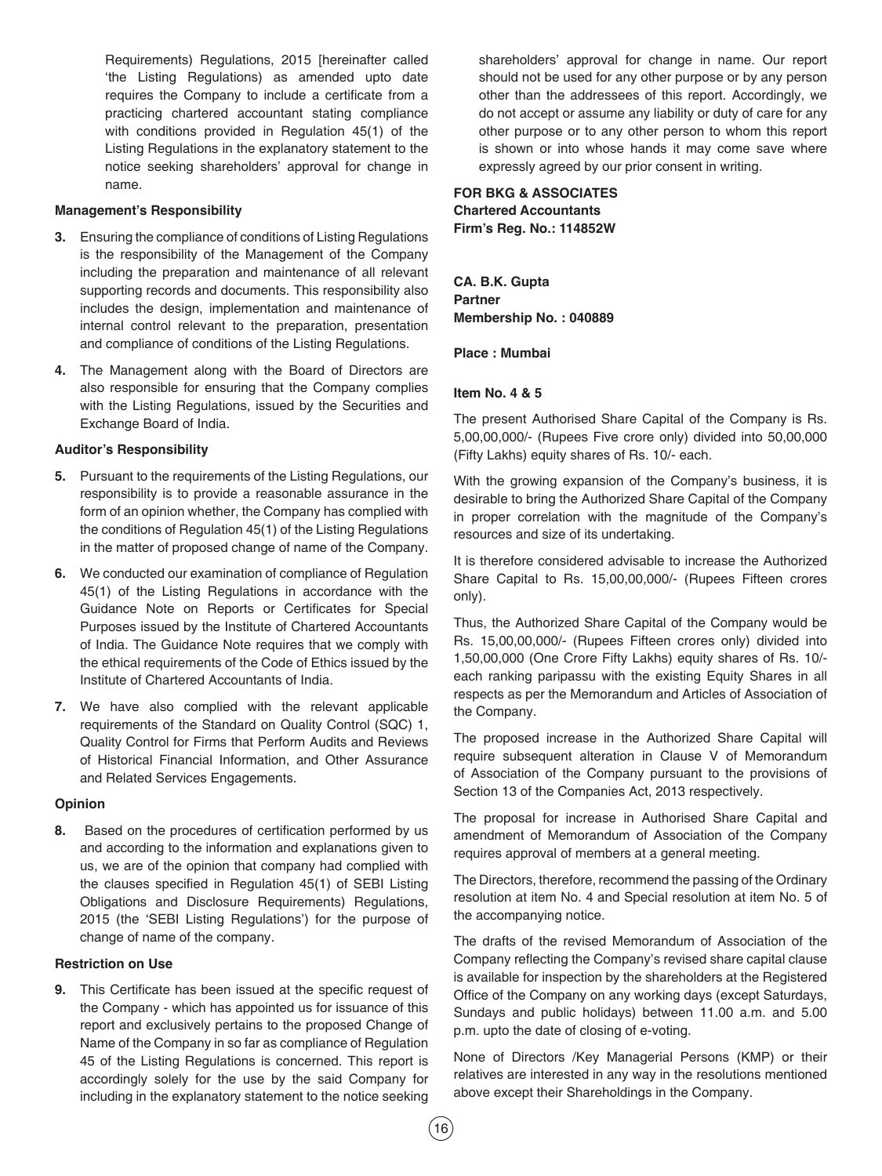Requirements) Regulations, 2015 [hereinafter called 'the Listing Regulations) as amended upto date requires the Company to include a certificate from a practicing chartered accountant stating compliance with conditions provided in Regulation 45(1) of the Listing Regulations in the explanatory statement to the notice seeking shareholders' approval for change in name.

### **Management's Responsibility**

- **3.** Ensuring the compliance of conditions of Listing Regulations is the responsibility of the Management of the Company including the preparation and maintenance of all relevant supporting records and documents. This responsibility also includes the design, implementation and maintenance of internal control relevant to the preparation, presentation and compliance of conditions of the Listing Regulations.
- **4.** The Management along with the Board of Directors are also responsible for ensuring that the Company complies with the Listing Regulations, issued by the Securities and Exchange Board of India.

#### **Auditor's Responsibility**

- **5.** Pursuant to the requirements of the Listing Regulations, our responsibility is to provide a reasonable assurance in the form of an opinion whether, the Company has complied with the conditions of Regulation 45(1) of the Listing Regulations in the matter of proposed change of name of the Company.
- **6.** We conducted our examination of compliance of Regulation 45(1) of the Listing Regulations in accordance with the Guidance Note on Reports or Certificates for Special Purposes issued by the Institute of Chartered Accountants of India. The Guidance Note requires that we comply with the ethical requirements of the Code of Ethics issued by the Institute of Chartered Accountants of India.
- **7.** We have also complied with the relevant applicable requirements of the Standard on Quality Control (SQC) 1, Quality Control for Firms that Perform Audits and Reviews of Historical Financial Information, and Other Assurance and Related Services Engagements.

#### **Opinion**

**8.** Based on the procedures of certification performed by us and according to the information and explanations given to us, we are of the opinion that company had complied with the clauses specified in Regulation 45(1) of SEBI Listing Obligations and Disclosure Requirements) Regulations, 2015 (the 'SEBI Listing Regulations') for the purpose of change of name of the company.

#### **Restriction on Use**

**9.** This Certificate has been issued at the specific request of the Company - which has appointed us for issuance of this report and exclusively pertains to the proposed Change of Name of the Company in so far as compliance of Regulation 45 of the Listing Regulations is concerned. This report is accordingly solely for the use by the said Company for including in the explanatory statement to the notice seeking

shareholders' approval for change in name. Our report should not be used for any other purpose or by any person other than the addressees of this report. Accordingly, we do not accept or assume any liability or duty of care for any other purpose or to any other person to whom this report is shown or into whose hands it may come save where expressly agreed by our prior consent in writing.

### **FOR BKG & ASSOCIATES Chartered Accountants Firm's Reg. No.: 114852W**

**CA. B.K. Gupta Partner Membership No. : 040889**

**Place : Mumbai**

#### **Item No. 4 & 5**

The present Authorised Share Capital of the Company is Rs. 5,00,00,000/- (Rupees Five crore only) divided into 50,00,000 (Fifty Lakhs) equity shares of Rs. 10/- each.

With the growing expansion of the Company's business, it is desirable to bring the Authorized Share Capital of the Company in proper correlation with the magnitude of the Company's resources and size of its undertaking.

It is therefore considered advisable to increase the Authorized Share Capital to Rs. 15,00,00,000/- (Rupees Fifteen crores only).

Thus, the Authorized Share Capital of the Company would be Rs. 15,00,00,000/- (Rupees Fifteen crores only) divided into 1,50,00,000 (One Crore Fifty Lakhs) equity shares of Rs. 10/ each ranking paripassu with the existing Equity Shares in all respects as per the Memorandum and Articles of Association of the Company.

The proposed increase in the Authorized Share Capital will require subsequent alteration in Clause V of Memorandum of Association of the Company pursuant to the provisions of Section 13 of the Companies Act, 2013 respectively.

The proposal for increase in Authorised Share Capital and amendment of Memorandum of Association of the Company requires approval of members at a general meeting.

The Directors, therefore, recommend the passing of the Ordinary resolution at item No. 4 and Special resolution at item No. 5 of the accompanying notice.

The drafts of the revised Memorandum of Association of the Company reflecting the Company's revised share capital clause is available for inspection by the shareholders at the Registered Office of the Company on any working days (except Saturdays, Sundays and public holidays) between 11.00 a.m. and 5.00 p.m. upto the date of closing of e-voting.

None of Directors /Key Managerial Persons (KMP) or their relatives are interested in any way in the resolutions mentioned above except their Shareholdings in the Company.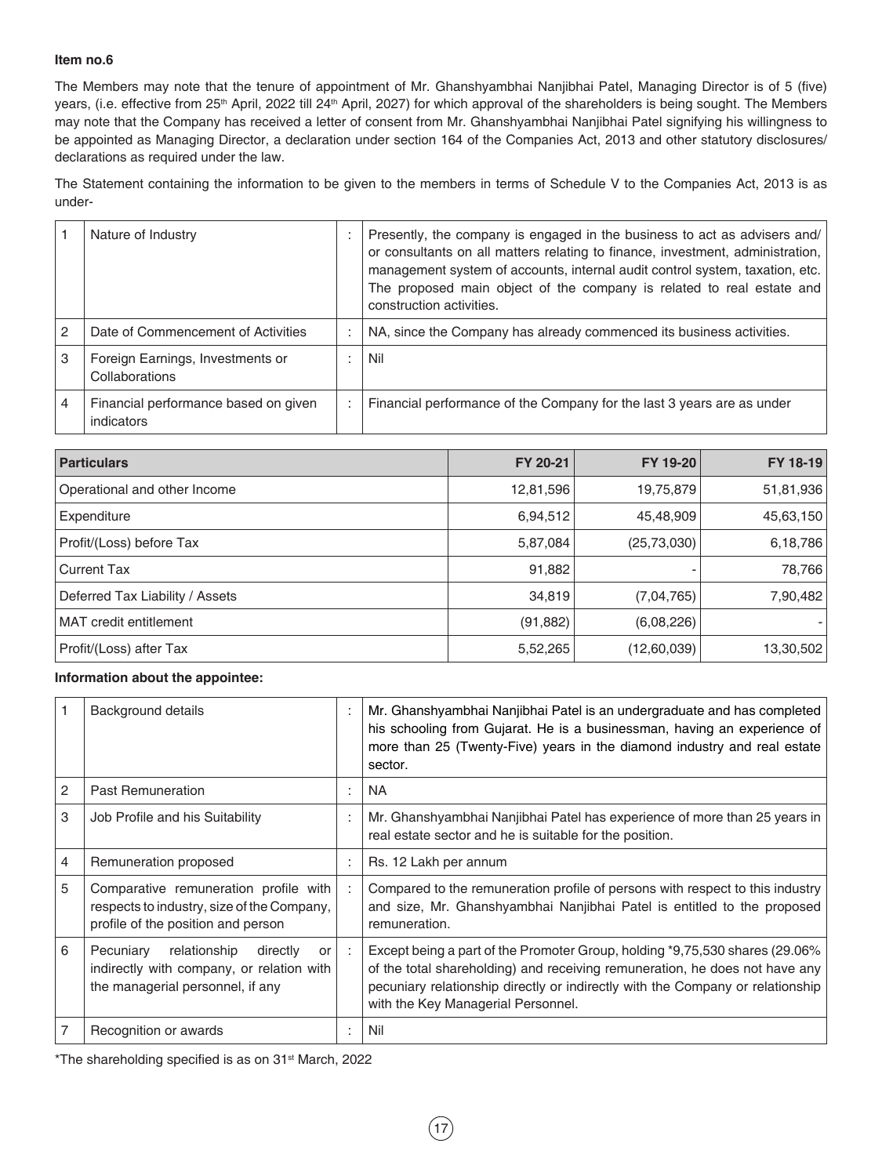### **Item no.6**

The Members may note that the tenure of appointment of Mr. Ghanshyambhai Nanjibhai Patel, Managing Director is of 5 (five) years, (i.e. effective from 25<sup>th</sup> April, 2022 till 24<sup>th</sup> April, 2027) for which approval of the shareholders is being sought. The Members may note that the Company has received a letter of consent from Mr. Ghanshyambhai Nanjibhai Patel signifying his willingness to be appointed as Managing Director, a declaration under section 164 of the Companies Act, 2013 and other statutory disclosures/ declarations as required under the law.

The Statement containing the information to be given to the members in terms of Schedule V to the Companies Act, 2013 is as under-

|   | Nature of Industry                                 | Presently, the company is engaged in the business to act as advisers and/<br>or consultants on all matters relating to finance, investment, administration,<br>management system of accounts, internal audit control system, taxation, etc.<br>The proposed main object of the company is related to real estate and<br>construction activities. |
|---|----------------------------------------------------|--------------------------------------------------------------------------------------------------------------------------------------------------------------------------------------------------------------------------------------------------------------------------------------------------------------------------------------------------|
| 2 | Date of Commencement of Activities                 | NA, since the Company has already commenced its business activities.                                                                                                                                                                                                                                                                             |
| 3 | Foreign Earnings, Investments or<br>Collaborations | Nil                                                                                                                                                                                                                                                                                                                                              |
| 4 | Financial performance based on given<br>indicators | Financial performance of the Company for the last 3 years are as under                                                                                                                                                                                                                                                                           |

| <b>Particulars</b>              | FY 20-21  | FY 19-20      | FY 18-19  |
|---------------------------------|-----------|---------------|-----------|
| Operational and other Income    | 12,81,596 | 19,75,879     | 51,81,936 |
| Expenditure                     | 6,94,512  | 45,48,909     | 45,63,150 |
| Profit/(Loss) before Tax        | 5,87,084  | (25, 73, 030) | 6,18,786  |
| <b>Current Tax</b>              | 91,882    |               | 78,766    |
| Deferred Tax Liability / Assets | 34,819    | (7,04,765)    | 7,90,482  |
| MAT credit entitlement          | (91, 882) | (6,08,226)    |           |
| Profit/(Loss) after Tax         | 5,52,265  | (12,60,039)   | 13,30,502 |

#### **Information about the appointee:**

|                | Background details                                                                                                           | Mr. Ghanshyambhai Nanjibhai Patel is an undergraduate and has completed<br>his schooling from Gujarat. He is a businessman, having an experience of<br>more than 25 (Twenty-Five) years in the diamond industry and real estate<br>sector.                                         |
|----------------|------------------------------------------------------------------------------------------------------------------------------|------------------------------------------------------------------------------------------------------------------------------------------------------------------------------------------------------------------------------------------------------------------------------------|
| $\overline{2}$ | <b>Past Remuneration</b>                                                                                                     | <b>NA</b>                                                                                                                                                                                                                                                                          |
| 3              | Job Profile and his Suitability                                                                                              | Mr. Ghanshyambhai Nanjibhai Patel has experience of more than 25 years in<br>real estate sector and he is suitable for the position.                                                                                                                                               |
| 4              | Remuneration proposed                                                                                                        | Rs. 12 Lakh per annum                                                                                                                                                                                                                                                              |
| 5              | Comparative remuneration profile with<br>respects to industry, size of the Company,<br>profile of the position and person    | Compared to the remuneration profile of persons with respect to this industry<br>and size, Mr. Ghanshyambhai Nanjibhai Patel is entitled to the proposed<br>remuneration.                                                                                                          |
| 6              | relationship<br>Pecuniary<br>directly<br>or<br>indirectly with company, or relation with<br>the managerial personnel, if any | Except being a part of the Promoter Group, holding *9,75,530 shares (29.06%<br>of the total shareholding) and receiving remuneration, he does not have any<br>pecuniary relationship directly or indirectly with the Company or relationship<br>with the Key Managerial Personnel. |
|                | Recognition or awards                                                                                                        | Nil                                                                                                                                                                                                                                                                                |

17

\*The shareholding specified is as on 31st March, 2022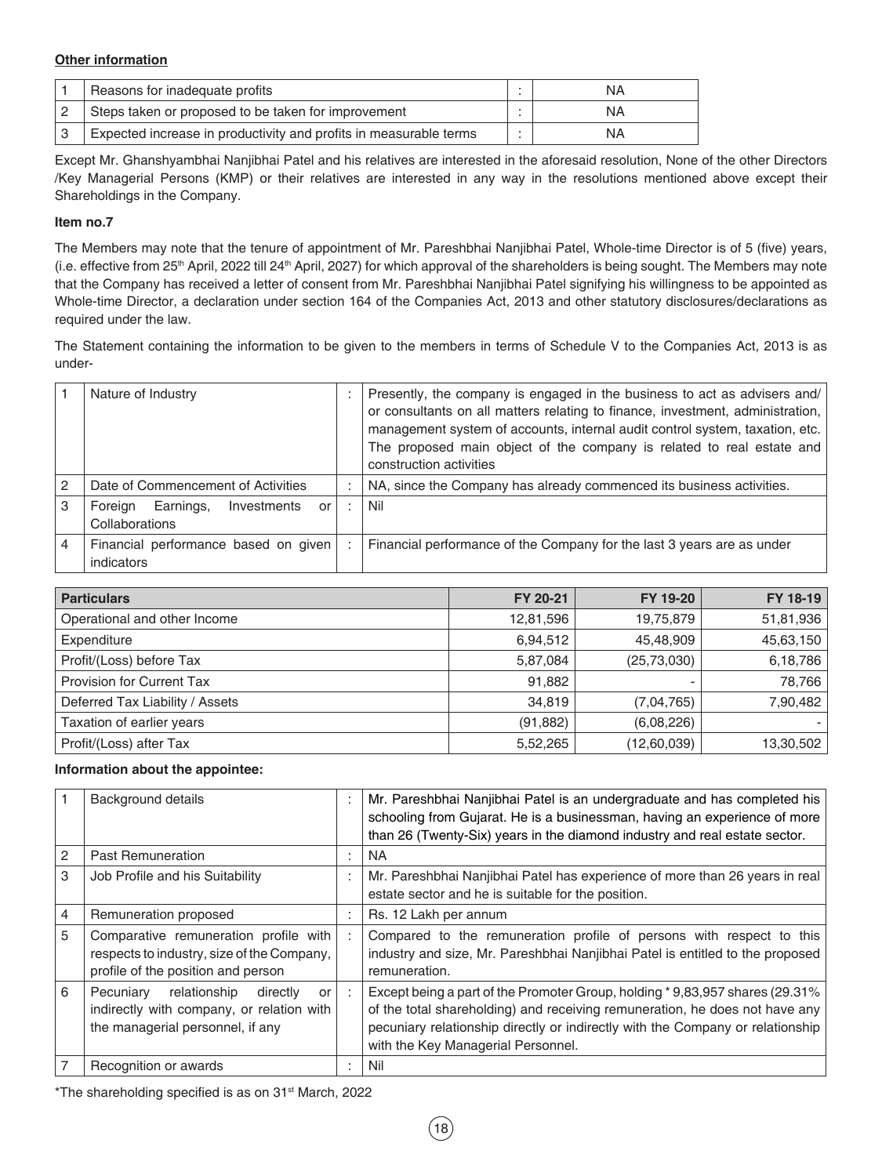# **Other information**

| Reasons for inadequate profits                                    | ΝA |
|-------------------------------------------------------------------|----|
| Steps taken or proposed to be taken for improvement               | ΝA |
| Expected increase in productivity and profits in measurable terms | ΝA |

Except Mr. Ghanshyambhai Nanjibhai Patel and his relatives are interested in the aforesaid resolution, None of the other Directors /Key Managerial Persons (KMP) or their relatives are interested in any way in the resolutions mentioned above except their Shareholdings in the Company.

### **Item no.7**

The Members may note that the tenure of appointment of Mr. Pareshbhai Nanjibhai Patel, Whole-time Director is of 5 (five) years, (i.e. effective from 25<sup>th</sup> April, 2022 till 24<sup>th</sup> April, 2027) for which approval of the shareholders is being sought. The Members may note that the Company has received a letter of consent from Mr. Pareshbhai Nanjibhai Patel signifying his willingness to be appointed as Whole-time Director, a declaration under section 164 of the Companies Act, 2013 and other statutory disclosures/declarations as required under the law.

The Statement containing the information to be given to the members in terms of Schedule V to the Companies Act, 2013 is as under-

|   | Nature of Industry                                          | Presently, the company is engaged in the business to act as advisers and/<br>or consultants on all matters relating to finance, investment, administration,<br>management system of accounts, internal audit control system, taxation, etc.<br>The proposed main object of the company is related to real estate and<br>construction activities |
|---|-------------------------------------------------------------|-------------------------------------------------------------------------------------------------------------------------------------------------------------------------------------------------------------------------------------------------------------------------------------------------------------------------------------------------|
| 2 | Date of Commencement of Activities                          | NA, since the Company has already commenced its business activities.                                                                                                                                                                                                                                                                            |
| З | Earnings,<br>Foreian<br>Investments<br>or<br>Collaborations | Nil                                                                                                                                                                                                                                                                                                                                             |
| 4 | Financial performance based on given<br>indicators          | Financial performance of the Company for the last 3 years are as under                                                                                                                                                                                                                                                                          |

| <b>Particulars</b>               | FY 20-21  | FY 19-20      | FY 18-19  |
|----------------------------------|-----------|---------------|-----------|
| Operational and other Income     | 12,81,596 | 19,75,879     | 51,81,936 |
| Expenditure                      | 6,94,512  | 45,48,909     | 45,63,150 |
| Profit/(Loss) before Tax         | 5,87,084  | (25, 73, 030) | 6,18,786  |
| <b>Provision for Current Tax</b> | 91,882    |               | 78,766    |
| Deferred Tax Liability / Assets  | 34,819    | (7,04,765)    | 7,90,482  |
| Taxation of earlier years        | (91, 882) | (6,08,226)    |           |
| Profit/(Loss) after Tax          | 5,52,265  | (12,60,039)   | 13,30,502 |

# **Information about the appointee:**

|   | Background details                                                                                                           | Mr. Pareshbhai Nanjibhai Patel is an undergraduate and has completed his<br>schooling from Gujarat. He is a businessman, having an experience of more<br>than 26 (Twenty-Six) years in the diamond industry and real estate sector.                                                 |
|---|------------------------------------------------------------------------------------------------------------------------------|-------------------------------------------------------------------------------------------------------------------------------------------------------------------------------------------------------------------------------------------------------------------------------------|
| 2 | <b>Past Remuneration</b>                                                                                                     | NA.                                                                                                                                                                                                                                                                                 |
| 3 | Job Profile and his Suitability                                                                                              | Mr. Pareshbhai Nanjibhai Patel has experience of more than 26 years in real<br>estate sector and he is suitable for the position.                                                                                                                                                   |
| 4 | Remuneration proposed                                                                                                        | Rs. 12 Lakh per annum                                                                                                                                                                                                                                                               |
| 5 | Comparative remuneration profile with<br>respects to industry, size of the Company,<br>profile of the position and person    | Compared to the remuneration profile of persons with respect to this<br>industry and size, Mr. Pareshbhai Nanjibhai Patel is entitled to the proposed<br>remuneration.                                                                                                              |
| 6 | relationship<br>Pecuniary<br>directly<br>or<br>indirectly with company, or relation with<br>the managerial personnel, if any | Except being a part of the Promoter Group, holding * 9,83,957 shares (29.31%<br>of the total shareholding) and receiving remuneration, he does not have any<br>pecuniary relationship directly or indirectly with the Company or relationship<br>with the Key Managerial Personnel. |
|   | Recognition or awards                                                                                                        | Nil                                                                                                                                                                                                                                                                                 |

\*The shareholding specified is as on 31st March, 2022

 $(18)$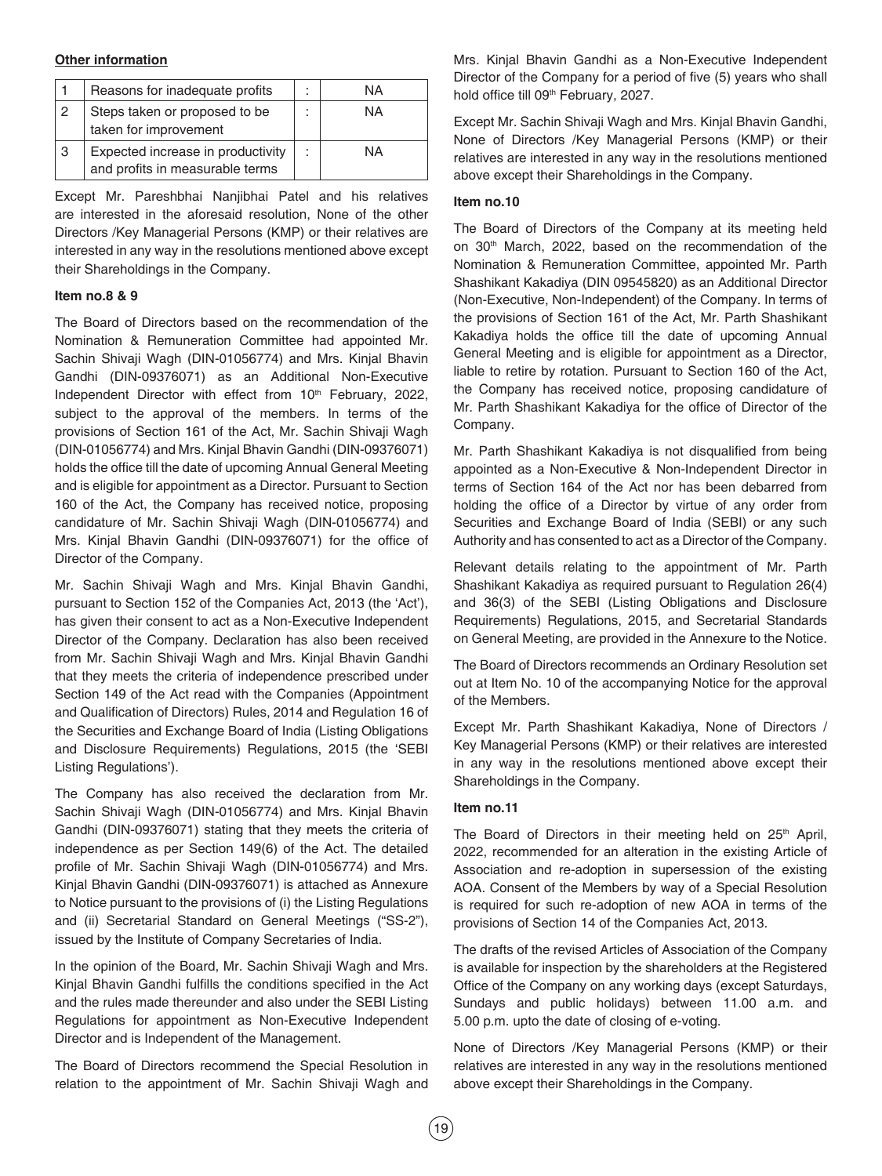#### **Other information**

|    | Reasons for inadequate profits                                       | ٠<br>٠ | ΝA |
|----|----------------------------------------------------------------------|--------|----|
| 2  | Steps taken or proposed to be<br>taken for improvement               | ٠      | ΝA |
| -3 | Expected increase in productivity<br>and profits in measurable terms | ٠<br>٠ | ΝA |

Except Mr. Pareshbhai Nanjibhai Patel and his relatives are interested in the aforesaid resolution, None of the other Directors /Key Managerial Persons (KMP) or their relatives are interested in any way in the resolutions mentioned above except their Shareholdings in the Company.

#### **Item no.8 & 9**

The Board of Directors based on the recommendation of the Nomination & Remuneration Committee had appointed Mr. Sachin Shivaji Wagh (DIN-01056774) and Mrs. Kinjal Bhavin Gandhi (DIN-09376071) as an Additional Non-Executive Independent Director with effect from 10<sup>th</sup> February, 2022, subject to the approval of the members. In terms of the provisions of Section 161 of the Act, Mr. Sachin Shivaji Wagh (DIN-01056774) and Mrs. Kinjal Bhavin Gandhi (DIN-09376071) holds the office till the date of upcoming Annual General Meeting and is eligible for appointment as a Director. Pursuant to Section 160 of the Act, the Company has received notice, proposing candidature of Mr. Sachin Shivaji Wagh (DIN-01056774) and Mrs. Kinjal Bhavin Gandhi (DIN-09376071) for the office of Director of the Company.

Mr. Sachin Shivaji Wagh and Mrs. Kinjal Bhavin Gandhi, pursuant to Section 152 of the Companies Act, 2013 (the 'Act'), has given their consent to act as a Non-Executive Independent Director of the Company. Declaration has also been received from Mr. Sachin Shivaji Wagh and Mrs. Kinjal Bhavin Gandhi that they meets the criteria of independence prescribed under Section 149 of the Act read with the Companies (Appointment and Qualification of Directors) Rules, 2014 and Regulation 16 of the Securities and Exchange Board of India (Listing Obligations and Disclosure Requirements) Regulations, 2015 (the 'SEBI Listing Regulations').

The Company has also received the declaration from Mr. Sachin Shivaji Wagh (DIN-01056774) and Mrs. Kinjal Bhavin Gandhi (DIN-09376071) stating that they meets the criteria of independence as per Section 149(6) of the Act. The detailed profile of Mr. Sachin Shivaji Wagh (DIN-01056774) and Mrs. Kinjal Bhavin Gandhi (DIN-09376071) is attached as Annexure to Notice pursuant to the provisions of (i) the Listing Regulations and (ii) Secretarial Standard on General Meetings ("SS-2"), issued by the Institute of Company Secretaries of India.

In the opinion of the Board, Mr. Sachin Shivaji Wagh and Mrs. Kinjal Bhavin Gandhi fulfills the conditions specified in the Act and the rules made thereunder and also under the SEBI Listing Regulations for appointment as Non-Executive Independent Director and is Independent of the Management.

The Board of Directors recommend the Special Resolution in relation to the appointment of Mr. Sachin Shivaji Wagh and

Mrs. Kinjal Bhavin Gandhi as a Non-Executive Independent Director of the Company for a period of five (5) years who shall hold office till 09<sup>th</sup> February, 2027.

Except Mr. Sachin Shivaji Wagh and Mrs. Kinjal Bhavin Gandhi, None of Directors /Key Managerial Persons (KMP) or their relatives are interested in any way in the resolutions mentioned above except their Shareholdings in the Company.

#### **Item no.10**

The Board of Directors of the Company at its meeting held on 30<sup>th</sup> March, 2022, based on the recommendation of the Nomination & Remuneration Committee, appointed Mr. Parth Shashikant Kakadiya (DIN 09545820) as an Additional Director (Non-Executive, Non-Independent) of the Company. In terms of the provisions of Section 161 of the Act, Mr. Parth Shashikant Kakadiya holds the office till the date of upcoming Annual General Meeting and is eligible for appointment as a Director, liable to retire by rotation. Pursuant to Section 160 of the Act, the Company has received notice, proposing candidature of Mr. Parth Shashikant Kakadiya for the office of Director of the Company.

Mr. Parth Shashikant Kakadiya is not disqualified from being appointed as a Non-Executive & Non-Independent Director in terms of Section 164 of the Act nor has been debarred from holding the office of a Director by virtue of any order from Securities and Exchange Board of India (SEBI) or any such Authority and has consented to act as a Director of the Company.

Relevant details relating to the appointment of Mr. Parth Shashikant Kakadiya as required pursuant to Regulation 26(4) and 36(3) of the SEBI (Listing Obligations and Disclosure Requirements) Regulations, 2015, and Secretarial Standards on General Meeting, are provided in the Annexure to the Notice.

The Board of Directors recommends an Ordinary Resolution set out at Item No. 10 of the accompanying Notice for the approval of the Members.

Except Mr. Parth Shashikant Kakadiya, None of Directors / Key Managerial Persons (KMP) or their relatives are interested in any way in the resolutions mentioned above except their Shareholdings in the Company.

#### **Item no.11**

The Board of Directors in their meeting held on 25<sup>th</sup> April, 2022, recommended for an alteration in the existing Article of Association and re-adoption in supersession of the existing AOA. Consent of the Members by way of a Special Resolution is required for such re-adoption of new AOA in terms of the provisions of Section 14 of the Companies Act, 2013.

The drafts of the revised Articles of Association of the Company is available for inspection by the shareholders at the Registered Office of the Company on any working days (except Saturdays, Sundays and public holidays) between 11.00 a.m. and 5.00 p.m. upto the date of closing of e-voting.

None of Directors /Key Managerial Persons (KMP) or their relatives are interested in any way in the resolutions mentioned above except their Shareholdings in the Company.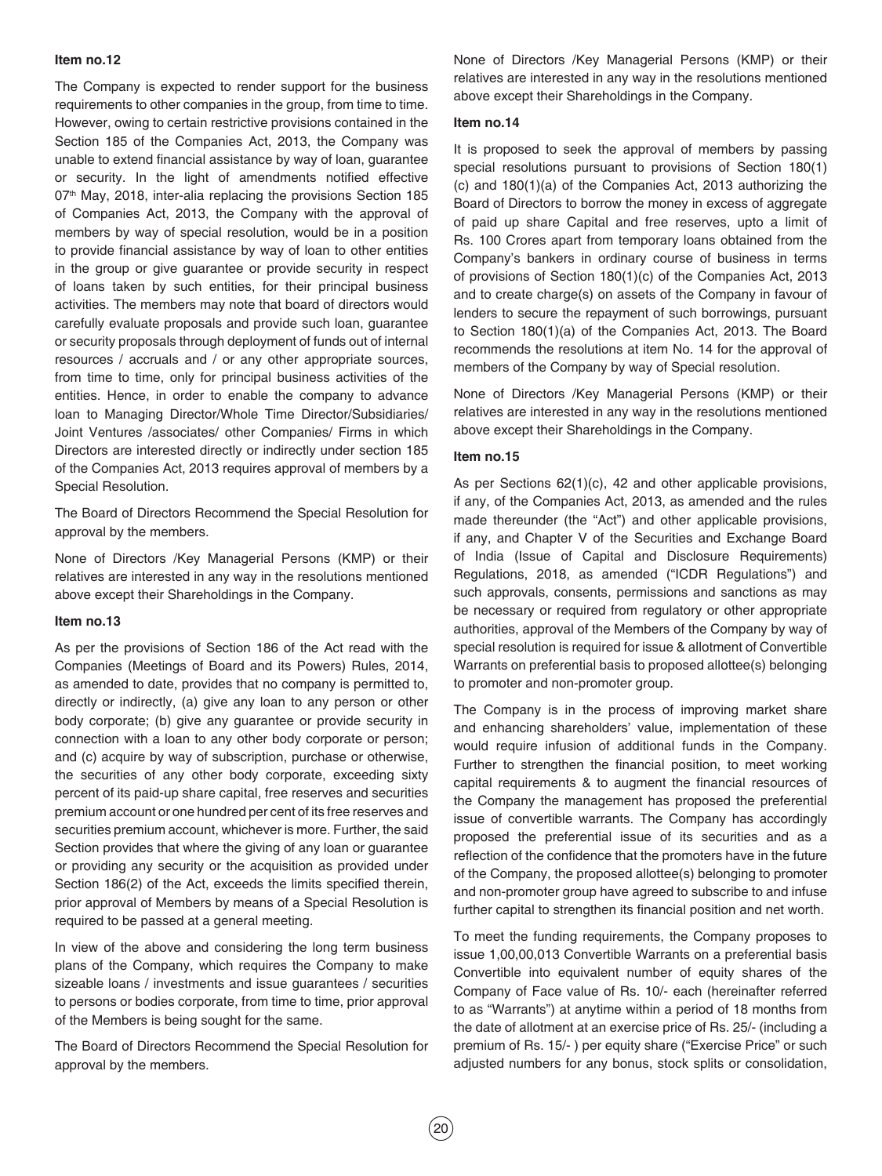#### **Item no.12**

The Company is expected to render support for the business requirements to other companies in the group, from time to time. However, owing to certain restrictive provisions contained in the Section 185 of the Companies Act, 2013, the Company was unable to extend financial assistance by way of loan, guarantee or security. In the light of amendments notified effective 07<sup>th</sup> May, 2018, inter-alia replacing the provisions Section 185 of Companies Act, 2013, the Company with the approval of members by way of special resolution, would be in a position to provide financial assistance by way of loan to other entities in the group or give guarantee or provide security in respect of loans taken by such entities, for their principal business activities. The members may note that board of directors would carefully evaluate proposals and provide such loan, guarantee or security proposals through deployment of funds out of internal resources / accruals and / or any other appropriate sources, from time to time, only for principal business activities of the entities. Hence, in order to enable the company to advance loan to Managing Director/Whole Time Director/Subsidiaries/ Joint Ventures /associates/ other Companies/ Firms in which Directors are interested directly or indirectly under section 185 of the Companies Act, 2013 requires approval of members by a Special Resolution.

The Board of Directors Recommend the Special Resolution for approval by the members.

None of Directors /Key Managerial Persons (KMP) or their relatives are interested in any way in the resolutions mentioned above except their Shareholdings in the Company.

#### **Item no.13**

As per the provisions of Section 186 of the Act read with the Companies (Meetings of Board and its Powers) Rules, 2014, as amended to date, provides that no company is permitted to, directly or indirectly, (a) give any loan to any person or other body corporate; (b) give any guarantee or provide security in connection with a loan to any other body corporate or person; and (c) acquire by way of subscription, purchase or otherwise, the securities of any other body corporate, exceeding sixty percent of its paid-up share capital, free reserves and securities premium account or one hundred per cent of its free reserves and securities premium account, whichever is more. Further, the said Section provides that where the giving of any loan or guarantee or providing any security or the acquisition as provided under Section 186(2) of the Act, exceeds the limits specified therein, prior approval of Members by means of a Special Resolution is required to be passed at a general meeting.

In view of the above and considering the long term business plans of the Company, which requires the Company to make sizeable loans / investments and issue guarantees / securities to persons or bodies corporate, from time to time, prior approval of the Members is being sought for the same.

The Board of Directors Recommend the Special Resolution for approval by the members.

None of Directors /Key Managerial Persons (KMP) or their relatives are interested in any way in the resolutions mentioned above except their Shareholdings in the Company.

#### **Item no.14**

It is proposed to seek the approval of members by passing special resolutions pursuant to provisions of Section 180(1) (c) and 180(1)(a) of the Companies Act, 2013 authorizing the Board of Directors to borrow the money in excess of aggregate of paid up share Capital and free reserves, upto a limit of Rs. 100 Crores apart from temporary loans obtained from the Company's bankers in ordinary course of business in terms of provisions of Section 180(1)(c) of the Companies Act, 2013 and to create charge(s) on assets of the Company in favour of lenders to secure the repayment of such borrowings, pursuant to Section 180(1)(a) of the Companies Act, 2013. The Board recommends the resolutions at item No. 14 for the approval of members of the Company by way of Special resolution.

None of Directors /Key Managerial Persons (KMP) or their relatives are interested in any way in the resolutions mentioned above except their Shareholdings in the Company.

#### **Item no.15**

As per Sections 62(1)(c), 42 and other applicable provisions, if any, of the Companies Act, 2013, as amended and the rules made thereunder (the "Act") and other applicable provisions, if any, and Chapter V of the Securities and Exchange Board of India (Issue of Capital and Disclosure Requirements) Regulations, 2018, as amended ("ICDR Regulations") and such approvals, consents, permissions and sanctions as may be necessary or required from regulatory or other appropriate authorities, approval of the Members of the Company by way of special resolution is required for issue & allotment of Convertible Warrants on preferential basis to proposed allottee(s) belonging to promoter and non-promoter group.

The Company is in the process of improving market share and enhancing shareholders' value, implementation of these would require infusion of additional funds in the Company. Further to strengthen the financial position, to meet working capital requirements & to augment the financial resources of the Company the management has proposed the preferential issue of convertible warrants. The Company has accordingly proposed the preferential issue of its securities and as a reflection of the confidence that the promoters have in the future of the Company, the proposed allottee(s) belonging to promoter and non-promoter group have agreed to subscribe to and infuse further capital to strengthen its financial position and net worth.

To meet the funding requirements, the Company proposes to issue 1,00,00,013 Convertible Warrants on a preferential basis Convertible into equivalent number of equity shares of the Company of Face value of Rs. 10/- each (hereinafter referred to as "Warrants") at anytime within a period of 18 months from the date of allotment at an exercise price of Rs. 25/- (including a premium of Rs. 15/- ) per equity share ("Exercise Price" or such adjusted numbers for any bonus, stock splits or consolidation,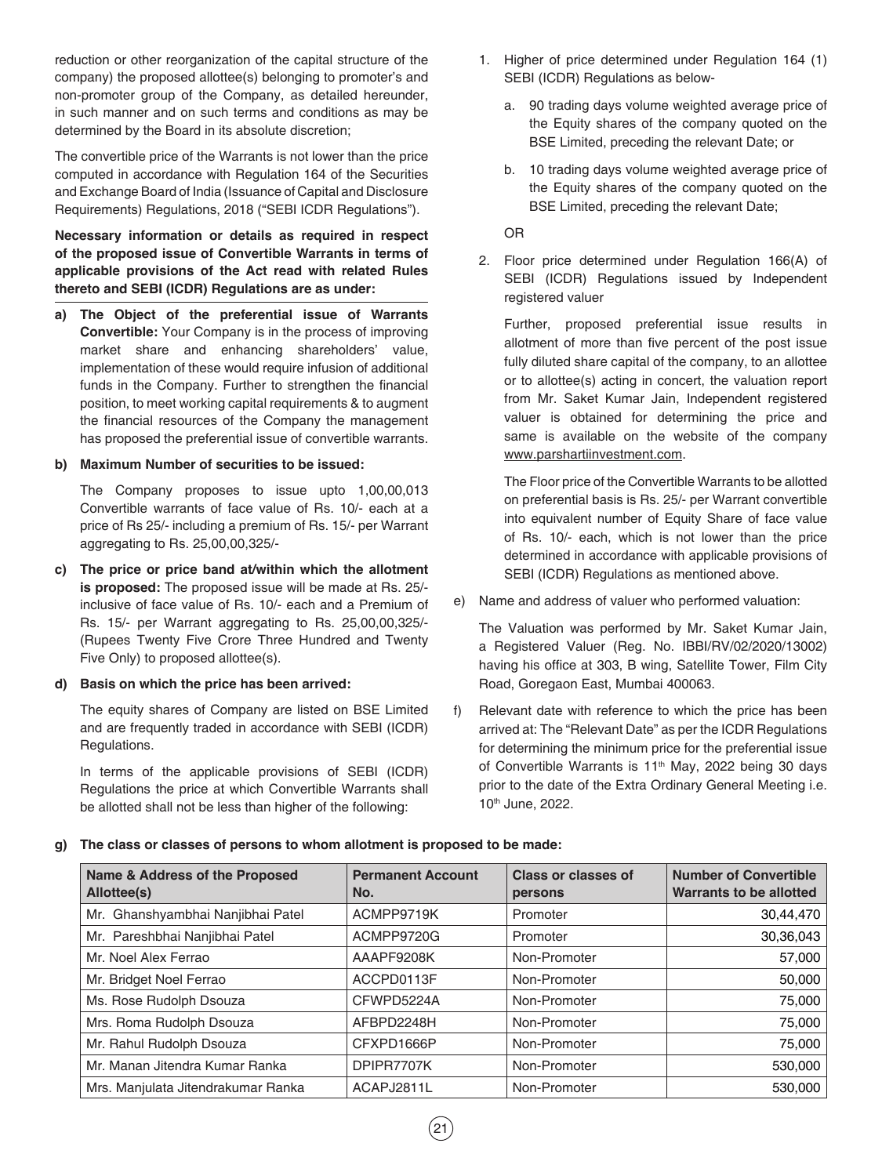reduction or other reorganization of the capital structure of the company) the proposed allottee(s) belonging to promoter's and non-promoter group of the Company, as detailed hereunder, in such manner and on such terms and conditions as may be determined by the Board in its absolute discretion;

The convertible price of the Warrants is not lower than the price computed in accordance with Regulation 164 of the Securities and Exchange Board of India (Issuance of Capital and Disclosure Requirements) Regulations, 2018 ("SEBI ICDR Regulations").

# **Necessary information or details as required in respect of the proposed issue of Convertible Warrants in terms of applicable provisions of the Act read with related Rules thereto and SEBI (ICDR) Regulations are as under:**

**a) The Object of the preferential issue of Warrants Convertible:** Your Company is in the process of improving market share and enhancing shareholders' value, implementation of these would require infusion of additional funds in the Company. Further to strengthen the financial position, to meet working capital requirements & to augment the financial resources of the Company the management has proposed the preferential issue of convertible warrants.

#### **b) Maximum Number of securities to be issued:**

 The Company proposes to issue upto 1,00,00,013 Convertible warrants of face value of Rs. 10/- each at a price of Rs 25/- including a premium of Rs. 15/- per Warrant aggregating to Rs. 25,00,00,325/-

- **c) The price or price band at/within which the allotment is proposed:** The proposed issue will be made at Rs. 25/ inclusive of face value of Rs. 10/- each and a Premium of Rs. 15/- per Warrant aggregating to Rs. 25,00,00,325/- (Rupees Twenty Five Crore Three Hundred and Twenty Five Only) to proposed allottee(s).
- **d) Basis on which the price has been arrived:**

 The equity shares of Company are listed on BSE Limited and are frequently traded in accordance with SEBI (ICDR) Regulations.

 In terms of the applicable provisions of SEBI (ICDR) Regulations the price at which Convertible Warrants shall be allotted shall not be less than higher of the following:

- 1. Higher of price determined under Regulation 164 (1) SEBI (ICDR) Regulations as below
	- a. 90 trading days volume weighted average price of the Equity shares of the company quoted on the BSE Limited, preceding the relevant Date; or
	- b. 10 trading days volume weighted average price of the Equity shares of the company quoted on the BSE Limited, preceding the relevant Date;

 OR

2. Floor price determined under Regulation 166(A) of SEBI (ICDR) Regulations issued by Independent registered valuer

 Further, proposed preferential issue results in allotment of more than five percent of the post issue fully diluted share capital of the company, to an allottee or to allottee(s) acting in concert, the valuation report from Mr. Saket Kumar Jain, Independent registered valuer is obtained for determining the price and same is available on the website of the company www.parshartiinvestment.com.

 The Floor price of the Convertible Warrants to be allotted on preferential basis is Rs. 25/- per Warrant convertible into equivalent number of Equity Share of face value of Rs. 10/- each, which is not lower than the price determined in accordance with applicable provisions of SEBI (ICDR) Regulations as mentioned above.

e) Name and address of valuer who performed valuation:

 The Valuation was performed by Mr. Saket Kumar Jain, a Registered Valuer (Reg. No. IBBI/RV/02/2020/13002) having his office at 303, B wing, Satellite Tower, Film City Road, Goregaon East, Mumbai 400063.

f) Relevant date with reference to which the price has been arrived at: The "Relevant Date" as per the ICDR Regulations for determining the minimum price for the preferential issue of Convertible Warrants is 11<sup>th</sup> May, 2022 being 30 days prior to the date of the Extra Ordinary General Meeting i.e. 10th June, 2022.

| Name & Address of the Proposed<br>Allottee(s) | <b>Permanent Account</b><br>No. | <b>Class or classes of</b><br>persons | <b>Number of Convertible</b><br>Warrants to be allotted |
|-----------------------------------------------|---------------------------------|---------------------------------------|---------------------------------------------------------|
| Mr. Ghanshyambhai Nanjibhai Patel             | ACMPP9719K                      | Promoter                              | 30,44,470                                               |
| Mr. Pareshbhai Nanjibhai Patel                | ACMPP9720G                      | Promoter                              | 30,36,043                                               |
| Mr. Noel Alex Ferrao                          | AAAPF9208K                      | Non-Promoter                          | 57,000                                                  |
| Mr. Bridget Noel Ferrao                       | ACCPD0113F                      | Non-Promoter                          | 50,000                                                  |
| Ms. Rose Rudolph Dsouza                       | CFWPD5224A                      | Non-Promoter                          | 75,000                                                  |
| Mrs. Roma Rudolph Dsouza                      | AFBPD2248H                      | Non-Promoter                          | 75,000                                                  |
| Mr. Rahul Rudolph Dsouza                      | CFXPD1666P                      | Non-Promoter                          | 75,000                                                  |
| Mr. Manan Jitendra Kumar Ranka                | DPIPR7707K                      | Non-Promoter                          | 530,000                                                 |
| Mrs. Manjulata Jitendrakumar Ranka            | ACAPJ2811L                      | Non-Promoter                          | 530,000                                                 |

#### **g) The class or classes of persons to whom allotment is proposed to be made:**

 $\left[21\right]$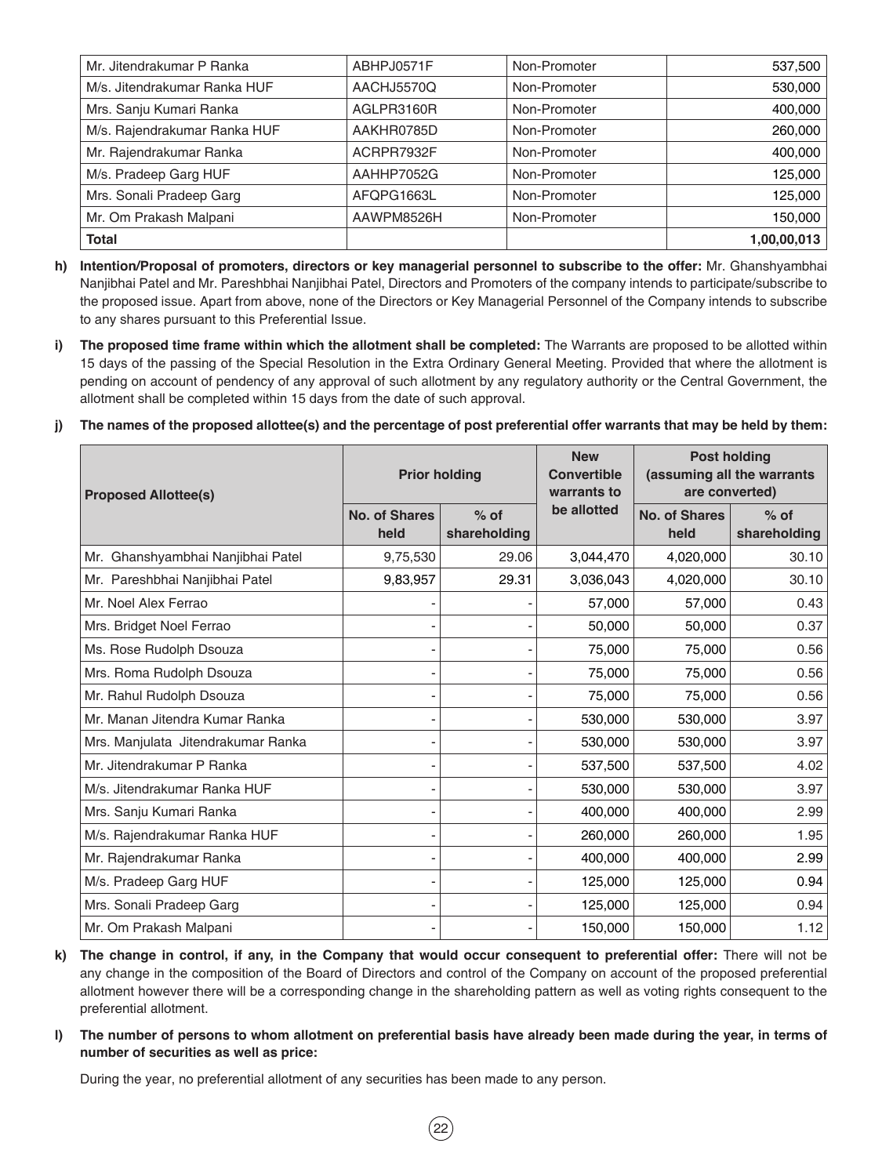| Mr. Jitendrakumar P Ranka    | ABHPJ0571F | Non-Promoter | 537,500     |
|------------------------------|------------|--------------|-------------|
| M/s. Jitendrakumar Ranka HUF | AACHJ5570Q | Non-Promoter | 530,000     |
| Mrs. Sanju Kumari Ranka      | AGLPR3160R | Non-Promoter | 400,000     |
| M/s. Rajendrakumar Ranka HUF | AAKHR0785D | Non-Promoter | 260,000     |
| Mr. Rajendrakumar Ranka      | ACRPR7932F | Non-Promoter | 400,000     |
| M/s. Pradeep Garg HUF        | AAHHP7052G | Non-Promoter | 125,000     |
| Mrs. Sonali Pradeep Garg     | AFQPG1663L | Non-Promoter | 125,000     |
| Mr. Om Prakash Malpani       | AAWPM8526H | Non-Promoter | 150,000     |
| <b>Total</b>                 |            |              | 1,00,00,013 |

- **h) Intention/Proposal of promoters, directors or key managerial personnel to subscribe to the offer:** Mr. Ghanshyambhai Nanjibhai Patel and Mr. Pareshbhai Nanjibhai Patel, Directors and Promoters of the company intends to participate/subscribe to the proposed issue. Apart from above, none of the Directors or Key Managerial Personnel of the Company intends to subscribe to any shares pursuant to this Preferential Issue.
- **i) The proposed time frame within which the allotment shall be completed:** The Warrants are proposed to be allotted within 15 days of the passing of the Special Resolution in the Extra Ordinary General Meeting. Provided that where the allotment is pending on account of pendency of any approval of such allotment by any regulatory authority or the Central Government, the allotment shall be completed within 15 days from the date of such approval.

#### **j) The names of the proposed allottee(s) and the percentage of post preferential offer warrants that may be held by them:**

| <b>Proposed Allottee(s)</b>        | <b>Prior holding</b>  |                        | <b>New</b><br><b>Convertible</b><br>warrants to | <b>Post holding</b><br>(assuming all the warrants<br>are converted) |                        |
|------------------------------------|-----------------------|------------------------|-------------------------------------------------|---------------------------------------------------------------------|------------------------|
|                                    | No. of Shares<br>held | $%$ of<br>shareholding | be allotted                                     | No. of Shares<br>held                                               | $%$ of<br>shareholding |
| Mr. Ghanshyambhai Nanjibhai Patel  | 9,75,530              | 29.06                  | 3,044,470                                       | 4,020,000                                                           | 30.10                  |
| Mr. Pareshbhai Nanjibhai Patel     | 9,83,957              | 29.31                  | 3,036,043                                       | 4,020,000                                                           | 30.10                  |
| Mr. Noel Alex Ferrao               |                       |                        | 57,000                                          | 57,000                                                              | 0.43                   |
| Mrs. Bridget Noel Ferrao           |                       |                        | 50,000                                          | 50,000                                                              | 0.37                   |
| Ms. Rose Rudolph Dsouza            |                       |                        | 75,000                                          | 75,000                                                              | 0.56                   |
| Mrs. Roma Rudolph Dsouza           |                       |                        | 75,000                                          | 75,000                                                              | 0.56                   |
| Mr. Rahul Rudolph Dsouza           |                       |                        | 75,000                                          | 75,000                                                              | 0.56                   |
| Mr. Manan Jitendra Kumar Ranka     |                       |                        | 530,000                                         | 530,000                                                             | 3.97                   |
| Mrs. Manjulata Jitendrakumar Ranka |                       |                        | 530,000                                         | 530,000                                                             | 3.97                   |
| Mr. Jitendrakumar P Ranka          |                       |                        | 537,500                                         | 537,500                                                             | 4.02                   |
| M/s. Jitendrakumar Ranka HUF       |                       |                        | 530,000                                         | 530,000                                                             | 3.97                   |
| Mrs. Sanju Kumari Ranka            |                       |                        | 400,000                                         | 400,000                                                             | 2.99                   |
| M/s. Rajendrakumar Ranka HUF       |                       |                        | 260,000                                         | 260,000                                                             | 1.95                   |
| Mr. Rajendrakumar Ranka            |                       |                        | 400.000                                         | 400.000                                                             | 2.99                   |
| M/s. Pradeep Garg HUF              |                       |                        | 125,000                                         | 125,000                                                             | 0.94                   |
| Mrs. Sonali Pradeep Garg           |                       |                        | 125,000                                         | 125,000                                                             | 0.94                   |
| Mr. Om Prakash Malpani             |                       |                        | 150,000                                         | 150,000                                                             | 1.12                   |

**k) The change in control, if any, in the Company that would occur consequent to preferential offer:** There will not be any change in the composition of the Board of Directors and control of the Company on account of the proposed preferential allotment however there will be a corresponding change in the shareholding pattern as well as voting rights consequent to the preferential allotment.

### **l) The number of persons to whom allotment on preferential basis have already been made during the year, in terms of number of securities as well as price:**

 During the year, no preferential allotment of any securities has been made to any person.

22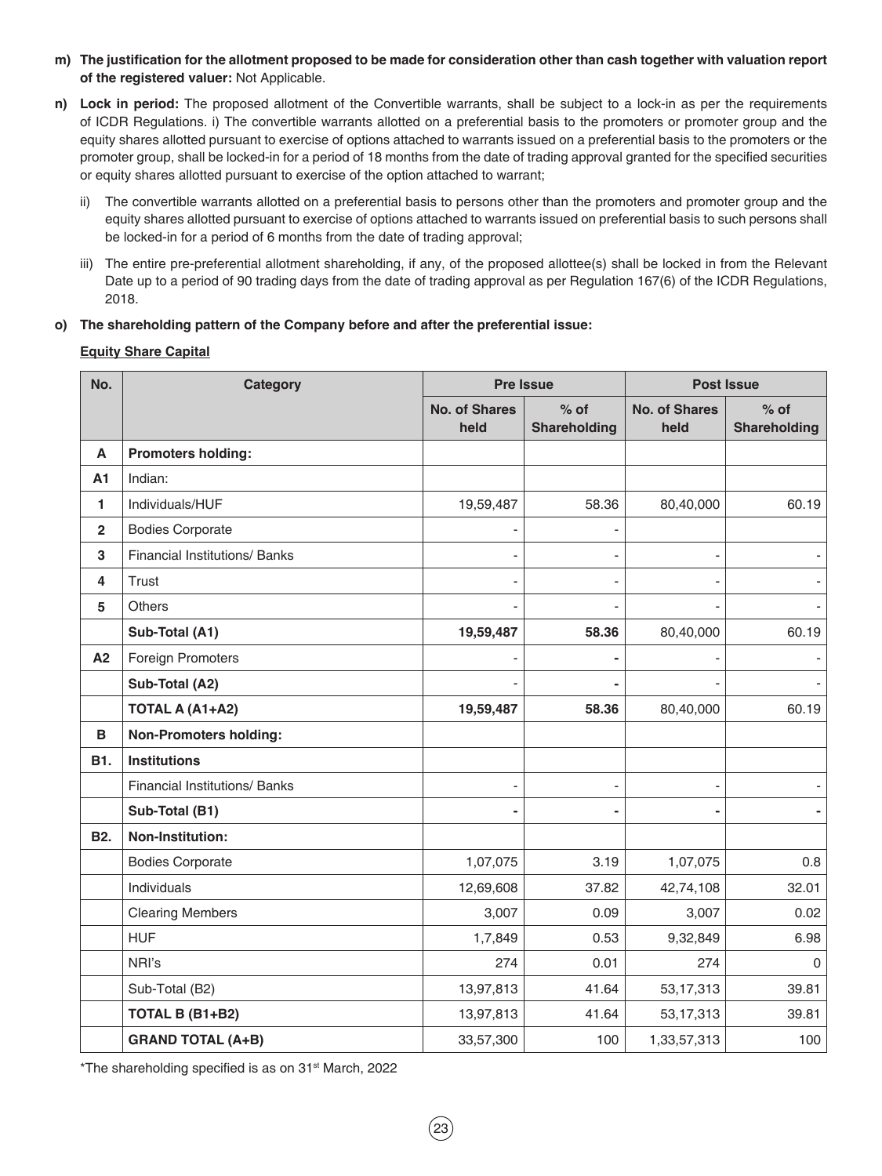- m) The justification for the allotment proposed to be made for consideration other than cash together with valuation report **of the registered valuer:** Not Applicable.
- **n) Lock in period:** The proposed allotment of the Convertible warrants, shall be subject to a lock-in as per the requirements of ICDR Regulations. i) The convertible warrants allotted on a preferential basis to the promoters or promoter group and the equity shares allotted pursuant to exercise of options attached to warrants issued on a preferential basis to the promoters or the promoter group, shall be locked-in for a period of 18 months from the date of trading approval granted for the specified securities or equity shares allotted pursuant to exercise of the option attached to warrant;
	- ii) The convertible warrants allotted on a preferential basis to persons other than the promoters and promoter group and the equity shares allotted pursuant to exercise of options attached to warrants issued on preferential basis to such persons shall be locked-in for a period of 6 months from the date of trading approval;
	- iii) The entire pre-preferential allotment shareholding, if any, of the proposed allottee(s) shall be locked in from the Relevant Date up to a period of 90 trading days from the date of trading approval as per Regulation 167(6) of the ICDR Regulations, 2018.

### **o) The shareholding pattern of the Company before and after the preferential issue:**

# **Equity Share Capital**

| No.            | <b>Category</b>               | <b>Pre Issue</b>             |                               | <b>Post Issue</b>            |                               |  |
|----------------|-------------------------------|------------------------------|-------------------------------|------------------------------|-------------------------------|--|
|                |                               | <b>No. of Shares</b><br>held | $%$ of<br><b>Shareholding</b> | <b>No. of Shares</b><br>held | $%$ of<br><b>Shareholding</b> |  |
| A              | <b>Promoters holding:</b>     |                              |                               |                              |                               |  |
| A1             | Indian:                       |                              |                               |                              |                               |  |
| 1              | Individuals/HUF               | 19,59,487                    | 58.36                         | 80,40,000                    | 60.19                         |  |
| $\overline{2}$ | <b>Bodies Corporate</b>       |                              |                               |                              |                               |  |
| 3              | Financial Institutions/ Banks |                              |                               |                              |                               |  |
| 4              | Trust                         |                              |                               |                              |                               |  |
| 5              | <b>Others</b>                 |                              |                               |                              |                               |  |
|                | Sub-Total (A1)                | 19,59,487                    | 58.36                         | 80,40,000                    | 60.19                         |  |
| A2             | Foreign Promoters             |                              |                               |                              |                               |  |
|                | Sub-Total (A2)                |                              |                               |                              |                               |  |
|                | TOTAL A (A1+A2)               | 19,59,487                    | 58.36                         | 80,40,000                    | 60.19                         |  |
| В              | <b>Non-Promoters holding:</b> |                              |                               |                              |                               |  |
| B1.            | <b>Institutions</b>           |                              |                               |                              |                               |  |
|                | Financial Institutions/ Banks |                              |                               |                              |                               |  |
|                | Sub-Total (B1)                |                              |                               |                              |                               |  |
| <b>B2.</b>     | <b>Non-Institution:</b>       |                              |                               |                              |                               |  |
|                | <b>Bodies Corporate</b>       | 1,07,075                     | 3.19                          | 1,07,075                     | 0.8                           |  |
|                | Individuals                   | 12,69,608                    | 37.82                         | 42,74,108                    | 32.01                         |  |
|                | <b>Clearing Members</b>       | 3,007                        | 0.09                          | 3,007                        | 0.02                          |  |
|                | <b>HUF</b>                    | 1,7,849                      | 0.53                          | 9,32,849                     | 6.98                          |  |
|                | NRI's                         | 274                          | 0.01                          | 274                          | $\Omega$                      |  |
|                | Sub-Total (B2)                | 13,97,813                    | 41.64                         | 53, 17, 313                  | 39.81                         |  |
|                | TOTAL B (B1+B2)               | 13,97,813                    | 41.64                         | 53,17,313                    | 39.81                         |  |
|                | <b>GRAND TOTAL (A+B)</b>      | 33,57,300                    | 100                           | 1,33,57,313                  | 100                           |  |

\*The shareholding specified is as on 31<sup>st</sup> March, 2022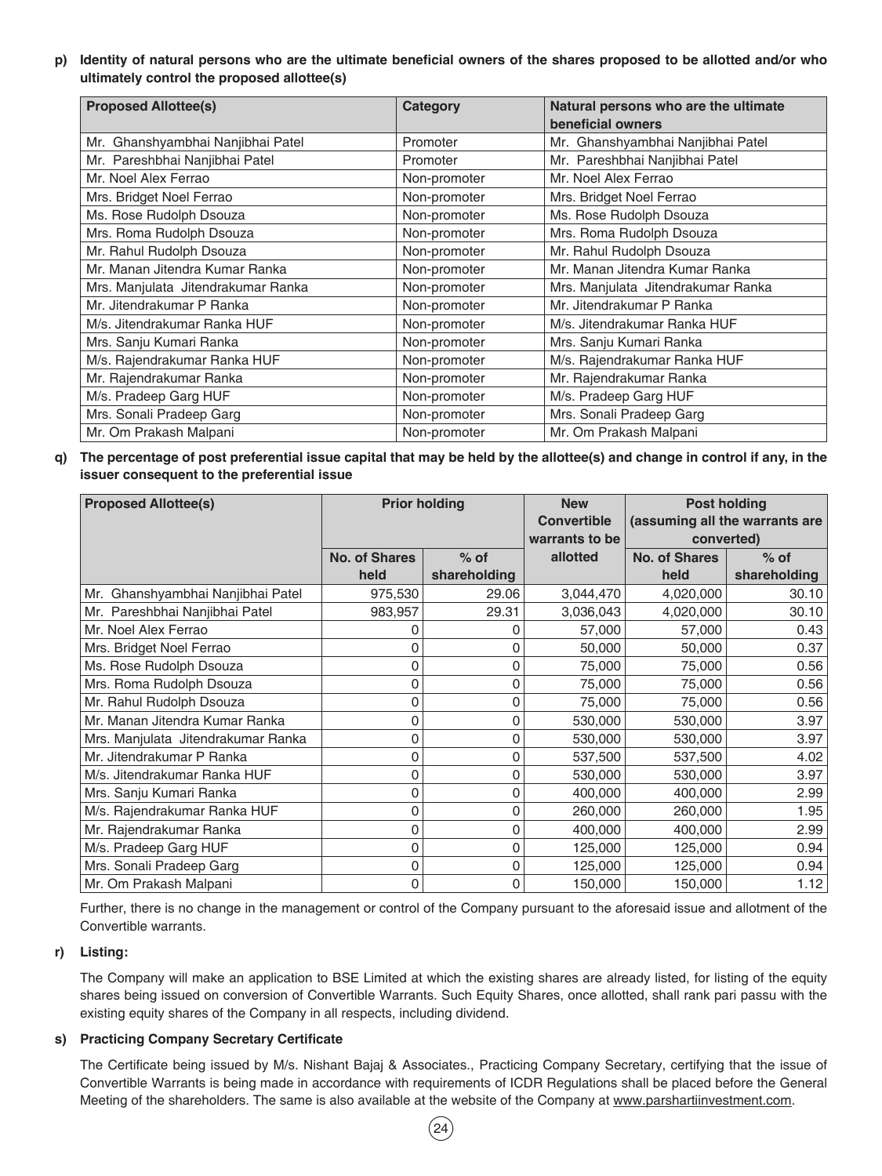p) Identity of natural persons who are the ultimate beneficial owners of the shares proposed to be allotted and/or who **ultimately control the proposed allottee(s)**

| <b>Proposed Allottee(s)</b>        | Category     | Natural persons who are the ultimate<br>beneficial owners |
|------------------------------------|--------------|-----------------------------------------------------------|
| Mr. Ghanshyambhai Nanjibhai Patel  | Promoter     | Mr. Ghanshyambhai Nanjibhai Patel                         |
| Mr. Pareshbhai Nanjibhai Patel     | Promoter     | Mr. Pareshbhai Nanjibhai Patel                            |
| Mr. Noel Alex Ferrao               | Non-promoter | Mr. Noel Alex Ferrao                                      |
| Mrs. Bridget Noel Ferrao           | Non-promoter | Mrs. Bridget Noel Ferrao                                  |
| Ms. Rose Rudolph Dsouza            | Non-promoter | Ms. Rose Rudolph Dsouza                                   |
| Mrs. Roma Rudolph Dsouza           | Non-promoter | Mrs. Roma Rudolph Dsouza                                  |
| Mr. Rahul Rudolph Dsouza           | Non-promoter | Mr. Rahul Rudolph Dsouza                                  |
| Mr. Manan Jitendra Kumar Ranka     | Non-promoter | Mr. Manan Jitendra Kumar Ranka                            |
| Mrs. Manjulata Jitendrakumar Ranka | Non-promoter | Mrs. Manjulata Jitendrakumar Ranka                        |
| Mr. Jitendrakumar P Ranka          | Non-promoter | Mr. Jitendrakumar P Ranka                                 |
| M/s. Jitendrakumar Ranka HUF       | Non-promoter | M/s. Jitendrakumar Ranka HUF                              |
| Mrs. Sanju Kumari Ranka            | Non-promoter | Mrs. Sanju Kumari Ranka                                   |
| M/s. Rajendrakumar Ranka HUF       | Non-promoter | M/s. Rajendrakumar Ranka HUF                              |
| Mr. Rajendrakumar Ranka            | Non-promoter | Mr. Rajendrakumar Ranka                                   |
| M/s. Pradeep Garg HUF              | Non-promoter | M/s. Pradeep Garg HUF                                     |
| Mrs. Sonali Pradeep Garg           | Non-promoter | Mrs. Sonali Pradeep Garg                                  |
| Mr. Om Prakash Malpani             | Non-promoter | Mr. Om Prakash Malpani                                    |

# **q) The percentage of post preferential issue capital that may be held by the allottee(s) and change in control if any, in the issuer consequent to the preferential issue**

| <b>Proposed Allottee(s)</b>        | <b>Prior holding</b> |              | <b>New</b>         | <b>Post holding</b> |                                |
|------------------------------------|----------------------|--------------|--------------------|---------------------|--------------------------------|
|                                    |                      |              | <b>Convertible</b> |                     | (assuming all the warrants are |
|                                    |                      |              | warrants to be     |                     | converted)                     |
|                                    | <b>No. of Shares</b> | $%$ of       | allotted           | No. of Shares       | $%$ of                         |
|                                    | held                 | shareholding |                    | held                | shareholding                   |
| Mr. Ghanshyambhai Nanjibhai Patel  | 975,530              | 29.06        | 3,044,470          | 4,020,000           | 30.10                          |
| Mr. Pareshbhai Nanjibhai Patel     | 983,957              | 29.31        | 3,036,043          | 4,020,000           | 30.10                          |
| Mr. Noel Alex Ferrao               | 0                    | 0            | 57,000             | 57,000              | 0.43                           |
| Mrs. Bridget Noel Ferrao           | U                    | O            | 50,000             | 50,000              | 0.37                           |
| Ms. Rose Rudolph Dsouza            | 0                    | 0            | 75,000             | 75,000              | 0.56                           |
| Mrs. Roma Rudolph Dsouza           | 0                    | 0            | 75,000             | 75,000              | 0.56                           |
| Mr. Rahul Rudolph Dsouza           | 0                    | 0            | 75,000             | 75,000              | 0.56                           |
| Mr. Manan Jitendra Kumar Ranka     | 0                    | 0            | 530,000            | 530,000             | 3.97                           |
| Mrs. Manjulata Jitendrakumar Ranka | 0                    | 0            | 530,000            | 530,000             | 3.97                           |
| Mr. Jitendrakumar P Ranka          | 0                    | 0            | 537,500            | 537,500             | 4.02                           |
| M/s. Jitendrakumar Ranka HUF       | 0                    | 0            | 530,000            | 530,000             | 3.97                           |
| Mrs. Sanju Kumari Ranka            | 0                    | 0            | 400,000            | 400,000             | 2.99                           |
| M/s. Rajendrakumar Ranka HUF       | 0                    | 0            | 260,000            | 260,000             | 1.95                           |
| Mr. Rajendrakumar Ranka            | 0                    | 0            | 400,000            | 400,000             | 2.99                           |
| M/s. Pradeep Garg HUF              | 0                    | 0            | 125,000            | 125,000             | 0.94                           |
| Mrs. Sonali Pradeep Garg           | 0                    | 0            | 125,000            | 125,000             | 0.94                           |
| Mr. Om Prakash Malpani             | 0                    | 0            | 150,000            | 150,000             | 1.12                           |

 Further, there is no change in the management or control of the Company pursuant to the aforesaid issue and allotment of the Convertible warrants.

#### **r) Listing:**

The Company will make an application to BSE Limited at which the existing shares are already listed, for listing of the equity shares being issued on conversion of Convertible Warrants. Such Equity Shares, once allotted, shall rank pari passu with the existing equity shares of the Company in all respects, including dividend.

#### **s) Practicing Company Secretary Certificate**

The Certificate being issued by M/s. Nishant Bajaj & Associates., Practicing Company Secretary, certifying that the issue of Convertible Warrants is being made in accordance with requirements of ICDR Regulations shall be placed before the General Meeting of the shareholders. The same is also available at the website of the Company at www.parshartiinvestment.com.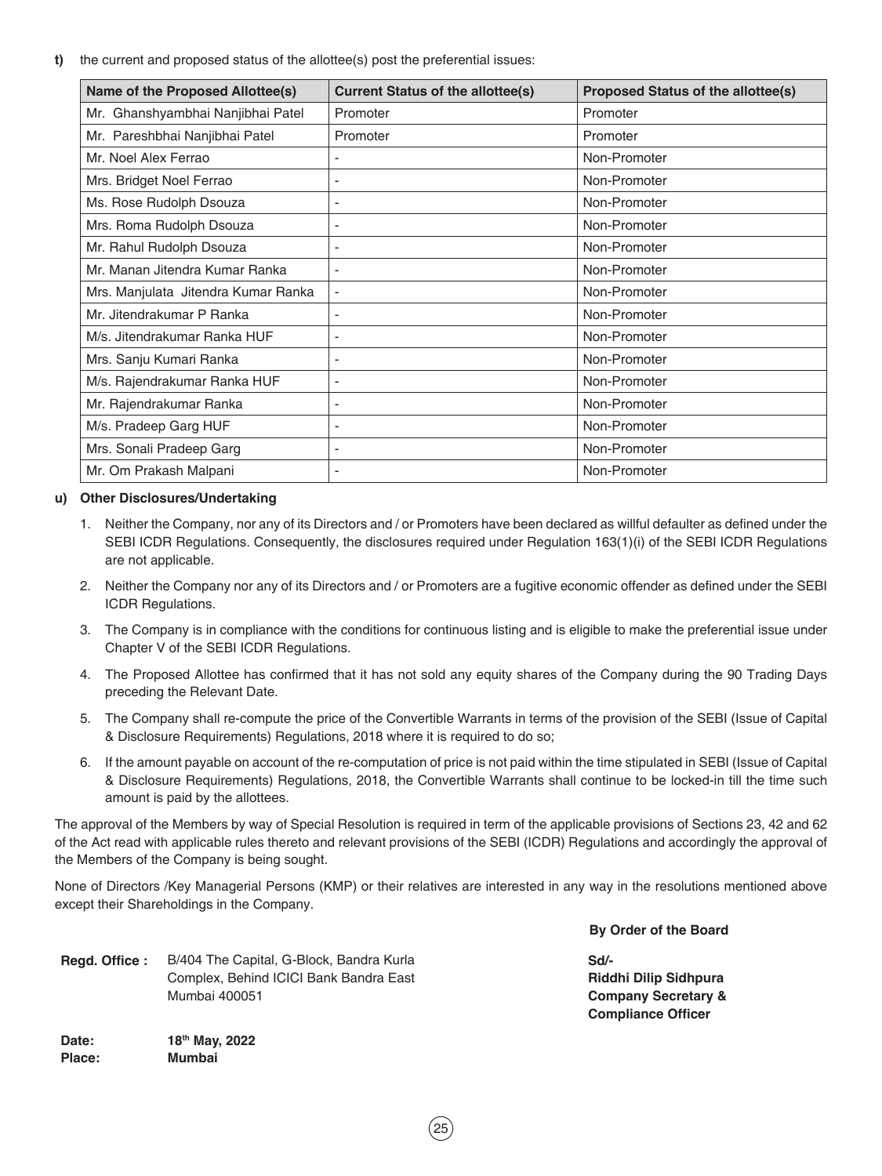**t)** the current and proposed status of the allottee(s) post the preferential issues:

| Name of the Proposed Allottee(s)    | <b>Current Status of the allottee(s)</b> | <b>Proposed Status of the allottee(s)</b> |
|-------------------------------------|------------------------------------------|-------------------------------------------|
| Mr. Ghanshyambhai Nanjibhai Patel   | Promoter                                 | Promoter                                  |
| Mr. Pareshbhai Nanjibhai Patel      | Promoter                                 | Promoter                                  |
| Mr. Noel Alex Ferrao                |                                          | Non-Promoter                              |
| Mrs. Bridget Noel Ferrao            |                                          | Non-Promoter                              |
| Ms. Rose Rudolph Dsouza             |                                          | Non-Promoter                              |
| Mrs. Roma Rudolph Dsouza            | $\overline{\phantom{a}}$                 | Non-Promoter                              |
| Mr. Rahul Rudolph Dsouza            | $\blacksquare$                           | Non-Promoter                              |
| Mr. Manan Jitendra Kumar Ranka      | $\overline{\phantom{a}}$                 | Non-Promoter                              |
| Mrs. Manjulata Jitendra Kumar Ranka | $\overline{\phantom{a}}$                 | Non-Promoter                              |
| Mr. Jitendrakumar P Ranka           |                                          | Non-Promoter                              |
| M/s. Jitendrakumar Ranka HUF        | $\overline{\phantom{a}}$                 | Non-Promoter                              |
| Mrs. Sanju Kumari Ranka             |                                          | Non-Promoter                              |
| M/s. Rajendrakumar Ranka HUF        | $\overline{\phantom{a}}$                 | Non-Promoter                              |
| Mr. Rajendrakumar Ranka             | $\blacksquare$                           | Non-Promoter                              |
| M/s. Pradeep Garg HUF               | ٠                                        | Non-Promoter                              |
| Mrs. Sonali Pradeep Garg            | $\overline{\phantom{a}}$                 | Non-Promoter                              |
| Mr. Om Prakash Malpani              |                                          | Non-Promoter                              |

#### **u) Other Disclosures/Undertaking**

- 1. Neither the Company, nor any of its Directors and / or Promoters have been declared as willful defaulter as defined under the SEBI ICDR Regulations. Consequently, the disclosures required under Regulation 163(1)(i) of the SEBI ICDR Regulations are not applicable.
- 2. Neither the Company nor any of its Directors and / or Promoters are a fugitive economic offender as defined under the SEBI ICDR Regulations.
- 3. The Company is in compliance with the conditions for continuous listing and is eligible to make the preferential issue under Chapter V of the SEBI ICDR Regulations.
- 4. The Proposed Allottee has confirmed that it has not sold any equity shares of the Company during the 90 Trading Days preceding the Relevant Date.
- 5. The Company shall re-compute the price of the Convertible Warrants in terms of the provision of the SEBI (Issue of Capital & Disclosure Requirements) Regulations, 2018 where it is required to do so;
- 6. If the amount payable on account of the re-computation of price is not paid within the time stipulated in SEBI (Issue of Capital & Disclosure Requirements) Regulations, 2018, the Convertible Warrants shall continue to be locked-in till the time such amount is paid by the allottees.

The approval of the Members by way of Special Resolution is required in term of the applicable provisions of Sections 23, 42 and 62 of the Act read with applicable rules thereto and relevant provisions of the SEBI (ICDR) Regulations and accordingly the approval of the Members of the Company is being sought.

None of Directors /Key Managerial Persons (KMP) or their relatives are interested in any way in the resolutions mentioned above except their Shareholdings in the Company.

25

| <b>Read. Office:</b> B/404 The Capital, G-Block, Bandra Kurla |
|---------------------------------------------------------------|
| Complex, Behind ICICI Bank Bandra East                        |
| Mumbai 400051                                                 |
|                                                               |

**Date: Place: 18th May, 2022 Mumbai**

 **By Order of the Board**

**Sd/- Riddhi Dilip Sidhpura Company Secretary & Compliance Officer**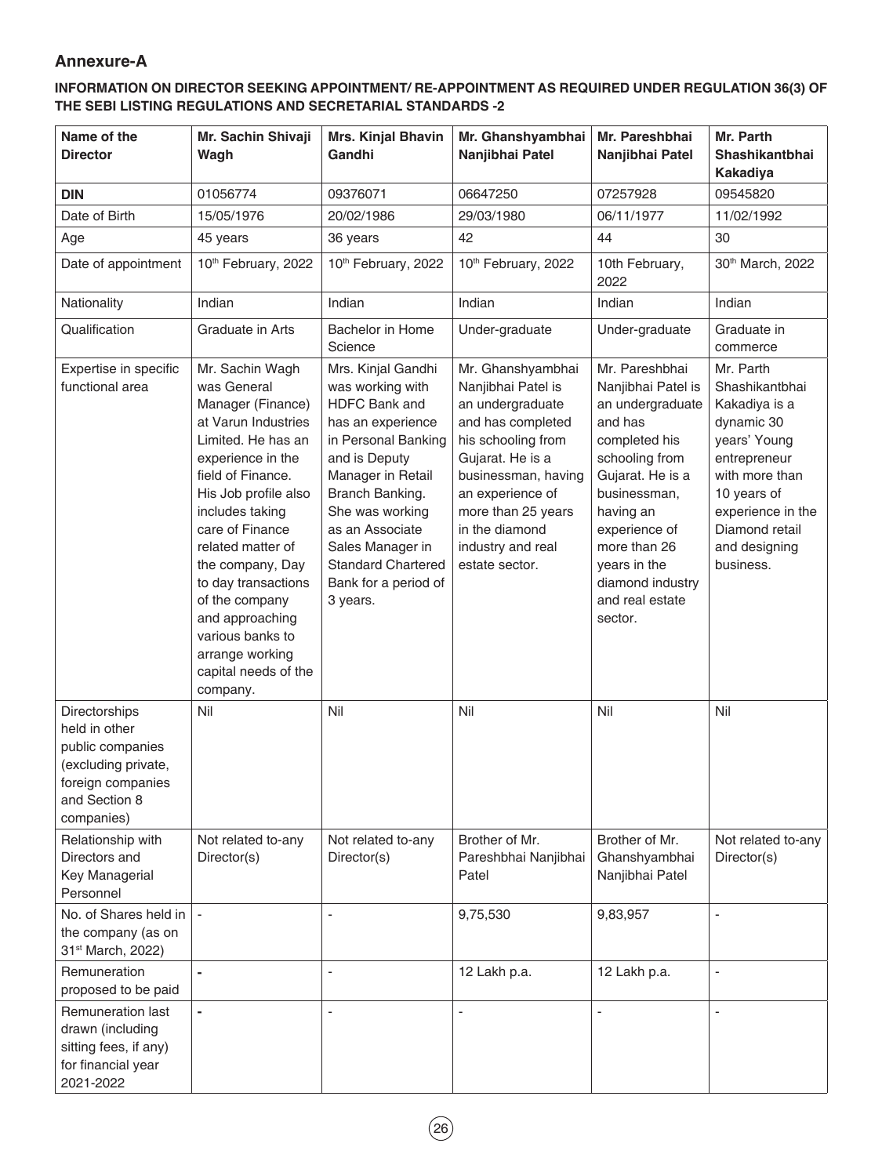# **Annexure-A**

# **INFORMATION ON DIRECTOR SEEKING APPOINTMENT/ RE-APPOINTMENT AS REQUIRED UNDER REGULATION 36(3) OF THE SEBI LISTING REGULATIONS AND SECRETARIAL STANDARDS -2**

| Name of the<br><b>Director</b>                                                                                                | Mr. Sachin Shivaji<br>Wagh                                                                                                                                                                                                                                                                                                                                                               | Mrs. Kinjal Bhavin<br>Gandhi                                                                                                                                                                                                                                                                   | Mr. Ghanshyambhai<br>Nanjibhai Patel                                                                                                                                                                                                                 | Mr. Pareshbhai<br>Nanjibhai Patel                                                                                                                                                                                                                          | Mr. Parth<br>Shashikantbhai<br><b>Kakadiya</b>                                                                                                                                                   |
|-------------------------------------------------------------------------------------------------------------------------------|------------------------------------------------------------------------------------------------------------------------------------------------------------------------------------------------------------------------------------------------------------------------------------------------------------------------------------------------------------------------------------------|------------------------------------------------------------------------------------------------------------------------------------------------------------------------------------------------------------------------------------------------------------------------------------------------|------------------------------------------------------------------------------------------------------------------------------------------------------------------------------------------------------------------------------------------------------|------------------------------------------------------------------------------------------------------------------------------------------------------------------------------------------------------------------------------------------------------------|--------------------------------------------------------------------------------------------------------------------------------------------------------------------------------------------------|
| <b>DIN</b>                                                                                                                    | 01056774                                                                                                                                                                                                                                                                                                                                                                                 | 09376071                                                                                                                                                                                                                                                                                       | 06647250                                                                                                                                                                                                                                             | 07257928                                                                                                                                                                                                                                                   | 09545820                                                                                                                                                                                         |
| Date of Birth                                                                                                                 | 15/05/1976                                                                                                                                                                                                                                                                                                                                                                               | 20/02/1986                                                                                                                                                                                                                                                                                     | 29/03/1980                                                                                                                                                                                                                                           | 06/11/1977                                                                                                                                                                                                                                                 | 11/02/1992                                                                                                                                                                                       |
| Age                                                                                                                           | 45 years                                                                                                                                                                                                                                                                                                                                                                                 | 36 years                                                                                                                                                                                                                                                                                       | 42                                                                                                                                                                                                                                                   | 44                                                                                                                                                                                                                                                         | 30                                                                                                                                                                                               |
| Date of appointment                                                                                                           | 10th February, 2022                                                                                                                                                                                                                                                                                                                                                                      | 10th February, 2022                                                                                                                                                                                                                                                                            | 10th February, 2022                                                                                                                                                                                                                                  | 10th February,<br>2022                                                                                                                                                                                                                                     | 30th March, 2022                                                                                                                                                                                 |
| Nationality                                                                                                                   | Indian                                                                                                                                                                                                                                                                                                                                                                                   | Indian                                                                                                                                                                                                                                                                                         | Indian                                                                                                                                                                                                                                               | Indian                                                                                                                                                                                                                                                     | Indian                                                                                                                                                                                           |
| Qualification                                                                                                                 | Graduate in Arts                                                                                                                                                                                                                                                                                                                                                                         | Bachelor in Home<br>Science                                                                                                                                                                                                                                                                    | Under-graduate                                                                                                                                                                                                                                       | Under-graduate                                                                                                                                                                                                                                             | Graduate in<br>commerce                                                                                                                                                                          |
| Expertise in specific<br>functional area                                                                                      | Mr. Sachin Wagh<br>was General<br>Manager (Finance)<br>at Varun Industries<br>Limited. He has an<br>experience in the<br>field of Finance.<br>His Job profile also<br>includes taking<br>care of Finance<br>related matter of<br>the company, Day<br>to day transactions<br>of the company<br>and approaching<br>various banks to<br>arrange working<br>capital needs of the<br>company. | Mrs. Kinjal Gandhi<br>was working with<br><b>HDFC Bank and</b><br>has an experience<br>in Personal Banking<br>and is Deputy<br>Manager in Retail<br>Branch Banking.<br>She was working<br>as an Associate<br>Sales Manager in<br><b>Standard Chartered</b><br>Bank for a period of<br>3 years. | Mr. Ghanshyambhai<br>Nanjibhai Patel is<br>an undergraduate<br>and has completed<br>his schooling from<br>Gujarat. He is a<br>businessman, having<br>an experience of<br>more than 25 years<br>in the diamond<br>industry and real<br>estate sector. | Mr. Pareshbhai<br>Nanjibhai Patel is<br>an undergraduate<br>and has<br>completed his<br>schooling from<br>Gujarat. He is a<br>businessman,<br>having an<br>experience of<br>more than 26<br>years in the<br>diamond industry<br>and real estate<br>sector. | Mr. Parth<br>Shashikantbhai<br>Kakadiya is a<br>dynamic 30<br>years' Young<br>entrepreneur<br>with more than<br>10 years of<br>experience in the<br>Diamond retail<br>and designing<br>business. |
| Directorships<br>held in other<br>public companies<br>(excluding private,<br>foreign companies<br>and Section 8<br>companies) | Nil                                                                                                                                                                                                                                                                                                                                                                                      | Nil                                                                                                                                                                                                                                                                                            | Nil                                                                                                                                                                                                                                                  | Nil                                                                                                                                                                                                                                                        | Nil                                                                                                                                                                                              |
| Relationship with<br>Directors and<br>Key Managerial<br>Personnel                                                             | Not related to-any<br>Director(s)                                                                                                                                                                                                                                                                                                                                                        | Not related to-any<br>Director(s)                                                                                                                                                                                                                                                              | Brother of Mr.<br>Pareshbhai Nanjibhai<br>Patel                                                                                                                                                                                                      | Brother of Mr.<br>Ghanshyambhai<br>Nanjibhai Patel                                                                                                                                                                                                         | Not related to-any<br>Director(s)                                                                                                                                                                |
| No. of Shares held in<br>the company (as on<br>31 <sup>st</sup> March, 2022)                                                  | $\sim$                                                                                                                                                                                                                                                                                                                                                                                   | ä,                                                                                                                                                                                                                                                                                             | 9,75,530                                                                                                                                                                                                                                             | 9,83,957                                                                                                                                                                                                                                                   | ä,                                                                                                                                                                                               |
| Remuneration<br>proposed to be paid                                                                                           | $\overline{\phantom{a}}$                                                                                                                                                                                                                                                                                                                                                                 | ÷,                                                                                                                                                                                                                                                                                             | 12 Lakh p.a.                                                                                                                                                                                                                                         | 12 Lakh p.a.                                                                                                                                                                                                                                               | ä,                                                                                                                                                                                               |
| Remuneration last<br>drawn (including<br>sitting fees, if any)<br>for financial year<br>2021-2022                             | $\overline{a}$                                                                                                                                                                                                                                                                                                                                                                           | ÷,                                                                                                                                                                                                                                                                                             | ä,                                                                                                                                                                                                                                                   | $\overline{\phantom{a}}$                                                                                                                                                                                                                                   | ä,                                                                                                                                                                                               |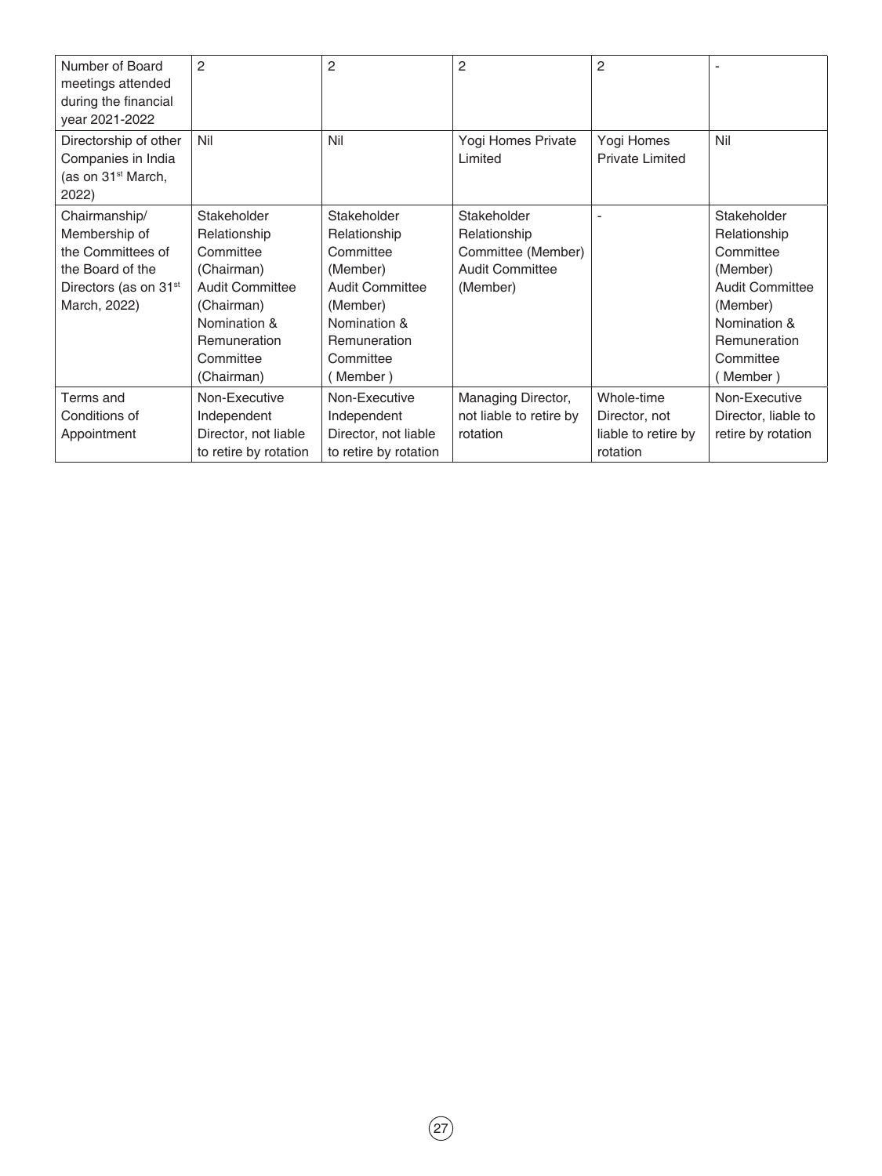| Number of Board<br>meetings attended<br>during the financial<br>year 2021-2022                                               | $\overline{c}$                                                                                                                                            | $\overline{2}$                                                                                                                                      | $\overline{c}$                                                                          | $\overline{2}$                                                 |                                                                                                                                                    |
|------------------------------------------------------------------------------------------------------------------------------|-----------------------------------------------------------------------------------------------------------------------------------------------------------|-----------------------------------------------------------------------------------------------------------------------------------------------------|-----------------------------------------------------------------------------------------|----------------------------------------------------------------|----------------------------------------------------------------------------------------------------------------------------------------------------|
| Directorship of other<br>Companies in India<br>(as on 31 <sup>st</sup> March,<br>2022)                                       | Nil                                                                                                                                                       | Nil                                                                                                                                                 | Yogi Homes Private<br>Limited                                                           | Yogi Homes<br><b>Private Limited</b>                           | Nil                                                                                                                                                |
| Chairmanship/<br>Membership of<br>the Committees of<br>the Board of the<br>Directors (as on 31 <sup>st</sup><br>March, 2022) | Stakeholder<br>Relationship<br>Committee<br>(Chairman)<br><b>Audit Committee</b><br>(Chairman)<br>Nomination &<br>Remuneration<br>Committee<br>(Chairman) | Stakeholder<br>Relationship<br>Committee<br>(Member)<br><b>Audit Committee</b><br>(Member)<br>Nomination &<br>Remuneration<br>Committee<br>(Member) | Stakeholder<br>Relationship<br>Committee (Member)<br><b>Audit Committee</b><br>(Member) |                                                                | Stakeholder<br>Relationship<br>Committee<br>(Member)<br><b>Audit Committee</b><br>(Member)<br>Nomination &<br>Remuneration<br>Committee<br>Member) |
| Terms and<br>Conditions of<br>Appointment                                                                                    | Non-Executive<br>Independent<br>Director, not liable<br>to retire by rotation                                                                             | Non-Executive<br>Independent<br>Director, not liable<br>to retire by rotation                                                                       | Managing Director,<br>not liable to retire by<br>rotation                               | Whole-time<br>Director, not<br>liable to retire by<br>rotation | Non-Executive<br>Director, liable to<br>retire by rotation                                                                                         |

 $\circled{27}$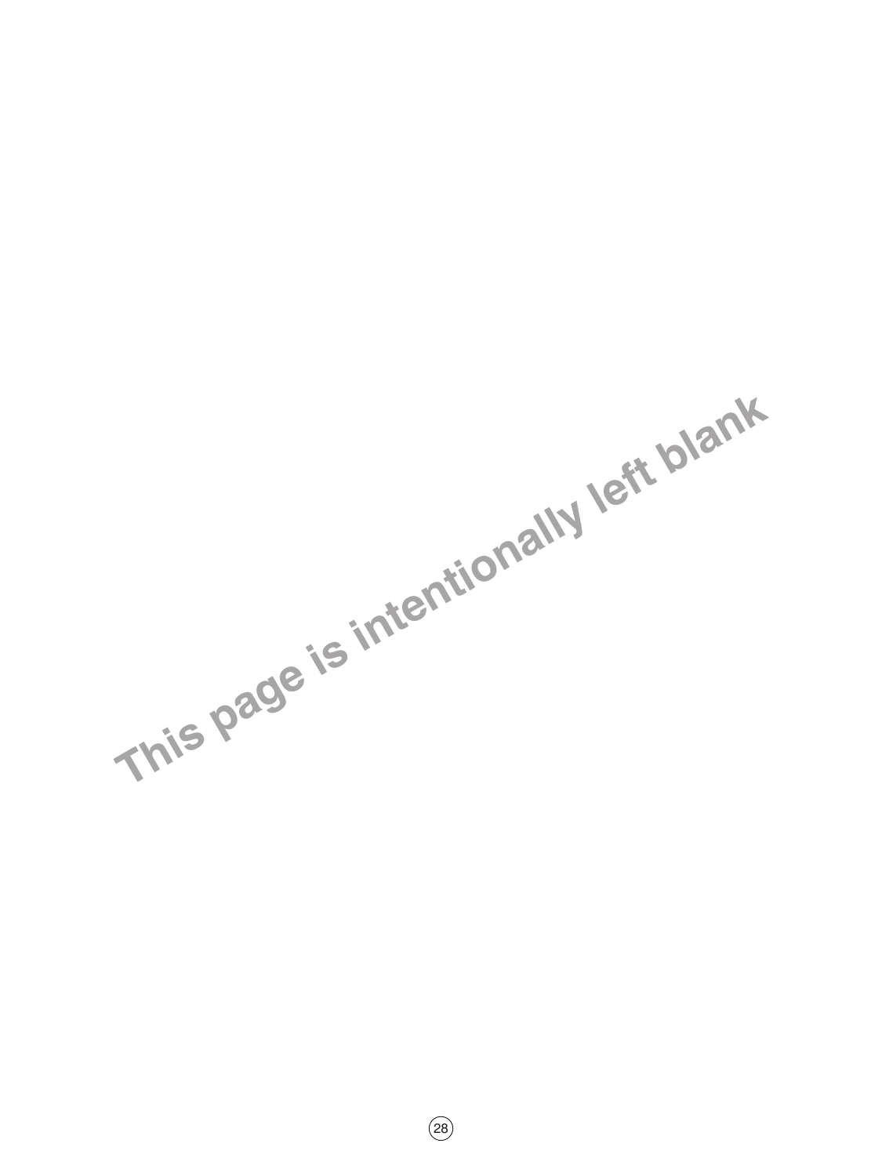**This page is intentionally left blank**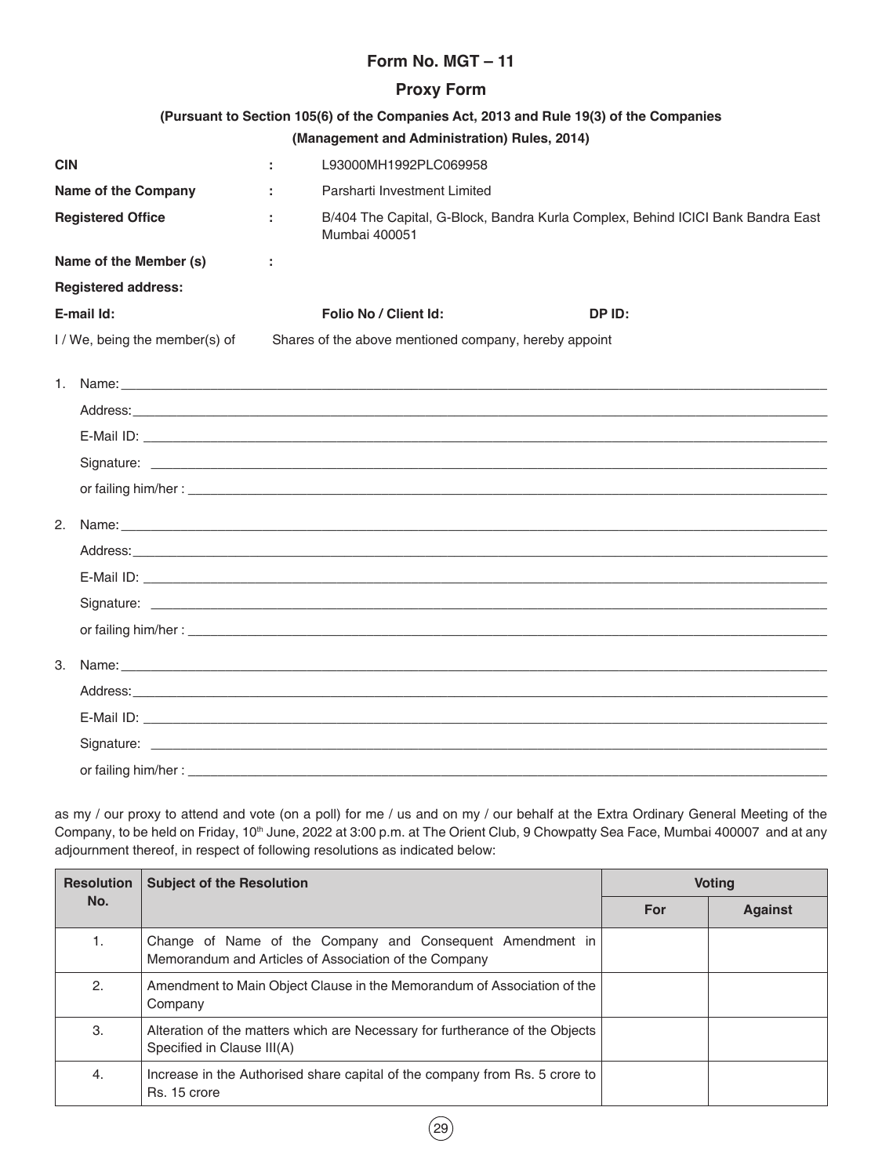# **Form No. MGT – 11**

# **Proxy Form**

|                               |                                                                                                                                                                                                                                |               |                                                                                 | (Pursuant to Section 105(6) of the Companies Act, 2013 and Rule 19(3) of the Companies                                                                                                                                         |
|-------------------------------|--------------------------------------------------------------------------------------------------------------------------------------------------------------------------------------------------------------------------------|---------------|---------------------------------------------------------------------------------|--------------------------------------------------------------------------------------------------------------------------------------------------------------------------------------------------------------------------------|
|                               |                                                                                                                                                                                                                                |               | (Management and Administration) Rules, 2014)                                    |                                                                                                                                                                                                                                |
| <b>CIN</b>                    |                                                                                                                                                                                                                                | ÷             | L93000MH1992PLC069958                                                           |                                                                                                                                                                                                                                |
|                               | Name of the Company                                                                                                                                                                                                            | ÷             | Parsharti Investment Limited                                                    |                                                                                                                                                                                                                                |
| <b>Registered Office</b><br>÷ |                                                                                                                                                                                                                                | Mumbai 400051 | B/404 The Capital, G-Block, Bandra Kurla Complex, Behind ICICI Bank Bandra East |                                                                                                                                                                                                                                |
|                               | Name of the Member (s)                                                                                                                                                                                                         | ÷             |                                                                                 |                                                                                                                                                                                                                                |
|                               | <b>Registered address:</b>                                                                                                                                                                                                     |               |                                                                                 |                                                                                                                                                                                                                                |
|                               | E-mail Id:                                                                                                                                                                                                                     |               | Folio No / Client Id:                                                           | DP ID:                                                                                                                                                                                                                         |
|                               | I / We, being the member(s) of                                                                                                                                                                                                 |               | Shares of the above mentioned company, hereby appoint                           |                                                                                                                                                                                                                                |
|                               |                                                                                                                                                                                                                                |               |                                                                                 |                                                                                                                                                                                                                                |
| 1.                            |                                                                                                                                                                                                                                |               |                                                                                 |                                                                                                                                                                                                                                |
|                               |                                                                                                                                                                                                                                |               |                                                                                 |                                                                                                                                                                                                                                |
|                               |                                                                                                                                                                                                                                |               |                                                                                 |                                                                                                                                                                                                                                |
|                               | Signature: the contract of the contract of the contract of the contract of the contract of the contract of the contract of the contract of the contract of the contract of the contract of the contract of the contract of the |               |                                                                                 |                                                                                                                                                                                                                                |
|                               |                                                                                                                                                                                                                                |               |                                                                                 |                                                                                                                                                                                                                                |
| 2.                            |                                                                                                                                                                                                                                |               |                                                                                 |                                                                                                                                                                                                                                |
|                               |                                                                                                                                                                                                                                |               |                                                                                 |                                                                                                                                                                                                                                |
|                               |                                                                                                                                                                                                                                |               |                                                                                 |                                                                                                                                                                                                                                |
|                               |                                                                                                                                                                                                                                |               |                                                                                 |                                                                                                                                                                                                                                |
|                               |                                                                                                                                                                                                                                |               |                                                                                 |                                                                                                                                                                                                                                |
| 3.                            |                                                                                                                                                                                                                                |               |                                                                                 |                                                                                                                                                                                                                                |
|                               |                                                                                                                                                                                                                                |               |                                                                                 | Address: Note that the contract of the contract of the contract of the contract of the contract of the contract of the contract of the contract of the contract of the contract of the contract of the contract of the contrac |
|                               |                                                                                                                                                                                                                                |               |                                                                                 |                                                                                                                                                                                                                                |
|                               |                                                                                                                                                                                                                                |               |                                                                                 |                                                                                                                                                                                                                                |
|                               |                                                                                                                                                                                                                                |               |                                                                                 |                                                                                                                                                                                                                                |

as my / our proxy to attend and vote (on a poll) for me / us and on my / our behalf at the Extra Ordinary General Meeting of the Company, to be held on Friday, 10<sup>th</sup> June, 2022 at 3:00 p.m. at The Orient Club, 9 Chowpatty Sea Face, Mumbai 400007 and at any adjournment thereof, in respect of following resolutions as indicated below:

| <b>Resolution</b> | <b>Subject of the Resolution</b>                                                                                   |            | <b>Voting</b>  |
|-------------------|--------------------------------------------------------------------------------------------------------------------|------------|----------------|
| No.               |                                                                                                                    | <b>For</b> | <b>Against</b> |
| 1.                | Change of Name of the Company and Consequent Amendment in<br>Memorandum and Articles of Association of the Company |            |                |
| 2.                | Amendment to Main Object Clause in the Memorandum of Association of the<br>Company                                 |            |                |
| 3.                | Alteration of the matters which are Necessary for furtherance of the Objects<br>Specified in Clause III(A)         |            |                |
| 4.                | Increase in the Authorised share capital of the company from Rs. 5 crore to<br>Rs. 15 crore                        |            |                |

 $(29)$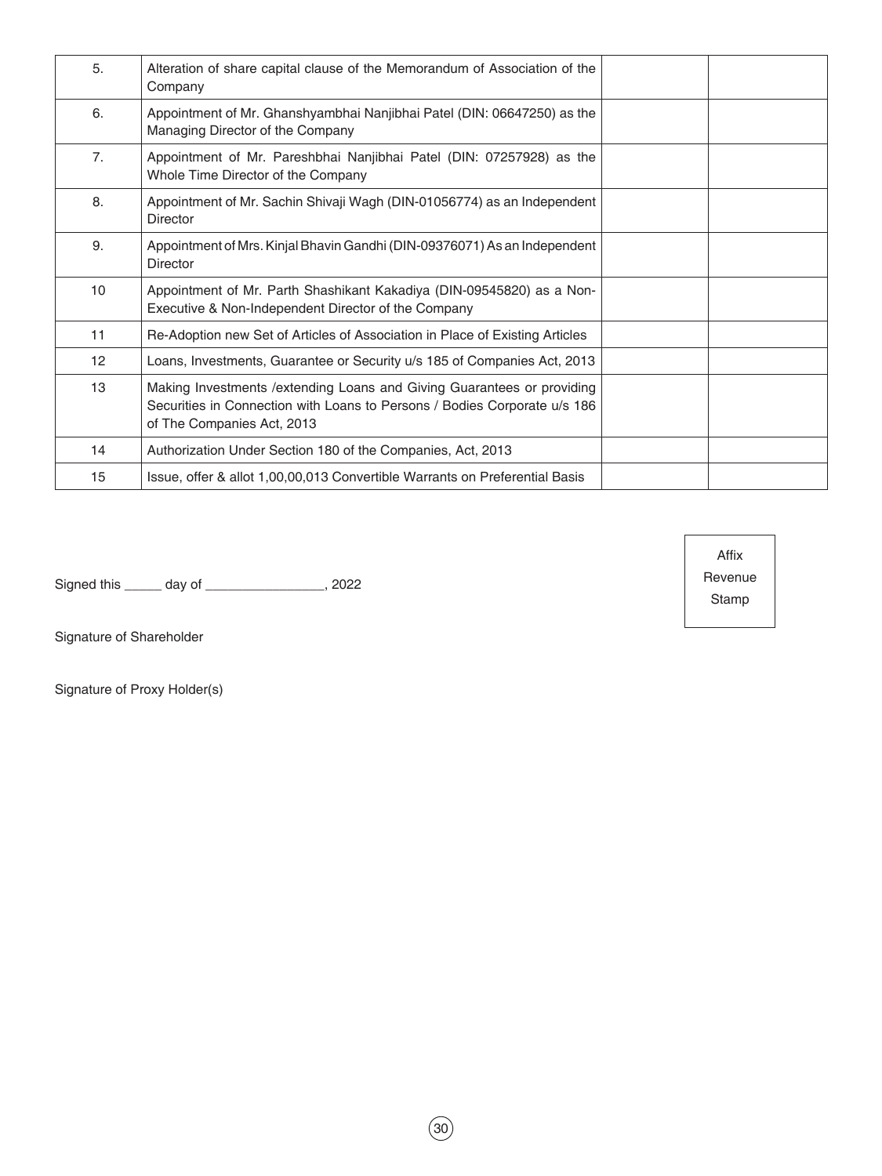| 5.                | Alteration of share capital clause of the Memorandum of Association of the<br>Company                                                                                              |  |
|-------------------|------------------------------------------------------------------------------------------------------------------------------------------------------------------------------------|--|
| 6.                | Appointment of Mr. Ghanshyambhai Nanjibhai Patel (DIN: 06647250) as the<br>Managing Director of the Company                                                                        |  |
| 7.                | Appointment of Mr. Pareshbhai Nanjibhai Patel (DIN: 07257928) as the<br>Whole Time Director of the Company                                                                         |  |
| 8.                | Appointment of Mr. Sachin Shivaji Wagh (DIN-01056774) as an Independent<br>Director                                                                                                |  |
| 9.                | Appointment of Mrs. Kinjal Bhavin Gandhi (DIN-09376071) As an Independent<br>Director                                                                                              |  |
| 10                | Appointment of Mr. Parth Shashikant Kakadiya (DIN-09545820) as a Non-<br>Executive & Non-Independent Director of the Company                                                       |  |
| 11                | Re-Adoption new Set of Articles of Association in Place of Existing Articles                                                                                                       |  |
| $12 \overline{ }$ | Loans, Investments, Guarantee or Security u/s 185 of Companies Act, 2013                                                                                                           |  |
| 13                | Making Investments / extending Loans and Giving Guarantees or providing<br>Securities in Connection with Loans to Persons / Bodies Corporate u/s 186<br>of The Companies Act, 2013 |  |
| 14                | Authorization Under Section 180 of the Companies, Act, 2013                                                                                                                        |  |
| 15                | Issue, offer & allot 1,00,00,013 Convertible Warrants on Preferential Basis                                                                                                        |  |

Signed this \_\_\_\_\_ day of \_\_\_\_\_\_\_\_\_\_\_\_\_\_\_\_, 2022

Affix Revenue Stamp

Signature of Shareholder

Signature of Proxy Holder(s)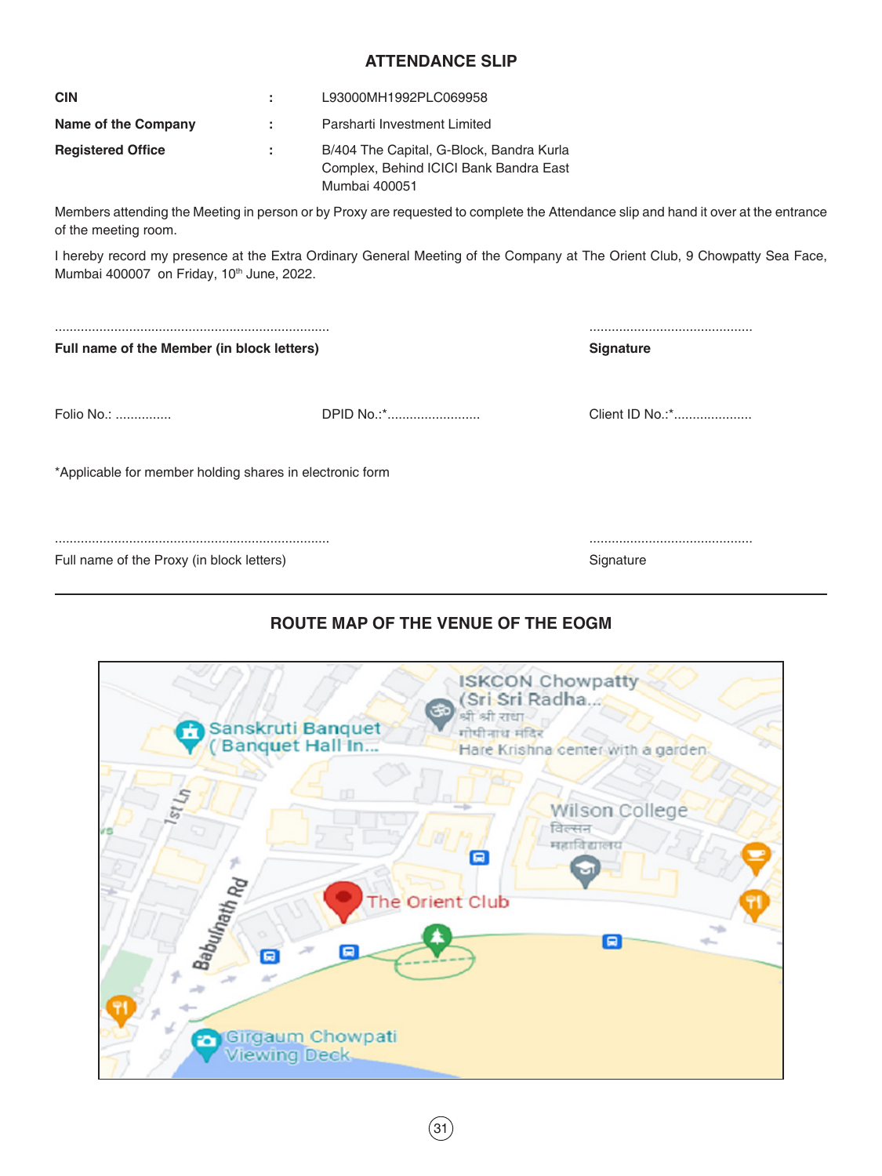# **ATTENDANCE SLIP**

| <b>CIN</b>               |     | L93000MH1992PLC069958                                                                               |
|--------------------------|-----|-----------------------------------------------------------------------------------------------------|
| Name of the Company      | a s | Parsharti Investment Limited                                                                        |
| <b>Registered Office</b> | ÷   | B/404 The Capital, G-Block, Bandra Kurla<br>Complex, Behind ICICI Bank Bandra East<br>Mumbai 400051 |

Members attending the Meeting in person or by Proxy are requested to complete the Attendance slip and hand it over at the entrance of the meeting room.

I hereby record my presence at the Extra Ordinary General Meeting of the Company at The Orient Club, 9 Chowpatty Sea Face, Mumbai 400007 on Friday, 10<sup>th</sup> June, 2022.

| Full name of the Member (in block letters)               |            | <br><b>Signature</b> |  |  |
|----------------------------------------------------------|------------|----------------------|--|--|
| Folio No.:                                               | DPID No.:* | Client ID No.:*      |  |  |
| *Applicable for member holding shares in electronic form |            |                      |  |  |
| Full name of the Proxy (in block letters)                |            | Signature            |  |  |

# **ROUTE MAP OF THE VENUE OF THE EOGM**

| Sanskruti Banquet<br>Ħ.<br><b>Banquet Hall In</b> | <b>ISKCON Chowpatty</b><br>(Sri Sri Radha<br>$\mathbf{G}$<br>श्री श्री राधा<br>गोपीनाथ मंदिर<br>Hare Krishna center with a garden: |
|---------------------------------------------------|------------------------------------------------------------------------------------------------------------------------------------|
| GD <sub>3</sub><br>$s_{l_1}$                      | <b>Wilson College</b><br>विल्सन<br>महाविद्यालय<br>$\blacksquare$                                                                   |
| Babuinath Rd<br>$\blacksquare$<br>圓               | The Orient Club<br>$\blacksquare$                                                                                                  |
| <b>Po</b> Girgaum Chowpati<br><b>Viewing Deck</b> |                                                                                                                                    |

 $(31)$